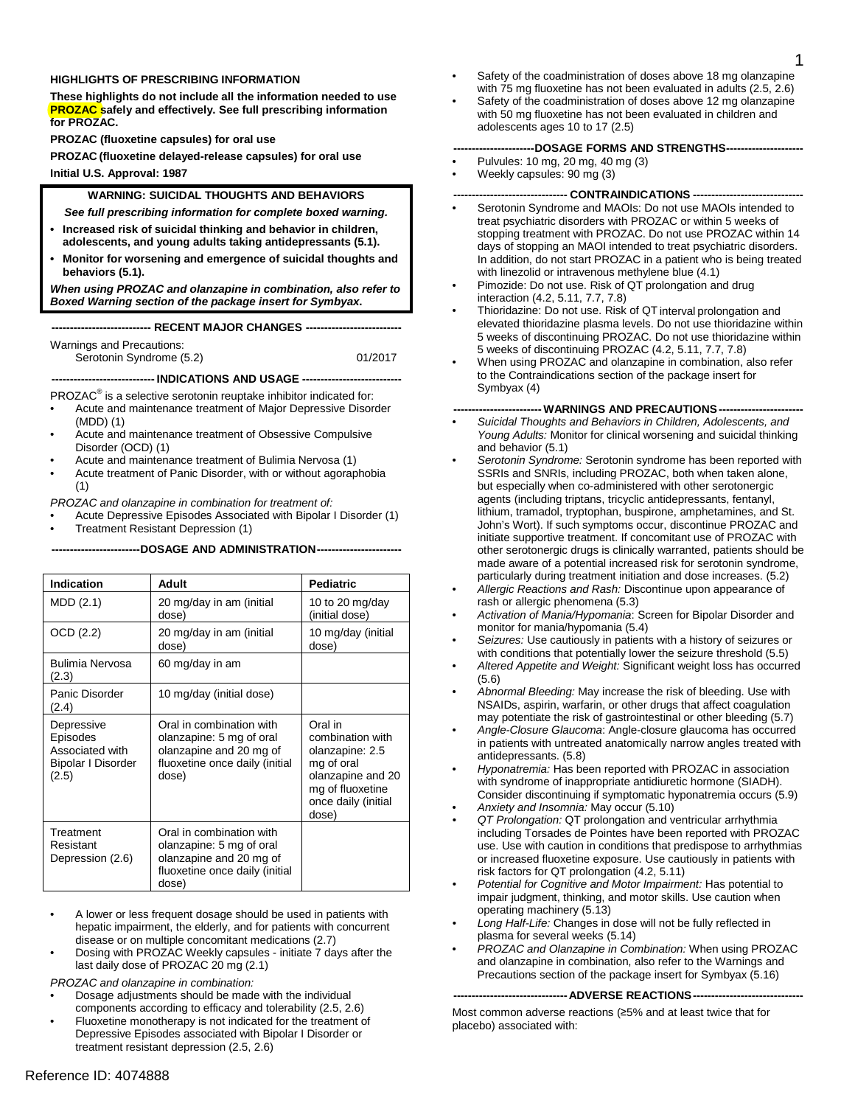#### **HIGHLIGHTS OF PRESCRIBING INFORMATION**

 **These highlights do not include all the information needed to use PROZAC safely and effectively. See full prescribing information for PROZAC.** 

**PROZAC (fluoxetine capsules) for oral use** 

**PROZAC (fluoxetine delayed-release capsules) for oral use** 

#### **Initial U.S. Approval: 1987**

#### **WARNING: SUICIDAL THOUGHTS AND BEHAVIORS**

*See full prescribing information for complete boxed warning.* 

- **• Increased risk of suicidal thinking and behavior in children, adolescents, and young adults taking antidepressants (5.1).**
- **• Monitor for worsening and emergence of suicidal thoughts and behaviors (5.1).**

*When using PROZAC and olanzapine in combination, also refer to Boxed Warning section of the package insert for Symbyax***.** 

**--------------------------- RECENT MAJOR CHANGES -------------------------**

Warnings and Precautions:

Serotonin Syndrome (5.2) 01/2017

**---------------------------- INDICATIONS AND USAGE --------------------------**

PROZAC® is a selective serotonin reuptake inhibitor indicated for:

- Acute and maintenance treatment of Major Depressive Disorder (MDD) (1)
- Disorder (OCD) (1) Acute and maintenance treatment of Obsessive Compulsive
- Acute and maintenance treatment of Bulimia Nervosa (1)
- Acute treatment of Panic Disorder, with or without agoraphobia (1)

*PROZAC and olanzapine in combination for treatment of:* 

• Acute Depressive Episodes Associated with Bipolar I Disorder (1) Treatment Resistant Depression (1)

#### **------------------------DOSAGE AND ADMINISTRATION ----------------------**

| <b>Indication</b>                                                        | Adult                                                                                                                      | <b>Pediatric</b>                                                                                                                      |
|--------------------------------------------------------------------------|----------------------------------------------------------------------------------------------------------------------------|---------------------------------------------------------------------------------------------------------------------------------------|
| MDD (2.1)                                                                | 20 mg/day in am (initial<br>dose)                                                                                          | 10 to 20 mg/day<br>(initial dose)                                                                                                     |
| OCD (2.2)                                                                | 20 mg/day in am (initial<br>dose)                                                                                          | 10 mg/day (initial<br>dose)                                                                                                           |
| Bulimia Nervosa<br>(2.3)                                                 | 60 mg/day in am                                                                                                            |                                                                                                                                       |
| Panic Disorder<br>(2.4)                                                  | 10 mg/day (initial dose)                                                                                                   |                                                                                                                                       |
| Depressive<br>Episodes<br>Associated with<br>Bipolar I Disorder<br>(2.5) | Oral in combination with<br>olanzapine: 5 mg of oral<br>olanzapine and 20 mg of<br>fluoxetine once daily (initial<br>dose) | Oral in<br>combination with<br>olanzapine: 2.5<br>mg of oral<br>olanzapine and 20<br>mg of fluoxetine<br>once daily (initial<br>dose) |
| Treatment<br>Resistant<br>Depression (2.6)                               | Oral in combination with<br>olanzapine: 5 mg of oral<br>olanzapine and 20 mg of<br>fluoxetine once daily (initial<br>dose) |                                                                                                                                       |

- • A lower or less frequent dosage should be used in patients with hepatic impairment, the elderly, and for patients with concurrent disease or on multiple concomitant medications (2.7)
- last daily dose of PROZAC 20 mg (2.1) Dosing with PROZAC Weekly capsules - initiate 7 days after the

*PROZAC and olanzapine in combination:* 

- Dosage adjustments should be made with the individual **Figure 10 Constrainer 100-100 Constrainer 1** Conservation Conservation Conservation Conservation Conservation Conservation Conservation Conservation Conservation Conse
- components according to efficacy and tolerability (2.5, 2.6)<br>Fluoxetine monotherapy is not indicated for the treatment of components according to efficacy and tolerability (2.5, 2.6) Most common adverse reactions (≥5% and at least twice that for<br>• Fluoxetine monotherapy is not indicated for the treatment of placebo) associated with:<br>Depressi treatment resistant depression (2.5, 2.6)
- with 75 mg fluoxetine has not been evaluated in adults (2.5, 2.6) Safety of the coadministration of doses above 18 mg olanzapine
- adolescents ages 10 to 17 (2.5) Safety of the coadministration of doses above 12 mg olanzapine with 50 mg fluoxetine has not been evaluated in children and

#### ---DOSAGE FORMS AND STRENGTHS-----

- • Pulvules: 10 mg, 20 mg, 40 mg (3)
- • Weekly capsules: 90 mg (3)

#### **------------------------------- CONTRAINDICATIONS -----------------------------**

- treat psychiatric disorders with PROZAC or within 5 weeks of days of stopping an MAOI intended to treat psychiatric disorders. In addition, do not start PROZAC in a patient who is being treated Serotonin Syndrome and MAOIs: Do not use MAOIs intended to stopping treatment with PROZAC. Do not use PROZAC within 14 with linezolid or intravenous methylene blue (4.1)
- • Pimozide: Do not use. Risk of QT prolongation and drug interaction (4.2, 5.11, 7.7, 7.8)
- 5 weeks of discontinuing PROZAC (4.2, 5.11, 7.7, 7.8) Thioridazine: Do not use. Risk of QT interval prolongation and elevated thioridazine plasma levels. Do not use thioridazine within 5 weeks of discontinuing PROZAC. Do not use thioridazine within
- to the Contraindications section of the package insert for When using PROZAC and olanzapine in combination, also refer Symbyax (4)

#### --WARNINGS AND PRECAUTIONS -------

- *Young Adults:* Monitor for clinical worsening and suicidal thinking Suicidal Thoughts and Behaviors in Children, Adolescents, and and behavior (5.1)
- lithium, tramadol, tryptophan, buspirone, amphetamines, and St. John's Wort). If such symptoms occur, discontinue PROZAC and Serotonin Syndrome: Serotonin syndrome has been reported with SSRIs and SNRIs, including PROZAC, both when taken alone, but especially when co-administered with other serotonergic agents (including triptans, tricyclic antidepressants, fentanyl, initiate supportive treatment. If concomitant use of PROZAC with other serotonergic drugs is clinically warranted, patients should be made aware of a potential increased risk for serotonin syndrome, particularly during treatment initiation and dose increases. (5.2)
- Allergic Reactions and Rash: Discontinue upon appearance of rash or allergic phenomena (5.3)
- Activation of Mania/Hypomania: Screen for Bipolar Disorder and monitor for mania/hypomania (5.4)
- • *Seizures:* Use cautiously in patients with a history of seizures or with conditions that potentially lower the seizure threshold (5.5)
- Altered Appetite and Weight: Significant weight loss has occurred (5.6)
- Abnormal Bleeding: May increase the risk of bleeding. Use with NSAIDs, aspirin, warfarin, or other drugs that affect coagulation may potentiate the risk of gastrointestinal or other bleeding (5.7)
- Angle-Closure Glaucoma: Angle-closure glaucoma has occurred in patients with untreated anatomically narrow angles treated with antidepressants. (5.8)
- Consider discontinuing if symptomatic hyponatremia occurs (5.9) Hyponatremia: Has been reported with PROZAC in association with syndrome of inappropriate antidiuretic hormone (SIADH).
- Anxiety and Insomnia: May occur (5.10)
- including Torsades de Pointes have been reported with PROZAC • *QT Prolongation:* QT prolongation and ventricular arrhythmia use. Use with caution in conditions that predispose to arrhythmias or increased fluoxetine exposure. Use cautiously in patients with risk factors for QT prolongation (4.2, 5.11)
- Potential for Cognitive and Motor Impairment: Has potential to impair judgment, thinking, and motor skills. Use caution when operating machinery (5.13)
- Long Half-Life: Changes in dose will not be fully reflected in plasma for several weeks (5.14)
- PROZAC and Olanzapine in Combination: When using PROZAC and olanzapine in combination, also refer to the Warnings and Precautions section of the package insert for Symbyax (5.16)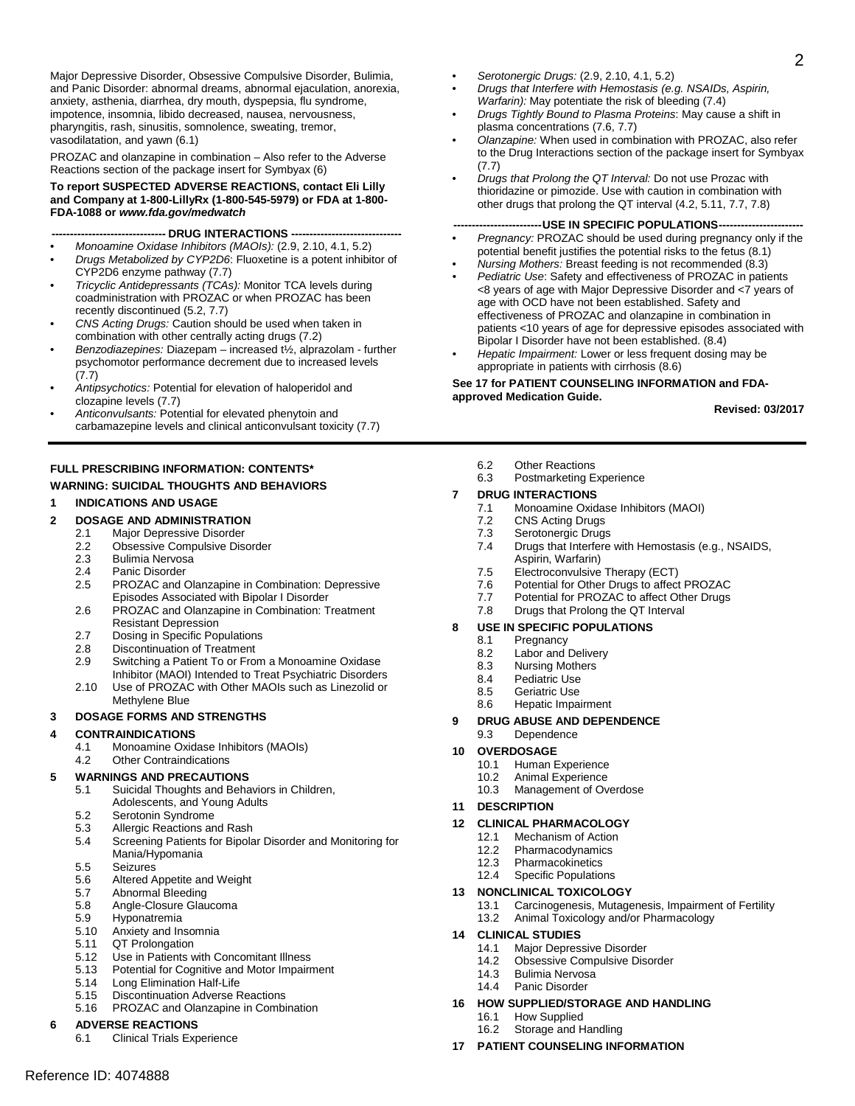Major Depressive Disorder, Obsessive Compulsive Disorder, Bulimia, pharyngitis, rash, sinusitis, somnolence, sweating, tremor, and Panic Disorder: abnormal dreams, abnormal ejaculation, anorexia, anxiety, asthenia, diarrhea, dry mouth, dyspepsia, flu syndrome, impotence, insomnia, libido decreased, nausea, nervousness, vasodilatation, and yawn (6.1)

 Reactions section of the package insert for Symbyax (6) PROZAC and olanzapine in combination – Also refer to the Adverse

**To report SUSPECTED ADVERSE REACTIONS, contact Eli Lilly and Company at 1-800-LillyRx (1-800-545-5979) or FDA at 1-800 FDA-1088 or** *www.fda.gov/medwatch* 

#### **--- DRUG INTERACTIONS --**

- • *Monoamine Oxidase Inhibitors (MAOIs):* (2.9, 2.10, 4.1, 5.2)
- Drugs Metabolized by CYP2D6: Fluoxetine is a potent inhibitor of CYP2D6 enzyme pathway (7.7)
- coadministration with PROZAC or when PROZAC has been • *Tricyclic Antidepressants (TCAs):* Monitor TCA levels during recently discontinued (5.2, 7.7)
- combination with other centrally acting drugs (7.2) **CNS Acting Drugs: Caution should be used when taken in**
- Benzodiazepines: Diazepam increased t<sup>1</sup>/<sub>2</sub>, alprazolam further psychomotor performance decrement due to increased levels (7.7)
- Antipsychotics: Potential for elevation of haloperidol and clozapine levels (7.7)
- Anticonvulsants: Potential for elevated phenytoin and carbamazepine levels and clinical anticonvulsant toxicity (7.7)

# **FULL PRESCRIBING INFORMATION: CONTENTS\***

# **WARNING: SUICIDAL THOUGHTS AND BEHAVIORS**

#### **1 INDICATIONS AND USAGE**

#### **2 DOSAGE AND ADMINISTRATION**

- 2.1 Major Depressive Disorder<br>2.2 Obsessive Compulsive Disc
- **Obsessive Compulsive Disorder**
- 2.3 Bulimia Nervosa<br>2.4 Panic Disorder
- Panic Disorder
- 2.5 PROZAC and Olanzapine in Combination: Depressive Episodes Associated with Bipolar I Disorder
- 2.6 PROZAC and Olanzapine in Combination: Treatment Resistant Depression
- 2.7 Dosing in Specific Populations
- 2.8 Discontinuation of Treatment
- 2.9 Switching a Patient To or From a Monoamine Oxidase Inhibitor (MAOI) Intended to Treat Psychiatric Disorders
- 2.10 Use of PROZAC with Other MAOIs such as Linezolid or Methylene Blue

#### **3 DOSAGE FORMS AND STRENGTHS**

#### **4 CONTRAINDICATIONS**

4.1 Monoamine Oxidase Inhibitors (MAOIs)<br>4.2 Other Contraindications **Other Contraindications** 

# **5 WARNINGS AND PRECAUTIONS**<br>5.1 **Suicidal Thoughts and Beha**

- Suicidal Thoughts and Behaviors in Children, Adolescents, and Young Adults
- 5.2 Serotonin Syndrome<br>5.3 Allergic Reactions are
- 5.3 Allergic Reactions and Rash<br>5.4 Screening Patients for Bipola
- Screening Patients for Bipolar Disorder and Monitoring for Mania/Hypomania
- 5.5 Seizures
- 5.6 Altered Appetite and Weight<br>5.7 Abnormal Bleeding
- Abnormal Bleeding
- 5.8 Angle-Closure Glaucoma<br>5.9 Hyponatremia
- Hyponatremia
- 5.10 Anxiety and Insomnia<br>5.11 QT Prolongation
- QT Prolongation
- 5.12 Use in Patients with Concomitant Illness
- 5.13 Potential for Cognitive and Motor Impairment
- 5.14 Long Elimination Half-Life
- 5.15 Discontinuation Adverse Reactions
- 5.16 PROZAC and Olanzapine in Combination

#### **6 ADVERSE REACTIONS**

6.1 Clinical Trials Experience

- • *Serotonergic Drugs:* (2.9, 2.10, 4.1, 5.2)
- *Drugs that Interfere with Hemostasis (e.g. NSAIDs, Aspirin, Warfarin):* May potentiate the risk of bleeding (7.4)
- **Drugs Tightly Bound to Plasma Proteins: May cause a shift in** plasma concentrations (7.6, 7.7)
- to the Drug Interactions section of the package insert for Symbyax Olanzapine: When used in combination with PROZAC, also refer (7.7)
- **•** Drugs that Prolong the QT Interval: Do not use Prozac with other drugs that prolong the QT interval (4.2, 5.11, 7.7, 7.8) thioridazine or pimozide. Use with caution in combination with

#### **----USE IN SPECIFIC POPULATIONS----**

- • *Pregnancy:* PROZAC should be used during pregnancy only if the potential benefit justifies the potential risks to the fetus (8.1)
- • *Nursing Mothers:* Breast feeding is not recommended (8.3)
- effectiveness of PROZAC and olanzapine in combination in Pediatric Use: Safety and effectiveness of PROZAC in patients <8 years of age with Major Depressive Disorder and <7 years of age with OCD have not been established. Safety and patients <10 years of age for depressive episodes associated with Bipolar I Disorder have not been established. (8.4)
- Hepatic Impairment: Lower or less frequent dosing may be appropriate in patients with cirrhosis (8.6)

#### **See 17 for PATIENT COUNSELING INFORMATION and FDAapproved Medication Guide.**

 **Revised: 03/2017** 

2

- 6.2 Other Reactions
- 6.3 Postmarketing Experience

# **7 DRUG INTERACTIONS**<br>7.1 Monoamine Oxid

- 7.1 Monoamine Oxidase Inhibitors (MAOI)<br>7.2 CNS Acting Drugs
- CNS Acting Drugs
- 7.3 Serotonergic Drugs<br>7.4 Drugs that Interfere
- Drugs that Interfere with Hemostasis (e.g., NSAIDS, Aspirin, Warfarin)
- 7.5 Electroconvulsive Therapy (ECT)
- 7.6 Potential for Other Drugs to affect PROZAC
- 7.7 Potential for PROZAC to affect Other Drugs
- 7.8 Drugs that Prolong the QT Interval

#### **8 USE IN SPECIFIC POPULATIONS**

- 8.1 Pregnancy
- 8.2 Labor and Delivery<br>8.3 Nursing Mothers
- 8.3 Nursing Mothers<br>8.4 Pediatric Use
- Pediatric Use
- 8.5 Geriatric Use<br>8.6 Henatic Impa
- Hepatic Impairment
- **9 DRUG ABUSE AND DEPENDENCE**  Dependence
- **10 OVERDOSAGE** 
	-
	- 10.1 Human Experience 10.2 Animal Experience
	- 10.3 Management of Overdose
- **11 DESCRIPTION**
- 
- **12 CLINICAL PHARMACOLOGY**<br>12.1 Mechanism of Action 12.1 Mechanism of Action<br>12.2 Pharmacodynamics
	- Pharmacodynamics
	- 12.3 Pharmacokinetics
	- 12.4 Specific Populations
- **13 NONCLINICAL TOXICOLOGY** 
	- 13.1 Carcinogenesis, Mutagenesis, Impairment of Fertility 13.2 Animal Toxicology and/or Pharmacology
- **14 CLINICAL STUDIES** 
	- Major Depressive Disorder
	- 14.2 Obsessive Compulsive Disorder<br>14.3 Bulimia Nervosa
	- Bulimia Nervosa
	- 14.4 Panic Disorder
- **16 HOW SUPPLIED/STORAGE AND HANDLING** 
	- 16.1 How Supplied
	- 16.2 Storage and Handling
- **17 PATIENT COUNSELING INFORMATION**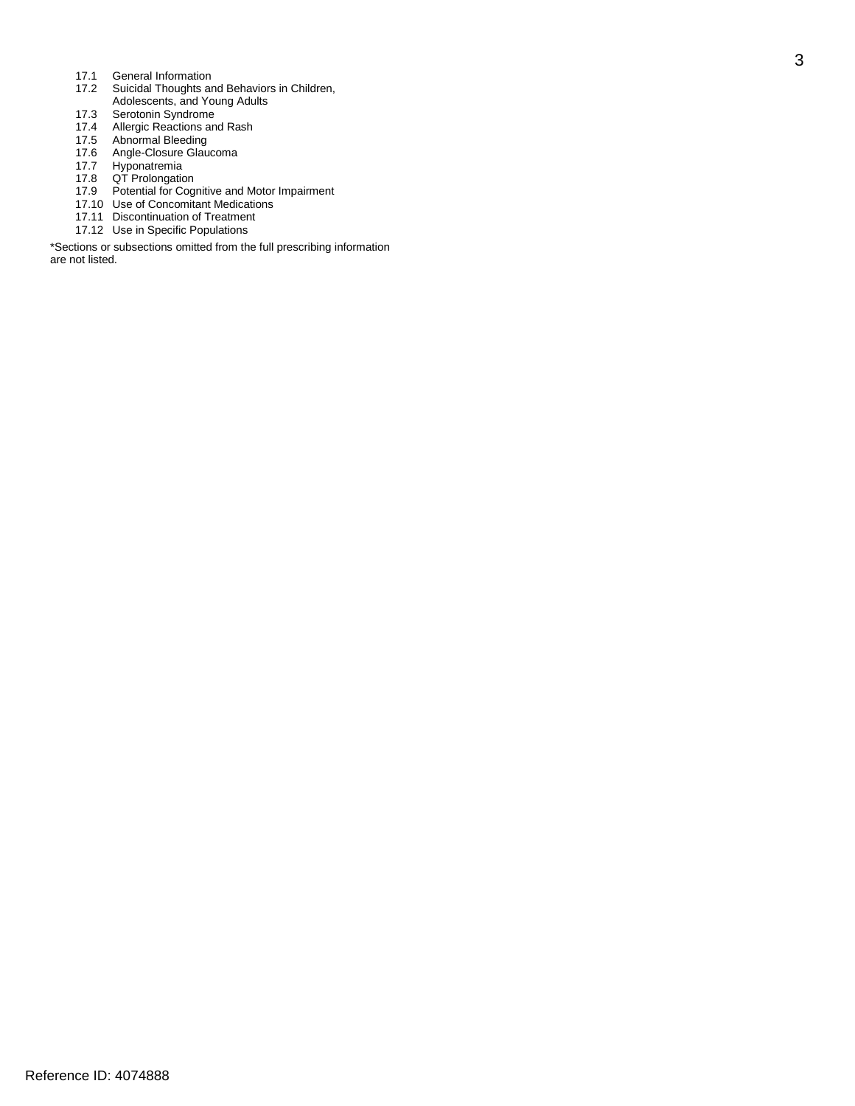- 17.1 General Information
- Suicidal Thoughts and Behaviors in Children, Adolescents, and Young Adults
- 17.3 Serotonin Syndrome
- 17.4 Allergic Reactions and Rash 17.4 Allergic Reactions a<br>17.5 Abnormal Bleeding
- 
- 17.6 Angle-Closure Glaucoma
- 17.7 Hyponatremia
- 17.8 QT Prolongation
- 17.9 Potential for Cognitive and Motor Impairment
- 17.10 Use of Concomitant Medications
- 17.11 Discontinuation of Treatment
- 17.12 Use in Specific Populations

\*Sections or subsections omitted from the full prescribing information are not listed.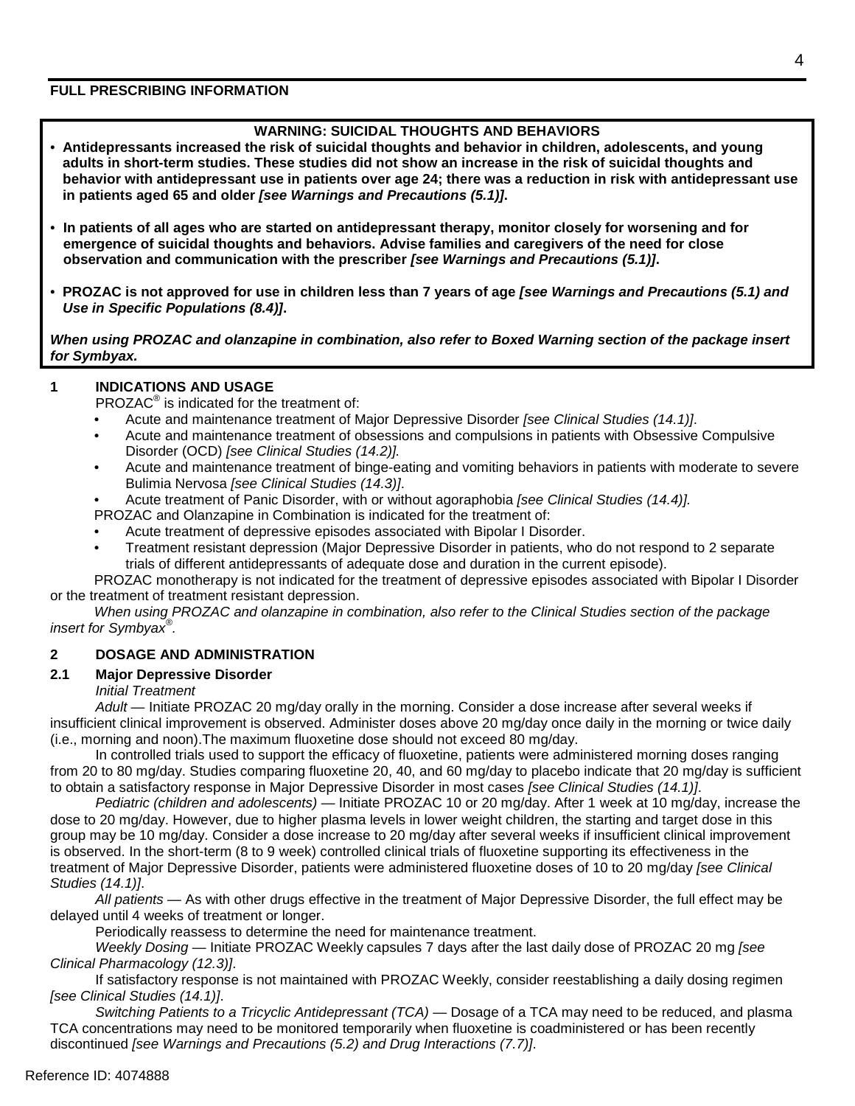#### **FULL PRESCRIBING INFORMATION**

## **WARNING: SUICIDAL THOUGHTS AND BEHAVIORS**

- • **Antidepressants increased the risk of suicidal thoughts and behavior in children, adolescents, and young adults in short-term studies. These studies did not show an increase in the risk of suicidal thoughts and behavior with antidepressant use in patients over age 24; there was a reduction in risk with antidepressant use in patients aged 65 and older** *[see Warnings and Precautions (5.1)]***.**
- • **In patients of all ages who are started on antidepressant therapy, monitor closely for worsening and for emergence of suicidal thoughts and behaviors. Advise families and caregivers of the need for close observation and communication with the prescriber** *[see Warnings and Precautions (5.1)]***.**
- • **PROZAC is not approved for use in children less than 7 years of age** *[see Warnings and Precautions (5.1) and Use in Specific Populations (8.4)]***.**

 *When using PROZAC and olanzapine in combination, also refer to Boxed Warning section of the package insert for Symbyax.* 

#### **1 INDICATIONS AND USAGE**

PROZAC® is indicated for the treatment of:

- Acute and maintenance treatment of Major Depressive Disorder *[see Clinical Studies (14.1)*].
- Acute and maintenance treatment of obsessions and compulsions in patients with Obsessive Compulsive Disorder (OCD) *[see Clinical Studies (14.2)].*
- Acute and maintenance treatment of binge-eating and vomiting behaviors in patients with moderate to severe Bulimia Nervosa *[see Clinical Studies (14.3)]*.
- Acute treatment of Panic Disorder, with or without agoraphobia *[see Clinical Studies (14.4)].*

PROZAC and Olanzapine in Combination is indicated for the treatment of:

- Acute treatment of depressive episodes associated with Bipolar I Disorder.
- trials of different antidepressants of adequate dose and duration in the current episode). Treatment resistant depression (Major Depressive Disorder in patients, who do not respond to 2 separate

PROZAC monotherapy is not indicated for the treatment of depressive episodes associated with Bipolar I Disorder or the treatment of treatment resistant depression.

*When using PROZAC and olanzapine in combination, also refer to the Clinical Studies section of the package insert for Symbyax® .* 

#### **2 DOSAGE AND ADMINISTRATION**

#### **2.1 Major Depressive Disorder**

### *Initial Treatment*

 *Adult* — Initiate PROZAC 20 mg/day orally in the morning. Consider a dose increase after several weeks if (i.e., morning and noon).The maximum fluoxetine dose should not exceed 80 mg/day. insufficient clinical improvement is observed. Administer doses above 20 mg/day once daily in the morning or twice daily

 from 20 to 80 mg/day. Studies comparing fluoxetine 20, 40, and 60 mg/day to placebo indicate that 20 mg/day is sufficient In controlled trials used to support the efficacy of fluoxetine, patients were administered morning doses ranging to obtain a satisfactory response in Major Depressive Disorder in most cases *[see Clinical Studies (14.1)]*.

 *Pediatric (children and adolescents)* — Initiate PROZAC 10 or 20 mg/day. After 1 week at 10 mg/day, increase the dose to 20 mg/day. However, due to higher plasma levels in lower weight children, the starting and target dose in this group may be 10 mg/day. Consider a dose increase to 20 mg/day after several weeks if insufficient clinical improvement is observed. In the short-term (8 to 9 week) controlled clinical trials of fluoxetine supporting its effectiveness in the treatment of Major Depressive Disorder, patients were administered fluoxetine doses of 10 to 20 mg/day *[see Clinical Studies (14.1)]*.

 *All patients* — As with other drugs effective in the treatment of Major Depressive Disorder, the full effect may be delayed until 4 weeks of treatment or longer.

Periodically reassess to determine the need for maintenance treatment.

 *Weekly Dosing* — Initiate PROZAC Weekly capsules 7 days after the last daily dose of PROZAC 20 mg *[see Clinical Pharmacology (12.3)]*.

If satisfactory response is not maintained with PROZAC Weekly, consider reestablishing a daily dosing regimen *[see Clinical Studies (14.1)]*.

 *Switching Patients to a Tricyclic Antidepressant (TCA)* — Dosage of a TCA may need to be reduced, and plasma TCA concentrations may need to be monitored temporarily when fluoxetine is coadministered or has been recently discontinued *[see Warnings and Precautions (5.2) and Drug Interactions (7.7)]*.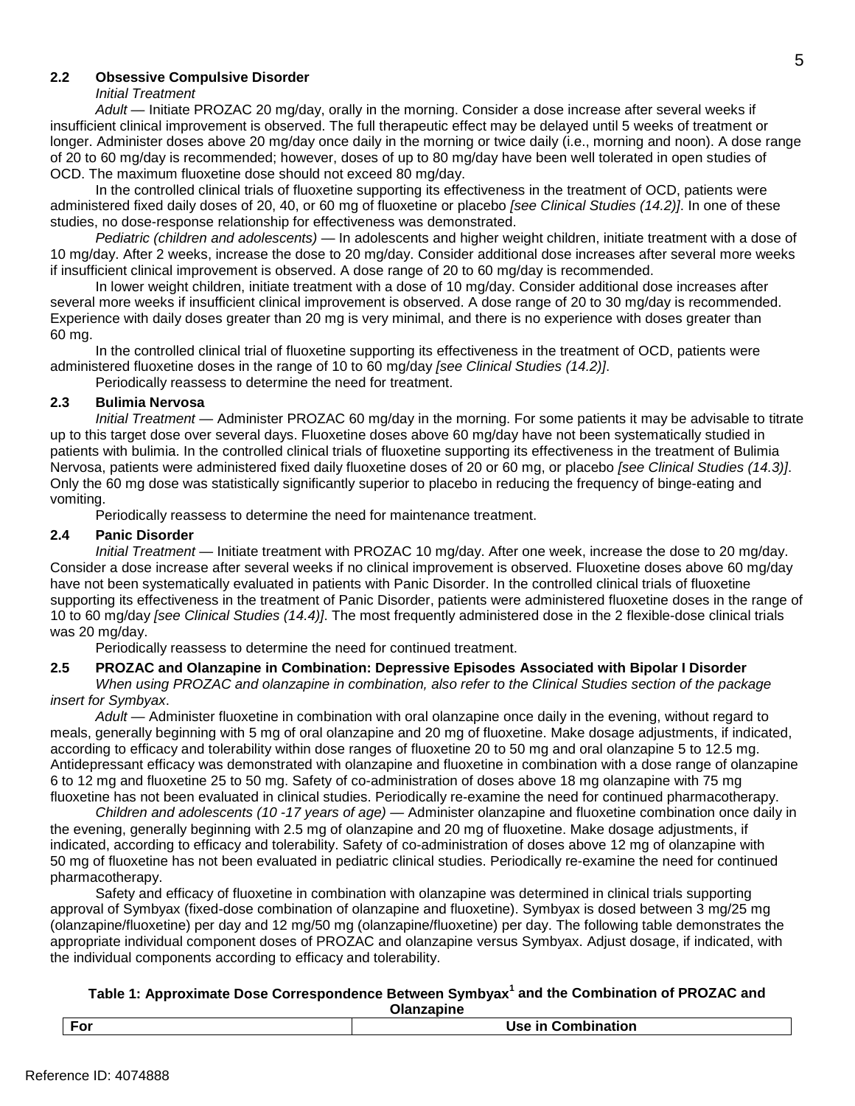#### **2.2 Obsessive Compulsive Disorder**

#### *Initial Treatment*

 *Adult* — Initiate PROZAC 20 mg/day, orally in the morning. Consider a dose increase after several weeks if OCD. The maximum fluoxetine dose should not exceed 80 mg/day. insufficient clinical improvement is observed. The full therapeutic effect may be delayed until 5 weeks of treatment or longer. Administer doses above 20 mg/day once daily in the morning or twice daily (i.e., morning and noon). A dose range of 20 to 60 mg/day is recommended; however, doses of up to 80 mg/day have been well tolerated in open studies of

 administered fixed daily doses of 20, 40, or 60 mg of fluoxetine or placebo *[see Clinical Studies (14.2)]*. In one of these In the controlled clinical trials of fluoxetine supporting its effectiveness in the treatment of OCD, patients were studies, no dose-response relationship for effectiveness was demonstrated.

 *Pediatric (children and adolescents)* — In adolescents and higher weight children, initiate treatment with a dose of 10 mg/day. After 2 weeks, increase the dose to 20 mg/day. Consider additional dose increases after several more weeks if insufficient clinical improvement is observed. A dose range of 20 to 60 mg/day is recommended.

 several more weeks if insufficient clinical improvement is observed. A dose range of 20 to 30 mg/day is recommended. 60 mg. In lower weight children, initiate treatment with a dose of 10 mg/day. Consider additional dose increases after Experience with daily doses greater than 20 mg is very minimal, and there is no experience with doses greater than

 In the controlled clinical trial of fluoxetine supporting its effectiveness in the treatment of OCD, patients were administered fluoxetine doses in the range of 10 to 60 mg/day *[see Clinical Studies (14.2)]*.

Periodically reassess to determine the need for treatment.

#### **2.3 Bulimia Nervosa**

 *Initial Treatment* — Administer PROZAC 60 mg/day in the morning. For some patients it may be advisable to titrate up to this target dose over several days. Fluoxetine doses above 60 mg/day have not been systematically studied in patients with bulimia. In the controlled clinical trials of fluoxetine supporting its effectiveness in the treatment of Bulimia Nervosa, patients were administered fixed daily fluoxetine doses of 20 or 60 mg, or placebo *[see Clinical Studies (14.3)]*. Only the 60 mg dose was statistically significantly superior to placebo in reducing the frequency of binge-eating and vomiting.

Periodically reassess to determine the need for maintenance treatment.

#### **2.4 Panic Disorder**

 *Initial Treatment* — Initiate treatment with PROZAC 10 mg/day. After one week, increase the dose to 20 mg/day. was 20 mg/day. Consider a dose increase after several weeks if no clinical improvement is observed. Fluoxetine doses above 60 mg/day have not been systematically evaluated in patients with Panic Disorder. In the controlled clinical trials of fluoxetine supporting its effectiveness in the treatment of Panic Disorder, patients were administered fluoxetine doses in the range of 10 to 60 mg/day *[see Clinical Studies (14.4)]*. The most frequently administered dose in the 2 flexible-dose clinical trials

Periodically reassess to determine the need for continued treatment.

### **2.5 PROZAC and Olanzapine in Combination: Depressive Episodes Associated with Bipolar I Disorder**

*When using PROZAC and olanzapine in combination, also refer to the Clinical Studies section of the package insert for Symbyax*.

 according to efficacy and tolerability within dose ranges of fluoxetine 20 to 50 mg and oral olanzapine 5 to 12.5 mg. 6 to 12 mg and fluoxetine 25 to 50 mg. Safety of co-administration of doses above 18 mg olanzapine with 75 mg *Adult* — Administer fluoxetine in combination with oral olanzapine once daily in the evening, without regard to meals, generally beginning with 5 mg of oral olanzapine and 20 mg of fluoxetine. Make dosage adjustments, if indicated, Antidepressant efficacy was demonstrated with olanzapine and fluoxetine in combination with a dose range of olanzapine fluoxetine has not been evaluated in clinical studies. Periodically re-examine the need for continued pharmacotherapy.

 *Children and adolescents (10 -17 years of age) —* Administer olanzapine and fluoxetine combination once daily in 50 mg of fluoxetine has not been evaluated in pediatric clinical studies. Periodically re-examine the need for continued the evening, generally beginning with 2.5 mg of olanzapine and 20 mg of fluoxetine. Make dosage adjustments, if indicated, according to efficacy and tolerability. Safety of co-administration of doses above 12 mg of olanzapine with pharmacotherapy.

 approval of Symbyax (fixed-dose combination of olanzapine and fluoxetine). Symbyax is dosed between 3 mg/25 mg (olanzapine/fluoxetine) per day and 12 mg/50 mg (olanzapine/fluoxetine) per day. The following table demonstrates the appropriate individual component doses of PROZAC and olanzapine versus Symbyax. Adjust dosage, if indicated, with Safety and efficacy of fluoxetine in combination with olanzapine was determined in clinical trials supporting the individual components according to efficacy and tolerability.

#### **Table 1: Approximate Dose Correspondence Between Symbyax1 and the Combination of PROZAC and Olanzapine**

| oianzabine |                                                 |  |  |  |
|------------|-------------------------------------------------|--|--|--|
| ►oı        | Use in<br>'s selection of the se<br>Compination |  |  |  |
|            |                                                 |  |  |  |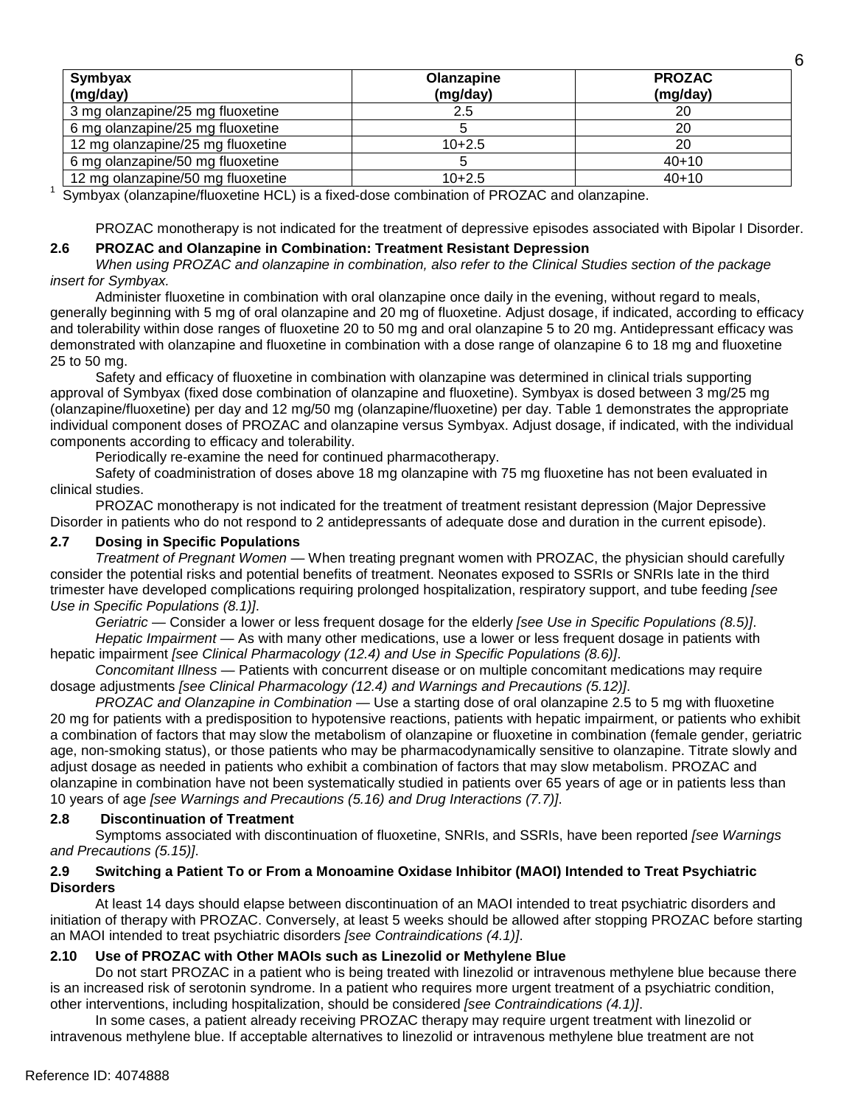| Symbyax                           | Olanzapine | <b>PROZAC</b> |
|-----------------------------------|------------|---------------|
| (mg/day)                          | (mg/day)   | (mg/day)      |
| 3 mg olanzapine/25 mg fluoxetine  | 2.5        | 20            |
| 6 mg olanzapine/25 mg fluoxetine  |            | 20            |
| 12 mg olanzapine/25 mg fluoxetine | $10+2.5$   | 20            |
| 6 mg olanzapine/50 mg fluoxetine  |            | $40+10$       |
| 12 mg olanzapine/50 mg fluoxetine | $10+2.5$   | $40+10$       |

<sup>1</sup> Symbyax (olanzapine/fluoxetine HCL) is a fixed-dose combination of PROZAC and olanzapine.

PROZAC monotherapy is not indicated for the treatment of depressive episodes associated with Bipolar I Disorder.

#### **2.6 PROZAC and Olanzapine in Combination: Treatment Resistant Depression**

*When using PROZAC and olanzapine in combination, also refer to the Clinical Studies section of the package insert for Symbyax.* 

 and tolerability within dose ranges of fluoxetine 20 to 50 mg and oral olanzapine 5 to 20 mg. Antidepressant efficacy was demonstrated with olanzapine and fluoxetine in combination with a dose range of olanzapine 6 to 18 mg and fluoxetine 25 to 50 mg. Administer fluoxetine in combination with oral olanzapine once daily in the evening, without regard to meals, generally beginning with 5 mg of oral olanzapine and 20 mg of fluoxetine. Adjust dosage, if indicated, according to efficacy

 approval of Symbyax (fixed dose combination of olanzapine and fluoxetine). Symbyax is dosed between 3 mg/25 mg (olanzapine/fluoxetine) per day and 12 mg/50 mg (olanzapine/fluoxetine) per day. Table 1 demonstrates the appropriate Safety and efficacy of fluoxetine in combination with olanzapine was determined in clinical trials supporting individual component doses of PROZAC and olanzapine versus Symbyax. Adjust dosage, if indicated, with the individual components according to efficacy and tolerability.

Periodically re-examine the need for continued pharmacotherapy.

Safety of coadministration of doses above 18 mg olanzapine with 75 mg fluoxetine has not been evaluated in clinical studies.

 Disorder in patients who do not respond to 2 antidepressants of adequate dose and duration in the current episode). PROZAC monotherapy is not indicated for the treatment of treatment resistant depression (Major Depressive

#### **2.7 Dosing in Specific Populations**

 *Treatment of Pregnant Women* — W hen treating pregnant women with PROZAC, the physician should carefully consider the potential risks and potential benefits of treatment. Neonates exposed to SSRIs or SNRIs late in the third trimester have developed complications requiring prolonged hospitalization, respiratory support, and tube feeding *[see Use in Specific Populations (8.1)]*.

 *Geriatric* — Consider a lower or less frequent dosage for the elderly *[see Use in Specific Populations (8.5)]*. *Hepatic Impairment* — As with many other medications, use a lower or less frequent dosage in patients with hepatic impairment *[see Clinical Pharmacology (12.4) and Use in Specific Populations (8.6)]*.

 *Concomitant Illness* — Patients with concurrent disease or on multiple concomitant medications may require dosage adjustments *[see Clinical Pharmacology (12.4) and Warnings and Precautions (5.12)]*.

 *PROZAC and Olanzapine in Combination* — Use a starting dose of oral olanzapine 2.5 to 5 mg with fluoxetine age, non-smoking status), or those patients who may be pharmacodynamically sensitive to olanzapine. Titrate slowly and adjust dosage as needed in patients who exhibit a combination of factors that may slow metabolism. PROZAC and 20 mg for patients with a predisposition to hypotensive reactions, patients with hepatic impairment, or patients who exhibit a combination of factors that may slow the metabolism of olanzapine or fluoxetine in combination (female gender, geriatric olanzapine in combination have not been systematically studied in patients over 65 years of age or in patients less than 10 years of age *[see Warnings and Precautions (5.16) and Drug Interactions (7.7)]*.

#### **2.8 Discontinuation of Treatment**

Symptoms associated with discontinuation of fluoxetine, SNRIs, and SSRIs, have been reported *[see Warnings and Precautions (5.15)]*.

#### **2.9 Switching a Patient To or From a Monoamine Oxidase Inhibitor (MAOI) Intended to Treat Psychiatric Disorders**

At least 14 days should elapse between discontinuation of an MAOI intended to treat psychiatric disorders and initiation of therapy with PROZAC. Conversely, at least 5 weeks should be allowed after stopping PROZAC before starting an MAOI intended to treat psychiatric disorders *[see Contraindications (4.1)]*.

#### **2.10 Use of PROZAC with Other MAOIs such as Linezolid or Methylene Blue**

 Do not start PROZAC in a patient who is being treated with linezolid or intravenous methylene blue because there is an increased risk of serotonin syndrome. In a patient who requires more urgent treatment of a psychiatric condition, other interventions, including hospitalization, should be considered *[see Contraindications (4.1)]*.

In some cases, a patient already receiving PROZAC therapy may require urgent treatment with linezolid or intravenous methylene blue. If acceptable alternatives to linezolid or intravenous methylene blue treatment are not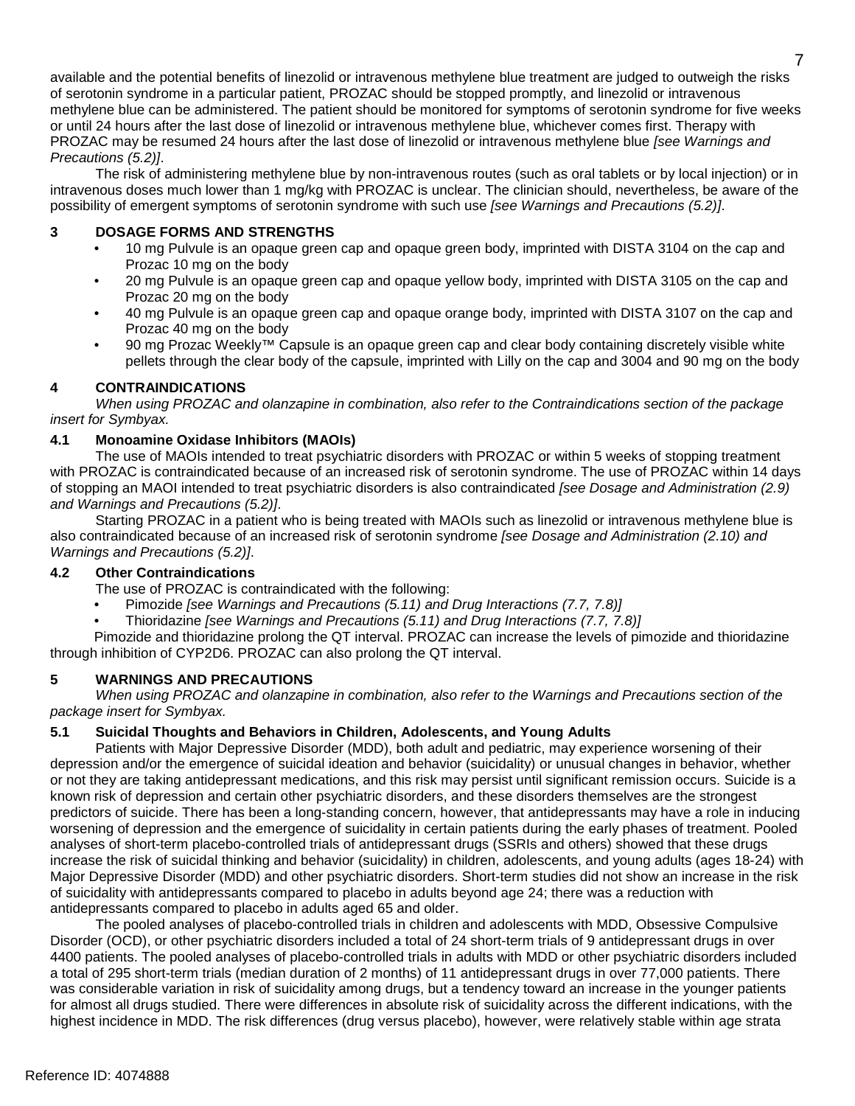or until 24 hours after the last dose of linezolid or intravenous methylene blue, whichever comes first. Therapy with available and the potential benefits of linezolid or intravenous methylene blue treatment are judged to outweigh the risks of serotonin syndrome in a particular patient, PROZAC should be stopped promptly, and linezolid or intravenous methylene blue can be administered. The patient should be monitored for symptoms of serotonin syndrome for five weeks PROZAC may be resumed 24 hours after the last dose of linezolid or intravenous methylene blue *[see Warnings and Precautions (5.2)]*.

The risk of administering methylene blue by non-intravenous routes (such as oral tablets or by local injection) or in intravenous doses much lower than 1 mg/kg with PROZAC is unclear. The clinician should, nevertheless, be aware of the possibility of emergent symptoms of serotonin syndrome with such use *[see Warnings and Precautions (5.2)]*.

#### **3 DOSAGE FORMS AND STRENGTHS**

- 10 mg Pulvule is an opaque green cap and opaque green body, imprinted with DISTA 3104 on the cap and Prozac 10 mg on the body
- 20 mg Pulvule is an opaque green cap and opaque yellow body, imprinted with DISTA 3105 on the cap and Prozac 20 mg on the body
- 40 mg Pulvule is an opaque green cap and opaque orange body, imprinted with DISTA 3107 on the cap and Prozac 40 mg on the body
- 90 mg Prozac Weekly™ Capsule is an opaque green cap and clear body containing discretely visible white pellets through the clear body of the capsule, imprinted with Lilly on the cap and 3004 and 90 mg on the body

#### **4 CONTRAINDICATIONS**

*When using PROZAC and olanzapine in combination, also refer to the Contraindications section of the package insert for Symbyax.* 

#### **4.1 Monoamine Oxidase Inhibitors (MAOIs)**

 The use of MAOIs intended to treat psychiatric disorders with PROZAC or within 5 weeks of stopping treatment with PROZAC is contraindicated because of an increased risk of serotonin syndrome. The use of PROZAC within 14 days of stopping an MAOI intended to treat psychiatric disorders is also contraindicated *[see Dosage and Administration (2.9) and Warnings and Precautions (5.2)]*.

Starting PROZAC in a patient who is being treated with MAOIs such as linezolid or intravenous methylene blue is also contraindicated because of an increased risk of serotonin syndrome *[see Dosage and Administration (2.10) and Warnings and Precautions (5.2)]*.

#### **4.2 Other Contraindications**

The use of PROZAC is contraindicated with the following:

- Pimozide *[see Warnings and Precautions (5.11) and Drug Interactions (7.7, 7.8)]*
- Thioridazine *[see Warnings and Precautions (5.11) and Drug Interactions (7.7, 7.8)]*

Pimozide and thioridazine prolong the QT interval. PROZAC can increase the levels of pimozide and thioridazine through inhibition of CYP2D6. PROZAC can also prolong the QT interval.

#### **5 WARNINGS AND PRECAUTIONS**

*When using PROZAC and olanzapine in combination, also refer to the Warnings and Precautions section of the package insert for Symbyax.* 

#### **5.1 Suicidal Thoughts and Behaviors in Children, Adolescents, and Young Adults**

 depression and/or the emergence of suicidal ideation and behavior (suicidality) or unusual changes in behavior, whether or not they are taking antidepressant medications, and this risk may persist until significant remission occurs. Suicide is a known risk of depression and certain other psychiatric disorders, and these disorders themselves are the strongest Patients with Major Depressive Disorder (MDD), both adult and pediatric, may experience worsening of their predictors of suicide. There has been a long-standing concern, however, that antidepressants may have a role in inducing worsening of depression and the emergence of suicidality in certain patients during the early phases of treatment. Pooled analyses of short-term placebo-controlled trials of antidepressant drugs (SSRIs and others) showed that these drugs increase the risk of suicidal thinking and behavior (suicidality) in children, adolescents, and young adults (ages 18-24) with Major Depressive Disorder (MDD) and other psychiatric disorders. Short-term studies did not show an increase in the risk of suicidality with antidepressants compared to placebo in adults beyond age 24; there was a reduction with antidepressants compared to placebo in adults aged 65 and older.

 highest incidence in MDD. The risk differences (drug versus placebo), however, were relatively stable within age strata The pooled analyses of placebo-controlled trials in children and adolescents with MDD, Obsessive Compulsive Disorder (OCD), or other psychiatric disorders included a total of 24 short-term trials of 9 antidepressant drugs in over 4400 patients. The pooled analyses of placebo-controlled trials in adults with MDD or other psychiatric disorders included a total of 295 short-term trials (median duration of 2 months) of 11 antidepressant drugs in over 77,000 patients. There was considerable variation in risk of suicidality among drugs, but a tendency toward an increase in the younger patients for almost all drugs studied. There were differences in absolute risk of suicidality across the different indications, with the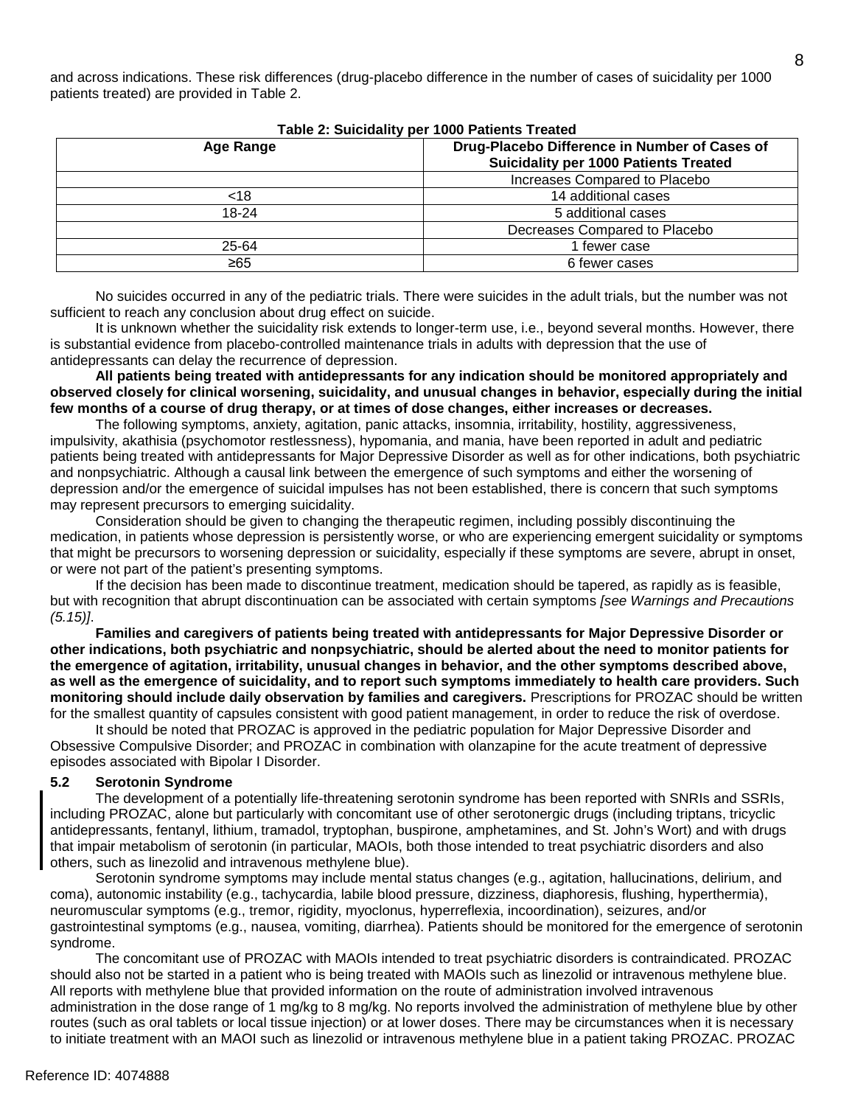and across indications. These risk differences (drug-placebo difference in the number of cases of suicidality per 1000 patients treated) are provided in Table 2.

| <b>Age Range</b> | Drug-Placebo Difference in Number of Cases of<br><b>Suicidality per 1000 Patients Treated</b> |  |  |
|------------------|-----------------------------------------------------------------------------------------------|--|--|
|                  | Increases Compared to Placebo                                                                 |  |  |
| <18              | 14 additional cases                                                                           |  |  |
| 18-24            | 5 additional cases                                                                            |  |  |
|                  | Decreases Compared to Placebo                                                                 |  |  |
| 25-64            | 1 fewer case                                                                                  |  |  |
| ≥65              | 6 fewer cases                                                                                 |  |  |

 No suicides occurred in any of the pediatric trials. There were suicides in the adult trials, but the number was not sufficient to reach any conclusion about drug effect on suicide.

 is substantial evidence from placebo-controlled maintenance trials in adults with depression that the use of It is unknown whether the suicidality risk extends to longer-term use, i.e., beyond several months. However, there antidepressants can delay the recurrence of depression.

 **All patients being treated with antidepressants for any indication should be monitored appropriately and observed closely for clinical worsening, suicidality, and unusual changes in behavior, especially during the initial few months of a course of drug therapy, or at times of dose changes, either increases or decreases.** 

The following symptoms, anxiety, agitation, panic attacks, insomnia, irritability, hostility, aggressiveness, impulsivity, akathisia (psychomotor restlessness), hypomania, and mania, have been reported in adult and pediatric patients being treated with antidepressants for Major Depressive Disorder as well as for other indications, both psychiatric and nonpsychiatric. Although a causal link between the emergence of such symptoms and either the worsening of depression and/or the emergence of suicidal impulses has not been established, there is concern that such symptoms may represent precursors to emerging suicidality.

 medication, in patients whose depression is persistently worse, or who are experiencing emergent suicidality or symptoms Consideration should be given to changing the therapeutic regimen, including possibly discontinuing the that might be precursors to worsening depression or suicidality, especially if these symptoms are severe, abrupt in onset, or were not part of the patient's presenting symptoms.

If the decision has been made to discontinue treatment, medication should be tapered, as rapidly as is feasible, but with recognition that abrupt discontinuation can be associated with certain symptoms *[see Warnings and Precautions (5.15)]*.

 **Families and caregivers of patients being treated with antidepressants for Major Depressive Disorder or**  for the smallest quantity of capsules consistent with good patient management, in order to reduce the risk of overdose. **other indications, both psychiatric and nonpsychiatric, should be alerted about the need to monitor patients for the emergence of agitation, irritability, unusual changes in behavior, and the other symptoms described above, as well as the emergence of suicidality, and to report such symptoms immediately to health care providers. Such monitoring should include daily observation by families and caregivers.** Prescriptions for PROZAC should be written

It should be noted that PROZAC is approved in the pediatric population for Major Depressive Disorder and Obsessive Compulsive Disorder; and PROZAC in combination with olanzapine for the acute treatment of depressive episodes associated with Bipolar I Disorder.

#### **5.2 Serotonin Syndrome**

 including PROZAC, alone but particularly with concomitant use of other serotonergic drugs (including triptans, tricyclic antidepressants, fentanyl, lithium, tramadol, tryptophan, buspirone, amphetamines, and St. John's W ort) and with drugs The development of a potentially life-threatening serotonin syndrome has been reported with SNRIs and SSRIs, that impair metabolism of serotonin (in particular, MAOIs, both those intended to treat psychiatric disorders and also others, such as linezolid and intravenous methylene blue).

 Serotonin syndrome symptoms may include mental status changes (e.g., agitation, hallucinations, delirium, and neuromuscular symptoms (e.g., tremor, rigidity, myoclonus, hyperreflexia, incoordination), seizures, and/or coma), autonomic instability (e.g., tachycardia, labile blood pressure, dizziness, diaphoresis, flushing, hyperthermia), gastrointestinal symptoms (e.g., nausea, vomiting, diarrhea). Patients should be monitored for the emergence of serotonin syndrome.

 administration in the dose range of 1 mg/kg to 8 mg/kg. No reports involved the administration of methylene blue by other The concomitant use of PROZAC with MAOIs intended to treat psychiatric disorders is contraindicated. PROZAC should also not be started in a patient who is being treated with MAOIs such as linezolid or intravenous methylene blue. All reports with methylene blue that provided information on the route of administration involved intravenous routes (such as oral tablets or local tissue injection) or at lower doses. There may be circumstances when it is necessary to initiate treatment with an MAOI such as linezolid or intravenous methylene blue in a patient taking PROZAC. PROZAC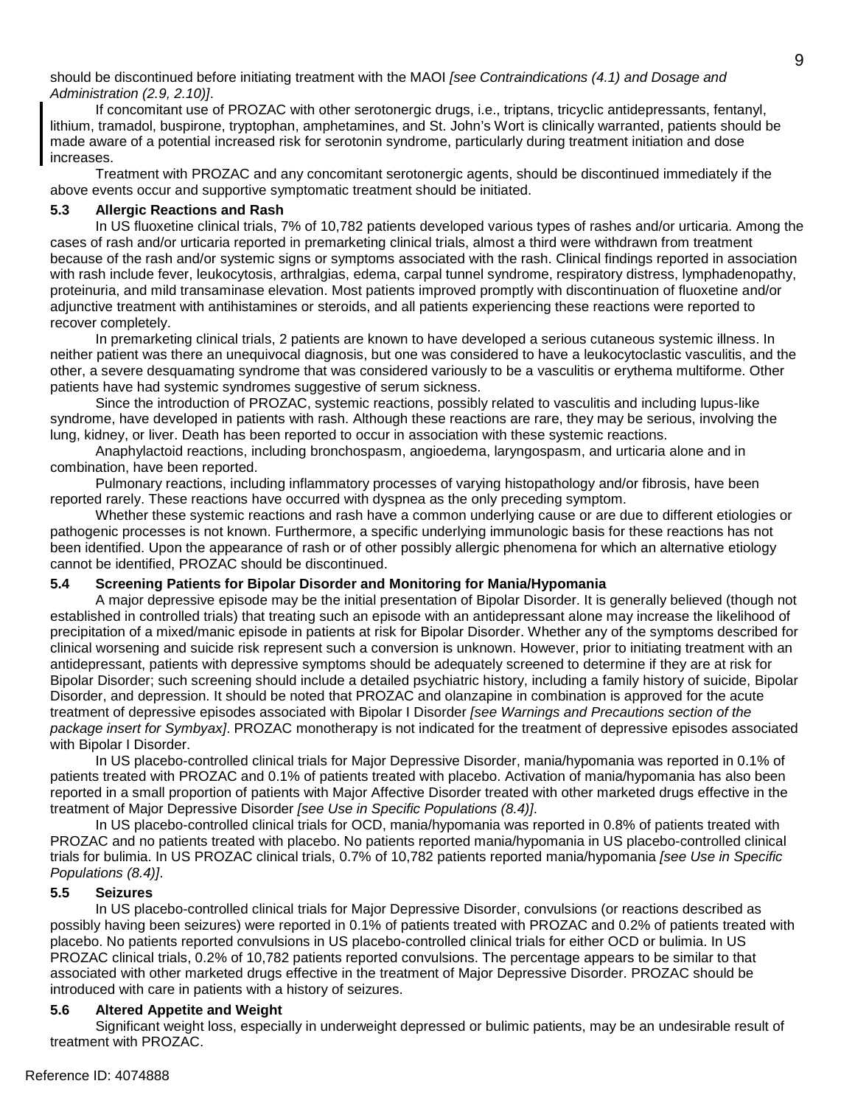should be discontinued before initiating treatment with the MAOI *[see Contraindications (4.1) and Dosage and Administration (2.9, 2.10)]*.

If concomitant use of PROZAC with other serotonergic drugs, i.e., triptans, tricyclic antidepressants, fentanyl, lithium, tramadol, buspirone, tryptophan, amphetamines, and St. John's W ort is clinically warranted, patients should be made aware of a potential increased risk for serotonin syndrome, particularly during treatment initiation and dose increases.

Treatment with PROZAC and any concomitant serotonergic agents, should be discontinued immediately if the above events occur and supportive symptomatic treatment should be initiated.

#### **5.3 Allergic Reactions and Rash**

 In US fluoxetine clinical trials, 7% of 10,782 patients developed various types of rashes and/or urticaria. Among the cases of rash and/or urticaria reported in premarketing clinical trials, almost a third were withdrawn from treatment because of the rash and/or systemic signs or symptoms associated with the rash. Clinical findings reported in association with rash include fever, leukocytosis, arthralgias, edema, carpal tunnel syndrome, respiratory distress, lymphadenopathy, proteinuria, and mild transaminase elevation. Most patients improved promptly with discontinuation of fluoxetine and/or adjunctive treatment with antihistamines or steroids, and all patients experiencing these reactions were reported to recover completely.

In premarketing clinical trials, 2 patients are known to have developed a serious cutaneous systemic illness. In neither patient was there an unequivocal diagnosis, but one was considered to have a leukocytoclastic vasculitis, and the other, a severe desquamating syndrome that was considered variously to be a vasculitis or erythema multiforme. Other patients have had systemic syndromes suggestive of serum sickness.

 syndrome, have developed in patients with rash. Although these reactions are rare, they may be serious, involving the lung, kidney, or liver. Death has been reported to occur in association with these systemic reactions. Since the introduction of PROZAC, systemic reactions, possibly related to vasculitis and including lupus-like

Anaphylactoid reactions, including bronchospasm, angioedema, laryngospasm, and urticaria alone and in combination, have been reported.

Pulmonary reactions, including inflammatory processes of varying histopathology and/or fibrosis, have been reported rarely. These reactions have occurred with dyspnea as the only preceding symptom.

Whether these systemic reactions and rash have a common underlying cause or are due to different etiologies or pathogenic processes is not known. Furthermore, a specific underlying immunologic basis for these reactions has not been identified. Upon the appearance of rash or of other possibly allergic phenomena for which an alternative etiology cannot be identified, PROZAC should be discontinued.

#### **5.4 Screening Patients for Bipolar Disorder and Monitoring for Mania/Hypomania**

A major depressive episode may be the initial presentation of Bipolar Disorder. It is generally believed (though not established in controlled trials) that treating such an episode with an antidepressant alone may increase the likelihood of precipitation of a mixed/manic episode in patients at risk for Bipolar Disorder. W hether any of the symptoms described for clinical worsening and suicide risk represent such a conversion is unknown. However, prior to initiating treatment with an antidepressant, patients with depressive symptoms should be adequately screened to determine if they are at risk for Bipolar Disorder; such screening should include a detailed psychiatric history, including a family history of suicide, Bipolar Disorder, and depression. It should be noted that PROZAC and olanzapine in combination is approved for the acute treatment of depressive episodes associated with Bipolar I Disorder *[see Warnings and Precautions section of the package insert for Symbyax]*. PROZAC monotherapy is not indicated for the treatment of depressive episodes associated with Bipolar I Disorder.

In US placebo-controlled clinical trials for Major Depressive Disorder, mania/hypomania was reported in 0.1% of patients treated with PROZAC and 0.1% of patients treated with placebo. Activation of mania/hypomania has also been reported in a small proportion of patients with Major Affective Disorder treated with other marketed drugs effective in the treatment of Major Depressive Disorder *[see Use in Specific Populations (8.4)]*.

 trials for bulimia. In US PROZAC clinical trials, 0.7% of 10,782 patients reported mania/hypomania *[see Use in Specific*  In US placebo-controlled clinical trials for OCD, mania/hypomania was reported in 0.8% of patients treated with PROZAC and no patients treated with placebo. No patients reported mania/hypomania in US placebo-controlled clinical *Populations (8.4)]*.

#### **5.5 Seizures**

 PROZAC clinical trials, 0.2% of 10,782 patients reported convulsions. The percentage appears to be similar to that In US placebo-controlled clinical trials for Major Depressive Disorder, convulsions (or reactions described as possibly having been seizures) were reported in 0.1% of patients treated with PROZAC and 0.2% of patients treated with placebo. No patients reported convulsions in US placebo-controlled clinical trials for either OCD or bulimia. In US associated with other marketed drugs effective in the treatment of Major Depressive Disorder. PROZAC should be introduced with care in patients with a history of seizures.

#### **5.6 Altered Appetite and Weight**

 Significant weight loss, especially in underweight depressed or bulimic patients, may be an undesirable result of treatment with PROZAC.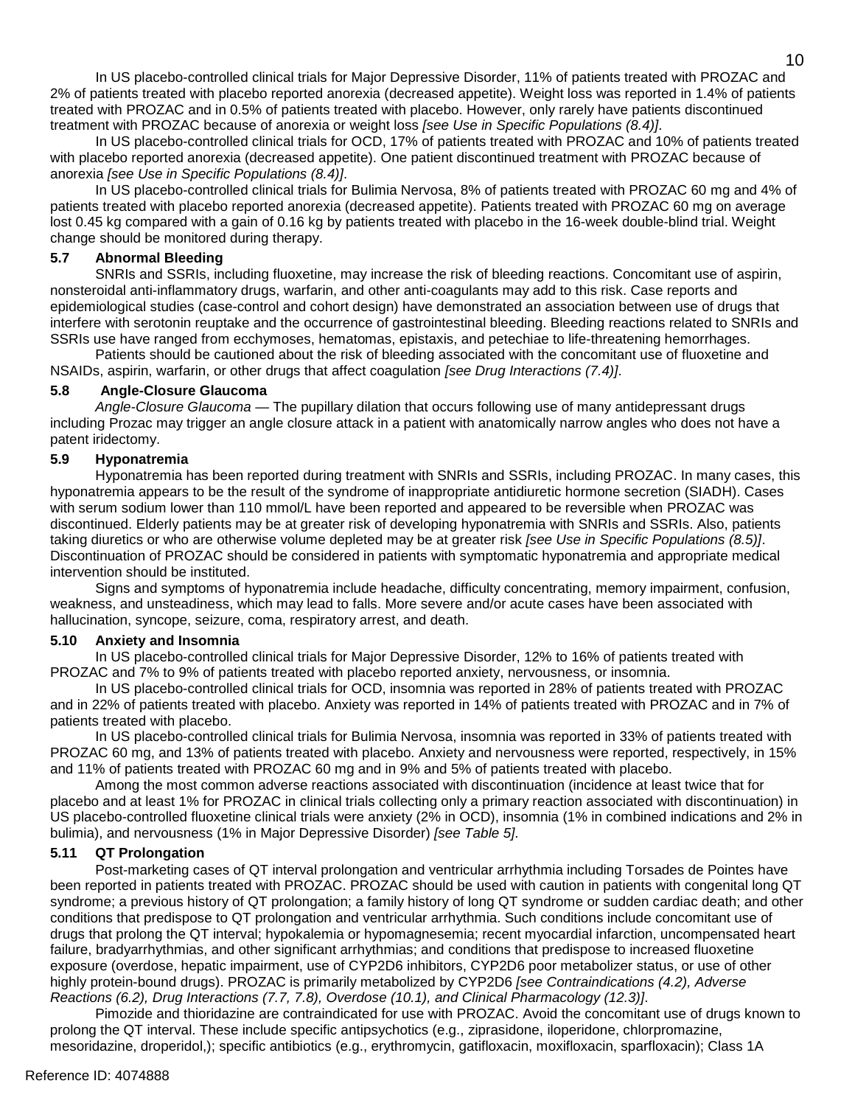treated with PROZAC and in 0.5% of patients treated with placebo. However, only rarely have patients discontinued treatment with PROZAC because of anorexia or weight loss *[see Use in Specific Populations (8.4)]*. In US placebo-controlled clinical trials for Major Depressive Disorder, 11% of patients treated with PROZAC and 2% of patients treated with placebo reported anorexia (decreased appetite). Weight loss was reported in 1.4% of patients

In US placebo-controlled clinical trials for OCD, 17% of patients treated with PROZAC and 10% of patients treated with placebo reported anorexia (decreased appetite). One patient discontinued treatment with PROZAC because of anorexia *[see Use in Specific Populations (8.4)]*.

In US placebo-controlled clinical trials for Bulimia Nervosa, 8% of patients treated with PROZAC 60 mg and 4% of patients treated with placebo reported anorexia (decreased appetite). Patients treated with PROZAC 60 mg on average lost 0.45 kg compared with a gain of 0.16 kg by patients treated with placebo in the 16-week double-blind trial. Weight change should be monitored during therapy.

#### **5.7 Abnormal Bleeding**

 nonsteroidal anti-inflammatory drugs, warfarin, and other anti-coagulants may add to this risk. Case reports and SNRIs and SSRIs, including fluoxetine, may increase the risk of bleeding reactions. Concomitant use of aspirin, epidemiological studies (case-control and cohort design) have demonstrated an association between use of drugs that interfere with serotonin reuptake and the occurrence of gastrointestinal bleeding. Bleeding reactions related to SNRIs and SSRIs use have ranged from ecchymoses, hematomas, epistaxis, and petechiae to life-threatening hemorrhages.

 NSAIDs, aspirin, warfarin, or other drugs that affect coagulation *[see Drug Interactions (7.4)]*. Patients should be cautioned about the risk of bleeding associated with the concomitant use of fluoxetine and

#### **5.8 Angle-Closure Glaucoma**

 *Angle-Closure Glaucoma —* The pupillary dilation that occurs following use of many antidepressant drugs including Prozac may trigger an angle closure attack in a patient with anatomically narrow angles who does not have a patent iridectomy.

#### **5.9 Hyponatremia**

 discontinued. Elderly patients may be at greater risk of developing hyponatremia with SNRIs and SSRIs. Also, patients Hyponatremia has been reported during treatment with SNRIs and SSRIs, including PROZAC. In many cases, this hyponatremia appears to be the result of the syndrome of inappropriate antidiuretic hormone secretion (SIADH). Cases with serum sodium lower than 110 mmol/L have been reported and appeared to be reversible when PROZAC was taking diuretics or who are otherwise volume depleted may be at greater risk *[see Use in Specific Populations (8.5)]*. Discontinuation of PROZAC should be considered in patients with symptomatic hyponatremia and appropriate medical intervention should be instituted.

 Signs and symptoms of hyponatremia include headache, difficulty concentrating, memory impairment, confusion, weakness, and unsteadiness, which may lead to falls. More severe and/or acute cases have been associated with hallucination, syncope, seizure, coma, respiratory arrest, and death.

#### **5.10 Anxiety and Insomnia**

In US placebo-controlled clinical trials for Major Depressive Disorder, 12% to 16% of patients treated with PROZAC and 7% to 9% of patients treated with placebo reported anxiety, nervousness, or insomnia.

 and in 22% of patients treated with placebo. Anxiety was reported in 14% of patients treated with PROZAC and in 7% of In US placebo-controlled clinical trials for OCD, insomnia was reported in 28% of patients treated with PROZAC patients treated with placebo.

In US placebo-controlled clinical trials for Bulimia Nervosa, insomnia was reported in 33% of patients treated with PROZAC 60 mg, and 13% of patients treated with placebo. Anxiety and nervousness were reported, respectively, in 15% and 11% of patients treated with PROZAC 60 mg and in 9% and 5% of patients treated with placebo.

 US placebo-controlled fluoxetine clinical trials were anxiety (2% in OCD), insomnia (1% in combined indications and 2% in  bulimia), and nervousness (1% in Major Depressive Disorder) *[see Table 5]*. Among the most common adverse reactions associated with discontinuation (incidence at least twice that for placebo and at least 1% for PROZAC in clinical trials collecting only a primary reaction associated with discontinuation) in

#### **5.11 QT Prolongation**

 Post-marketing cases of QT interval prolongation and ventricular arrhythmia including Torsades de Pointes have been reported in patients treated with PROZAC. PROZAC should be used with caution in patients with congenital long QT syndrome; a previous history of QT prolongation; a family history of long QT syndrome or sudden cardiac death; and other drugs that prolong the QT interval; hypokalemia or hypomagnesemia; recent myocardial infarction, uncompensated heart conditions that predispose to QT prolongation and ventricular arrhythmia. Such conditions include concomitant use of failure, bradyarrhythmias, and other significant arrhythmias; and conditions that predispose to increased fluoxetine exposure (overdose, hepatic impairment, use of CYP2D6 inhibitors, CYP2D6 poor metabolizer status, or use of other highly protein-bound drugs). PROZAC is primarily metabolized by CYP2D6 *[see Contraindications (4.2), Adverse Reactions (6.2), Drug Interactions (7.7, 7.8), Overdose (10.1), and Clinical Pharmacology (12.3)]*.

 Pimozide and thioridazine are contraindicated for use with PROZAC. Avoid the concomitant use of drugs known to mesoridazine, droperidol,); specific antibiotics (e.g., erythromycin, gatifloxacin, moxifloxacin, sparfloxacin); Class 1A prolong the QT interval. These include specific antipsychotics (e.g., ziprasidone, iloperidone, chlorpromazine,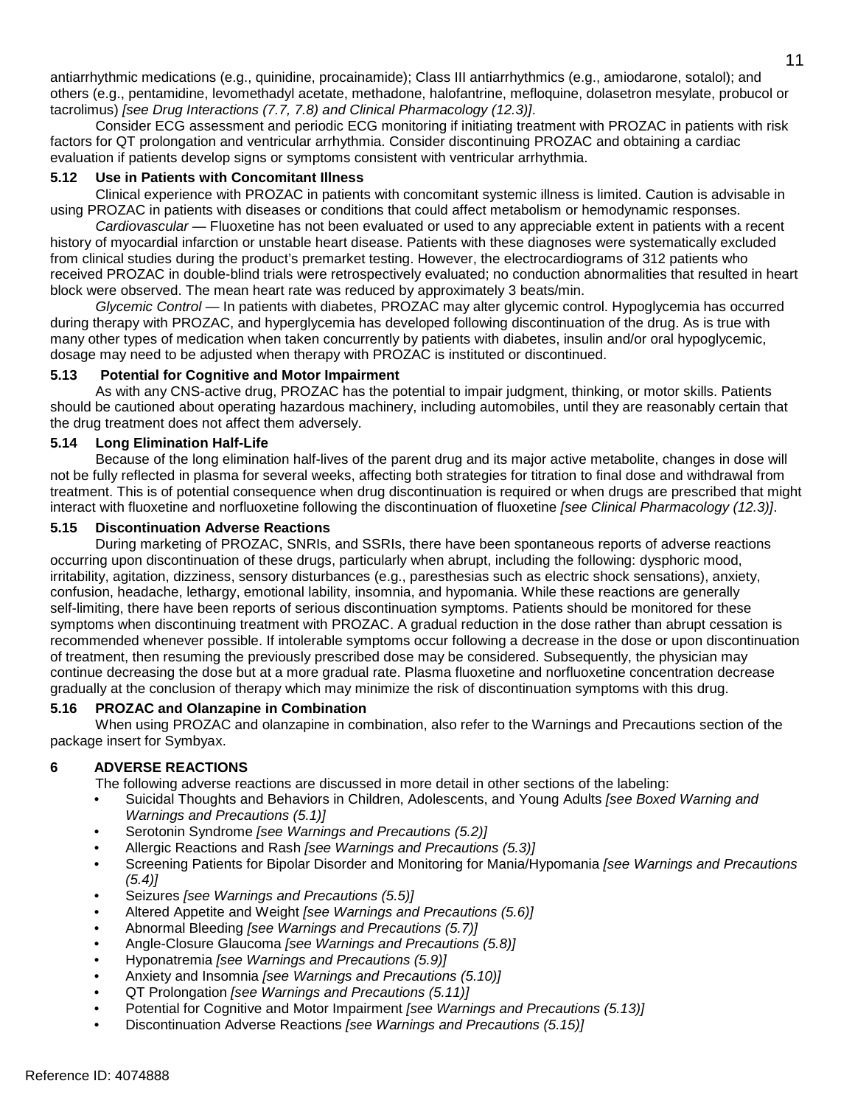antiarrhythmic medications (e.g., quinidine, procainamide); Class III antiarrhythmics (e.g., amiodarone, sotalol); and others (e.g., pentamidine, levomethadyl acetate, methadone, halofantrine, mefloquine, dolasetron mesylate, probucol or tacrolimus) *[see Drug Interactions (7.7, 7.8) and Clinical Pharmacology (12.3)]*.

Consider ECG assessment and periodic ECG monitoring if initiating treatment with PROZAC in patients with risk factors for QT prolongation and ventricular arrhythmia. Consider discontinuing PROZAC and obtaining a cardiac evaluation if patients develop signs or symptoms consistent with ventricular arrhythmia.

#### **5.12 Use in Patients with Concomitant Illness**

Clinical experience with PROZAC in patients with concomitant systemic illness is limited. Caution is advisable in using PROZAC in patients with diseases or conditions that could affect metabolism or hemodynamic responses.

 *Cardiovascular* — Fluoxetine has not been evaluated or used to any appreciable extent in patients with a recent block were observed. The mean heart rate was reduced by approximately 3 beats/min. history of myocardial infarction or unstable heart disease. Patients with these diagnoses were systematically excluded from clinical studies during the product's premarket testing. However, the electrocardiograms of 312 patients who received PROZAC in double-blind trials were retrospectively evaluated; no conduction abnormalities that resulted in heart

 *Glycemic Control* — In patients with diabetes, PROZAC may alter glycemic control. Hypoglycemia has occurred many other types of medication when taken concurrently by patients with diabetes, insulin and/or oral hypoglycemic, during therapy with PROZAC, and hyperglycemia has developed following discontinuation of the drug. As is true with dosage may need to be adjusted when therapy with PROZAC is instituted or discontinued.

#### **5.13 Potential for Cognitive and Motor Impairment**

As with any CNS-active drug, PROZAC has the potential to impair judgment, thinking, or motor skills. Patients should be cautioned about operating hazardous machinery, including automobiles, until they are reasonably certain that the drug treatment does not affect them adversely.

#### **5.14 Long Elimination Half-Life**

 Because of the long elimination half-lives of the parent drug and its major active metabolite, changes in dose will not be fully reflected in plasma for several weeks, affecting both strategies for titration to final dose and withdrawal from treatment. This is of potential consequence when drug discontinuation is required or when drugs are prescribed that might interact with fluoxetine and norfluoxetine following the discontinuation of fluoxetine *[see Clinical Pharmacology (12.3)]*.

#### **5.15 Discontinuation Adverse Reactions**

 During marketing of PROZAC, SNRIs, and SSRIs, there have been spontaneous reports of adverse reactions occurring upon discontinuation of these drugs, particularly when abrupt, including the following: dysphoric mood, irritability, agitation, dizziness, sensory disturbances (e.g., paresthesias such as electric shock sensations), anxiety, confusion, headache, lethargy, emotional lability, insomnia, and hypomania. While these reactions are generally self-limiting, there have been reports of serious discontinuation symptoms. Patients should be monitored for these symptoms when discontinuing treatment with PROZAC. A gradual reduction in the dose rather than abrupt cessation is recommended whenever possible. If intolerable symptoms occur following a decrease in the dose or upon discontinuation of treatment, then resuming the previously prescribed dose may be considered. Subsequently, the physician may continue decreasing the dose but at a more gradual rate. Plasma fluoxetine and norfluoxetine concentration decrease gradually at the conclusion of therapy which may minimize the risk of discontinuation symptoms with this drug.

#### **5.16 PROZAC and Olanzapine in Combination**

When using PROZAC and olanzapine in combination, also refer to the Warnings and Precautions section of the package insert for Symbyax.

#### **6 ADVERSE REACTIONS**

The following adverse reactions are discussed in more detail in other sections of the labeling:

- Suicidal Thoughts and Behaviors in Children, Adolescents, and Young Adults *[see Boxed Warning and Warnings and Precautions (5.1)]*
- Serotonin Syndrome *[see Warnings and Precautions (5.2)]*
- Allergic Reactions and Rash *[see Warnings and Precautions (5.3)]*
- Screening Patients for Bipolar Disorder and Monitoring for Mania/Hypomania *[see Warnings and Precautions (5.4)]*
- Seizures *[see Warnings and Precautions (5.5)]*
- Altered Appetite and Weight *[see Warnings and Precautions (5.6)]*
- Abnormal Bleeding *[see Warnings and Precautions (5.7)]*
- Angle-Closure Glaucoma *[see Warnings and Precautions (5.8)]*
- • Hyponatremia *[see Warnings and Precautions (5.9)]*
- Anxiety and Insomnia *[see Warnings and Precautions (5.10)]*
- • QT Prolongation *[see Warnings and Precautions (5.11)]*
- **Potential for Cognitive and Motor Impairment** *[see Warnings and Precautions (5.13)]*
- Discontinuation Adverse Reactions *[see Warnings and Precautions (5.15)]*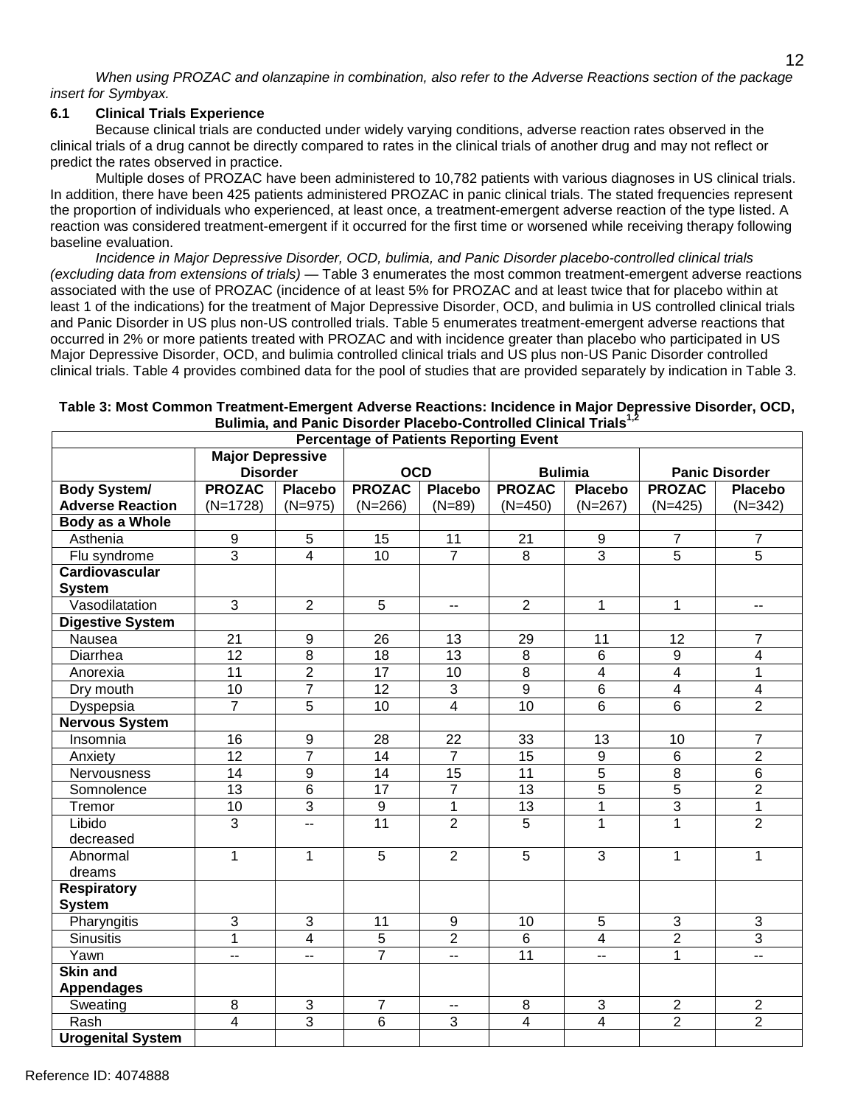*When using PROZAC and olanzapine in combination, also refer to the Adverse Reactions section of the package insert for Symbyax.* 

#### **6.1 Clinical Trials Experience**

 Because clinical trials are conducted under widely varying conditions, adverse reaction rates observed in the clinical trials of a drug cannot be directly compared to rates in the clinical trials of another drug and may not reflect or predict the rates observed in practice.

 the proportion of individuals who experienced, at least once, a treatment-emergent adverse reaction of the type listed. A reaction was considered treatment-emergent if it occurred for the first time or worsened while receiving therapy following Multiple doses of PROZAC have been administered to 10,782 patients with various diagnoses in US clinical trials. In addition, there have been 425 patients administered PROZAC in panic clinical trials. The stated frequencies represent baseline evaluation.

 *(excluding data from extensions of trials)* — Table 3 enumerates the most common treatment-emergent adverse reactions clinical trials. Table 4 provides combined data for the pool of studies that are provided separately by indication in Table 3. *Incidence in Major Depressive Disorder, OCD, bulimia, and Panic Disorder placebo-controlled clinical trials*  associated with the use of PROZAC (incidence of at least 5% for PROZAC and at least twice that for placebo within at least 1 of the indications) for the treatment of Major Depressive Disorder, OCD, and bulimia in US controlled clinical trials and Panic Disorder in US plus non-US controlled trials. Table 5 enumerates treatment-emergent adverse reactions that occurred in 2% or more patients treated with PROZAC and with incidence greater than placebo who participated in US Major Depressive Disorder, OCD, and bulimia controlled clinical trials and US plus non-US Panic Disorder controlled

| <b>Percentage of Patients Reporting Event</b> |                         |                  |                 |                  |                 |                |                |                       |
|-----------------------------------------------|-------------------------|------------------|-----------------|------------------|-----------------|----------------|----------------|-----------------------|
|                                               | <b>Major Depressive</b> |                  |                 |                  |                 |                |                |                       |
|                                               | <b>Disorder</b>         |                  | <b>OCD</b>      |                  | <b>Bulimia</b>  |                |                | <b>Panic Disorder</b> |
| <b>Body System/</b>                           | <b>PROZAC</b>           | <b>Placebo</b>   | <b>PROZAC</b>   | <b>Placebo</b>   | <b>PROZAC</b>   | <b>Placebo</b> | <b>PROZAC</b>  | <b>Placebo</b>        |
| <b>Adverse Reaction</b>                       | $(N=1728)$              | $(N=975)$        | $(N=266)$       | $(N=89)$         | $(N=450)$       | $(N=267)$      | $(N=425)$      | $(N=342)$             |
| Body as a Whole                               |                         |                  |                 |                  |                 |                |                |                       |
| Asthenia                                      | $\boldsymbol{9}$        | 5                | 15              | 11               | 21              | 9              | $\overline{7}$ | $\overline{7}$        |
| Flu syndrome                                  | $\overline{3}$          | $\overline{4}$   | $\overline{10}$ | $\overline{7}$   | $\overline{8}$  | $\overline{3}$ | $\overline{5}$ | $\overline{5}$        |
| Cardiovascular                                |                         |                  |                 |                  |                 |                |                |                       |
| <b>System</b>                                 |                         |                  |                 |                  |                 |                |                |                       |
| Vasodilatation                                | 3                       | $\overline{2}$   | $\overline{5}$  | $\overline{a}$   | $\overline{2}$  | $\mathbf 1$    | 1              | $\overline{a}$        |
| <b>Digestive System</b>                       |                         |                  |                 |                  |                 |                |                |                       |
| Nausea                                        | 21                      | $\boldsymbol{9}$ | 26              | 13               | 29              | 11             | 12             | $\overline{7}$        |
| Diarrhea                                      | 12                      | $\overline{8}$   | $\overline{18}$ | $\overline{13}$  | 8               | 6              | 9              | 4                     |
| Anorexia                                      | $\overline{11}$         | $\overline{2}$   | $\overline{17}$ | $\overline{10}$  | $\overline{8}$  | $\overline{4}$ | $\overline{4}$ | $\overline{1}$        |
| Dry mouth                                     | 10                      | $\overline{7}$   | 12              | $\overline{3}$   | $\overline{9}$  | 6              | $\overline{4}$ | $\overline{4}$        |
| Dyspepsia                                     | $\overline{7}$          | 5                | $\overline{10}$ | $\overline{4}$   | $\overline{10}$ | 6              | 6              | $\overline{2}$        |
| <b>Nervous System</b>                         |                         |                  |                 |                  |                 |                |                |                       |
| Insomnia                                      | 16                      | $\overline{9}$   | 28              | $\overline{22}$  | 33              | 13             | 10             | $\overline{7}$        |
| Anxiety                                       | $\overline{12}$         | $\overline{7}$   | $\overline{14}$ | $\overline{7}$   | $\overline{15}$ | $\overline{9}$ | $\overline{6}$ | $\overline{2}$        |
| <b>Nervousness</b>                            | 14                      | $\overline{9}$   | 14              | 15               | 11              | $\overline{5}$ | $\overline{8}$ | $\overline{6}$        |
| Somnolence                                    | $\overline{13}$         | 6                | $\overline{17}$ | $\overline{7}$   | $\overline{13}$ | $\overline{5}$ | $\overline{5}$ | $\overline{2}$        |
| Tremor                                        | 10                      | $\overline{3}$   | $\overline{9}$  | $\mathbf 1$      | $\overline{13}$ | $\mathbf 1$    | $\overline{3}$ | $\overline{1}$        |
| Libido                                        | $\overline{3}$          | $\overline{a}$   | $\overline{11}$ | $\overline{2}$   | $\overline{5}$  | $\mathbf{1}$   | $\overline{1}$ | $\overline{2}$        |
| decreased                                     |                         |                  |                 |                  |                 |                |                |                       |
| Abnormal                                      | $\mathbf{1}$            | $\mathbf{1}$     | $\overline{5}$  | $\overline{2}$   | $\overline{5}$  | $\overline{3}$ | 1              | $\mathbf{1}$          |
| dreams                                        |                         |                  |                 |                  |                 |                |                |                       |
| <b>Respiratory</b>                            |                         |                  |                 |                  |                 |                |                |                       |
| <b>System</b>                                 |                         |                  |                 |                  |                 |                |                |                       |
| Pharyngitis                                   | 3                       | 3                | 11              | $\boldsymbol{9}$ | 10              | 5              | $\sqrt{3}$     | $\sqrt{3}$            |
| <b>Sinusitis</b>                              | $\overline{1}$          | $\overline{4}$   | $\overline{5}$  | $\overline{2}$   | $\overline{6}$  | $\overline{4}$ | $\overline{2}$ | $\overline{3}$        |
| Yawn                                          | $\overline{a}$          | $\overline{a}$   | $\overline{7}$  | Ш,               | 11              | $\overline{a}$ | $\overline{1}$ | u.                    |
| <b>Skin and</b>                               |                         |                  |                 |                  |                 |                |                |                       |
| <b>Appendages</b>                             |                         |                  |                 |                  |                 |                |                |                       |
| Sweating                                      | $\overline{8}$          | $\overline{3}$   | $\overline{7}$  | $\overline{a}$   | $\overline{8}$  | $\overline{3}$ | $\overline{2}$ | $\overline{2}$        |
| Rash                                          | $\overline{4}$          | $\overline{3}$   | 6               | 3                | $\overline{4}$  | $\overline{4}$ | $\overline{2}$ | $\overline{2}$        |
| <b>Urogenital System</b>                      |                         |                  |                 |                  |                 |                |                |                       |

| Table 3: Most Common Treatment-Emergent Adverse Reactions: Incidence in Major Depressive Disorder, OCD, |
|---------------------------------------------------------------------------------------------------------|
| Bulimia, and Panic Disorder Placebo-Controlled Clinical Trials <sup>1,2</sup>                           |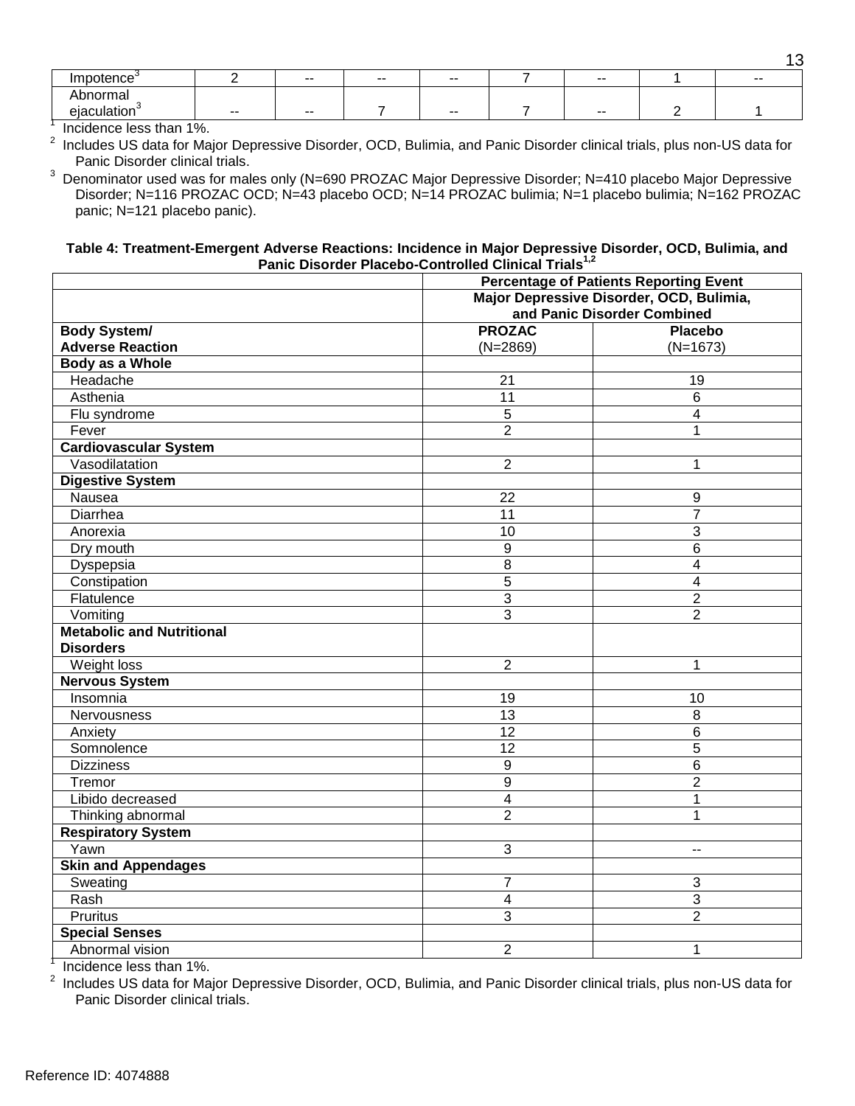| ື      |       | $- -$ | $- -$ | $- -$ | $\overline{\phantom{a}}$ | $\overline{\phantom{a}}$ |
|--------|-------|-------|-------|-------|--------------------------|--------------------------|
| norma  |       |       |       |       |                          |                          |
| $\sim$ | $- -$ | $- -$ |       | $- -$ | $-$                      |                          |

<sup>1</sup> Incidence less than 1%.

<sup>2</sup> Includes US data for Major Depressive Disorder, OCD, Bulimia, and Panic Disorder clinical trials, plus non-US data for Panic Disorder clinical trials.

<sup>3</sup> Denominator used was for males only (N=690 PROZAC Major Depressive Disorder; N=410 placebo Major Depressive Disorder; N=116 PROZAC OCD; N=43 placebo OCD; N=14 PROZAC bulimia; N=1 placebo bulimia; N=162 PROZAC panic; N=121 placebo panic).

#### **Table 4: Treatment-Emergent Adverse Reactions: Incidence in Major Depressive Disorder, OCD, Bulimia, and Panic Disorder Placebo-Controlled Clinical Trials1,2**

|                                  |                                          | <b>Percentage of Patients Reporting Event</b> |  |  |
|----------------------------------|------------------------------------------|-----------------------------------------------|--|--|
|                                  | Major Depressive Disorder, OCD, Bulimia, |                                               |  |  |
|                                  |                                          | and Panic Disorder Combined                   |  |  |
| <b>Body System/</b>              | <b>PROZAC</b>                            | <b>Placebo</b>                                |  |  |
| <b>Adverse Reaction</b>          | $(N=2869)$                               | $(N=1673)$                                    |  |  |
| <b>Body as a Whole</b>           |                                          |                                               |  |  |
| Headache                         | 21                                       | 19                                            |  |  |
| Asthenia                         | $\overline{11}$                          | 6                                             |  |  |
| Flu syndrome                     | $\overline{5}$                           | 4                                             |  |  |
| Fever                            | $\overline{2}$                           | 1                                             |  |  |
| <b>Cardiovascular System</b>     |                                          |                                               |  |  |
| Vasodilatation                   | $\overline{2}$                           | $\mathbf{1}$                                  |  |  |
| <b>Digestive System</b>          |                                          |                                               |  |  |
| Nausea                           | 22                                       | $\boldsymbol{9}$                              |  |  |
| Diarrhea                         | 11                                       | $\overline{7}$                                |  |  |
| Anorexia                         | 10                                       | 3                                             |  |  |
| Dry mouth                        | $\overline{9}$                           | $\overline{6}$                                |  |  |
| Dyspepsia                        | 8                                        | 4                                             |  |  |
| Constipation                     | 5                                        | $\overline{4}$                                |  |  |
| Flatulence                       | 3                                        | $\overline{2}$                                |  |  |
| Vomiting                         | $\overline{3}$                           | $\overline{2}$                                |  |  |
| <b>Metabolic and Nutritional</b> |                                          |                                               |  |  |
| <b>Disorders</b>                 |                                          |                                               |  |  |
| Weight loss                      | $\overline{2}$                           | 1                                             |  |  |
| <b>Nervous System</b>            |                                          |                                               |  |  |
| Insomnia                         | 19                                       | 10                                            |  |  |
| Nervousness                      | 13                                       | 8                                             |  |  |
| Anxiety                          | 12                                       | 6                                             |  |  |
| Somnolence                       | 12                                       | 5                                             |  |  |
| <b>Dizziness</b>                 | 9                                        | 6                                             |  |  |
| Tremor                           | 9                                        | $\overline{2}$                                |  |  |
| Libido decreased                 | $\overline{\mathbf{4}}$                  | $\mathbf 1$                                   |  |  |
| Thinking abnormal                | $\overline{2}$                           | $\overline{1}$                                |  |  |
| <b>Respiratory System</b>        |                                          |                                               |  |  |
| Yawn                             | 3                                        | н.                                            |  |  |
| <b>Skin and Appendages</b>       |                                          |                                               |  |  |
| Sweating                         | $\overline{7}$                           | 3                                             |  |  |
| Rash                             | $\overline{\mathbf{4}}$                  | $\overline{3}$                                |  |  |
| Pruritus                         | $\overline{3}$                           | $\overline{2}$                                |  |  |
| <b>Special Senses</b>            |                                          |                                               |  |  |
| Abnormal vision                  | $\overline{c}$                           | 1                                             |  |  |

<sup>1</sup> Incidence less than 1%.

Reference ID: 4074888

2 Includes US data for Major Depressive Disorder, OCD, Bulimia, and Panic Disorder clinical trials, plus non-US data for Panic Disorder clinical trials.

13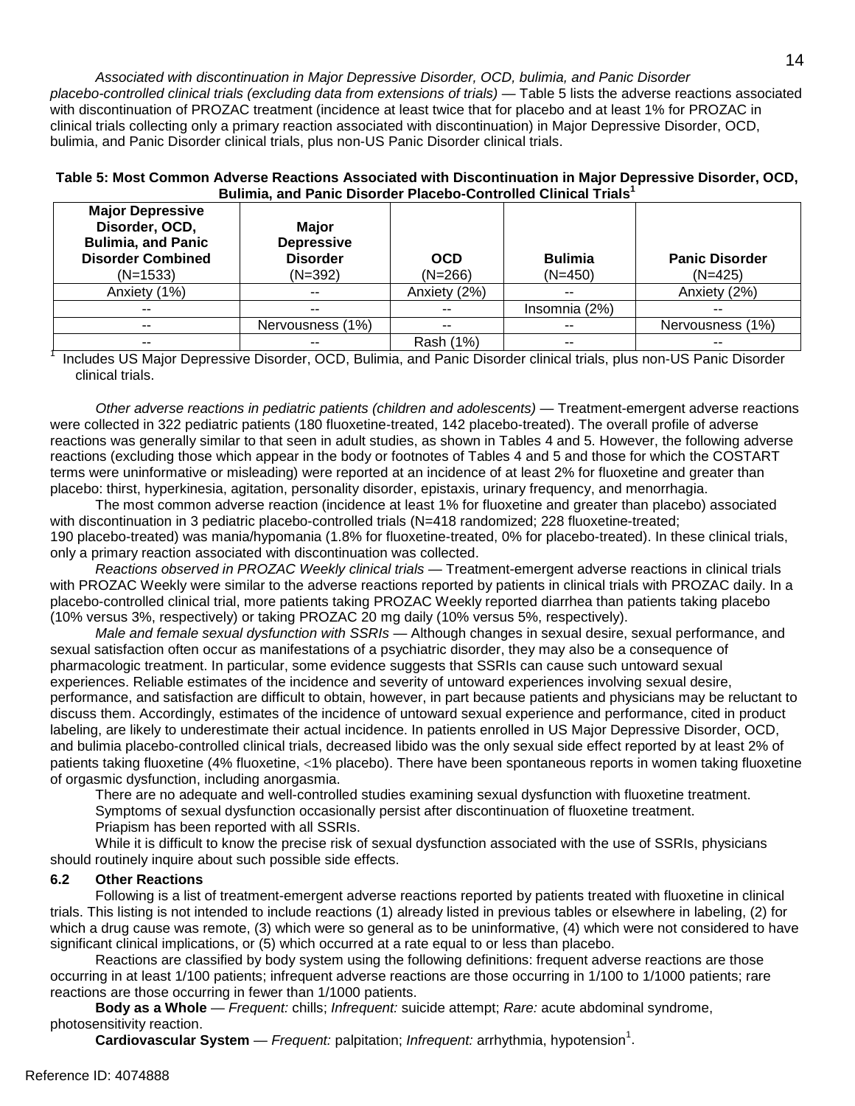*placebo-controlled clinical trials (excluding data from extensions of trials)* — Table 5 lists the adverse reactions associated *Associated with discontinuation in Major Depressive Disorder, OCD, bulimia, and Panic Disorder*  with discontinuation of PROZAC treatment (incidence at least twice that for placebo and at least 1% for PROZAC in clinical trials collecting only a primary reaction associated with discontinuation) in Major Depressive Disorder, OCD, bulimia, and Panic Disorder clinical trials, plus non-US Panic Disorder clinical trials.

14

| Table 5: Most Common Adverse Reactions Associated with Discontinuation in Major Depressive Disorder, OCD, |
|-----------------------------------------------------------------------------------------------------------|
| <b>Bulimia, and Panic Disorder Placebo-Controlled Clinical Trials</b>                                     |

| <b>Major Depressive</b><br>Disorder, OCD,<br><b>Bulimia, and Panic</b><br><b>Disorder Combined</b><br>$(N=1533)$ | <b>Major</b><br><b>Depressive</b><br><b>Disorder</b><br>$(N=392)$ | <b>OCD</b><br>$(N=266)$ | <b>Bulimia</b><br>$(N=450)$ | <b>Panic Disorder</b><br>$(N=425)$ |
|------------------------------------------------------------------------------------------------------------------|-------------------------------------------------------------------|-------------------------|-----------------------------|------------------------------------|
| Anxiety (1%)                                                                                                     | --                                                                | Anxiety (2%)            | $- -$                       | Anxiety (2%)                       |
| $- -$                                                                                                            | --                                                                | --                      | Insomnia (2%)               |                                    |
| $\overline{\phantom{a}}$                                                                                         | Nervousness (1%)                                                  | $- -$                   | $- -$                       | Nervousness (1%)                   |
| --                                                                                                               | --                                                                | Rash (1%)               |                             |                                    |

 - - Rash (1%) - - 1 Includes US Major Depressive Disorder, OCD, Bulimia, and Panic Disorder clinical trials, plus non-US Panic Disorder clinical trials.

*Other adverse reactions in pediatric patients (children and adolescents) — Treatment-emergent adverse reactions*  reactions was generally similar to that seen in adult studies, as shown in Tables 4 and 5. However, the following adverse reactions (excluding those which appear in the body or footnotes of Tables 4 and 5 and those for which the COSTART were collected in 322 pediatric patients (180 fluoxetine-treated, 142 placebo-treated). The overall profile of adverse terms were uninformative or misleading) were reported at an incidence of at least 2% for fluoxetine and greater than placebo: thirst, hyperkinesia, agitation, personality disorder, epistaxis, urinary frequency, and menorrhagia.

 190 placebo-treated) was mania/hypomania (1.8% for fluoxetine-treated, 0% for placebo-treated). In these clinical trials, The most common adverse reaction (incidence at least 1% for fluoxetine and greater than placebo) associated with discontinuation in 3 pediatric placebo-controlled trials (N=418 randomized; 228 fluoxetine-treated; only a primary reaction associated with discontinuation was collected.

 *Reactions observed in PROZAC Weekly clinical trials* — Treatment-emergent adverse reactions in clinical trials (10% versus 3%, respectively) or taking PROZAC 20 mg daily (10% versus 5%, respectively). with PROZAC Weekly were similar to the adverse reactions reported by patients in clinical trials with PROZAC daily. In a placebo-controlled clinical trial, more patients taking PROZAC Weekly reported diarrhea than patients taking placebo

 *Male and female sexual dysfunction with SSRIs* — Although changes in sexual desire, sexual performance, and and bulimia placebo-controlled clinical trials, decreased libido was the only sexual side effect reported by at least 2% of sexual satisfaction often occur as manifestations of a psychiatric disorder, they may also be a consequence of pharmacologic treatment. In particular, some evidence suggests that SSRIs can cause such untoward sexual experiences. Reliable estimates of the incidence and severity of untoward experiences involving sexual desire, performance, and satisfaction are difficult to obtain, however, in part because patients and physicians may be reluctant to discuss them. Accordingly, estimates of the incidence of untoward sexual experience and performance, cited in product labeling, are likely to underestimate their actual incidence. In patients enrolled in US Major Depressive Disorder, OCD, patients taking fluoxetine (4% fluoxetine, <1% placebo). There have been spontaneous reports in women taking fluoxetine of orgasmic dysfunction, including anorgasmia.

There are no adequate and well-controlled studies examining sexual dysfunction with fluoxetine treatment. Symptoms of sexual dysfunction occasionally persist after discontinuation of fluoxetine treatment.

Priapism has been reported with all SSRIs.

 While it is difficult to know the precise risk of sexual dysfunction associated with the use of SSRIs, physicians should routinely inquire about such possible side effects.

#### **6.2 Other Reactions**

 significant clinical implications, or (5) which occurred at a rate equal to or less than placebo. Following is a list of treatment-emergent adverse reactions reported by patients treated with fluoxetine in clinical trials. This listing is not intended to include reactions (1) already listed in previous tables or elsewhere in labeling, (2) for which a drug cause was remote, (3) which were so general as to be uninformative, (4) which were not considered to have

 reactions are those occurring in fewer than 1/1000 patients. Reactions are classified by body system using the following definitions: frequent adverse reactions are those occurring in at least 1/100 patients; infrequent adverse reactions are those occurring in 1/100 to 1/1000 patients; rare

 **Body as a Whole** — *Frequent:* chills; *Infrequent:* suicide attempt; *Rare:* acute abdominal syndrome, photosensitivity reaction.

Cardiovascular System — *Frequent:* palpitation; Infrequent: arrhythmia, hypotension<sup>1</sup>.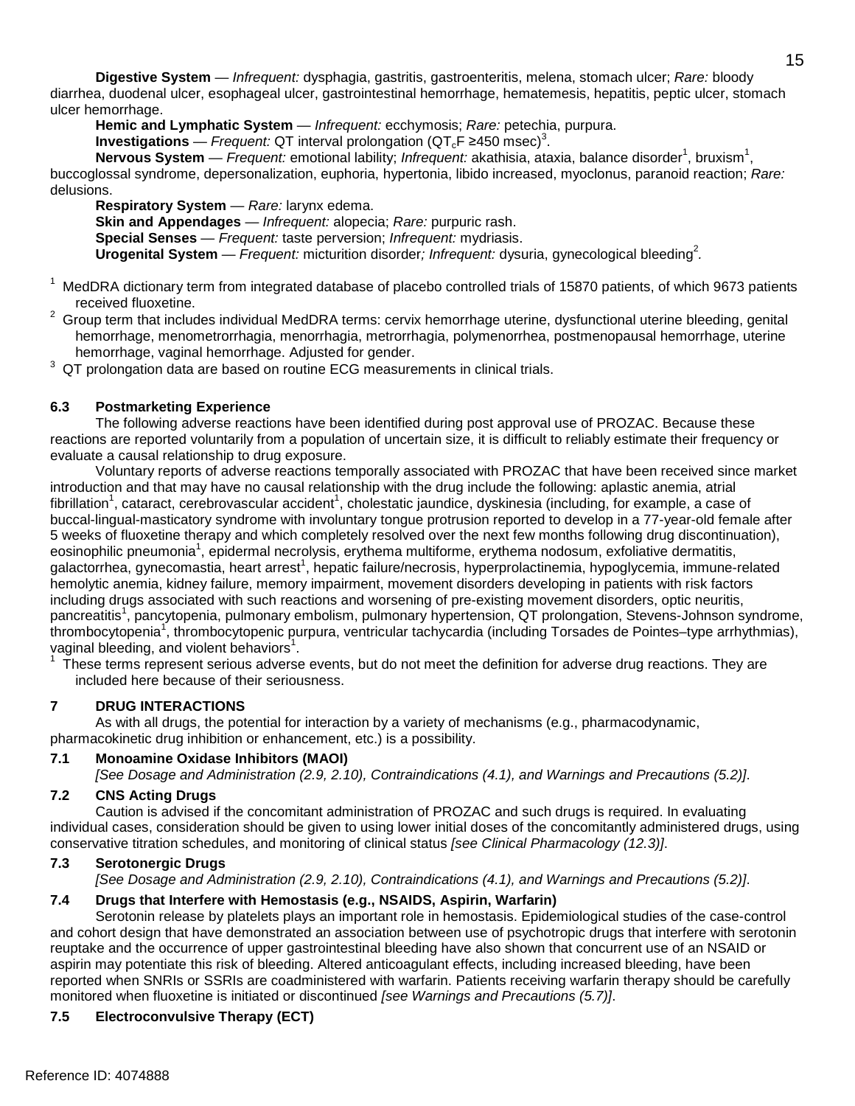**Digestive System** — *Infrequent:* dysphagia, gastritis, gastroenteritis, melena, stomach ulcer; *Rare:* bloody diarrhea, duodenal ulcer, esophageal ulcer, gastrointestinal hemorrhage, hematemesis, hepatitis, peptic ulcer, stomach ulcer hemorrhage.

**Hemic and Lymphatic System** — *Infrequent:* ecchymosis; *Rare:* petechia, purpura.

**Investigations**  $\overline{\phantom{a}}$  *Frequent:* QT interval prolongation (QT<sub>c</sub>F ≥450 msec)<sup>3</sup>.

Nervous System — *Frequent:* emotional lability; *Infrequent:* akathisia, ataxia, balance disorder<sup>1</sup>, bruxism<sup>1</sup>, buccoglossal syndrome, depersonalization, euphoria, hypertonia, libido increased, myoclonus, paranoid reaction; *Rare:*  delusions.

 **Respiratory System** — *Rare:* larynx edema. **Skin and Appendages** — *Infrequent:* alopecia; *Rare:* purpuric rash. **Special Senses** — *Frequent:* taste perversion; *Infrequent:* mydriasis. Urogenital System — *Frequent:* micturition disorder; Infrequent: dysuria, gynecological bleeding<sup>2</sup>.

- 1 MedDRA dictionary term from integrated database of placebo controlled trials of 15870 patients, of which 9673 patients received fluoxetine.
- 2 Group term that includes individual MedDRA terms: cervix hemorrhage uterine, dysfunctional uterine bleeding, genital hemorrhage, menometrorrhagia, menorrhagia, metrorrhagia, polymenorrhea, postmenopausal hemorrhage, uterine hemorrhage, vaginal hemorrhage. Adjusted for gender.
- $3$  QT prolongation data are based on routine ECG measurements in clinical trials.

#### **6.3 Postmarketing Experience**

The following adverse reactions have been identified during post approval use of PROZAC. Because these reactions are reported voluntarily from a population of uncertain size, it is difficult to reliably estimate their frequency or evaluate a causal relationship to drug exposure.

 Voluntary reports of adverse reactions temporally associated with PROZAC that have been received since market hemolytic anemia, kidney failure, memory impairment, movement disorders developing in patients with risk factors thrombocytopenia<sup>1</sup>, thrombocytopenic purpura, ventricular tachycardia (including Torsades de Pointes–type arrhythmias), introduction and that may have no causal relationship with the drug include the following: aplastic anemia, atrial fibrillation<sup>1</sup>, cataract, cerebrovascular accident<sup>1</sup>, cholestatic jaundice, dyskinesia (including, for example, a case of buccal-lingual-masticatory syndrome with involuntary tongue protrusion reported to develop in a 77-year-old female after 5 weeks of fluoxetine therapy and which completely resolved over the next few months following drug discontinuation), eosinophilic pneumonia<sup>1</sup>, epidermal necrolysis, erythema multiforme, erythema nodosum, exfoliative dermatitis, galactorrhea, gynecomastia, heart arrest<sup>1</sup>, hepatic failure/necrosis, hyperprolactinemia, hypoglycemia, immune-related including drugs associated with such reactions and worsening of pre-existing movement disorders, optic neuritis, pancreatitis<sup>1</sup>, pancytopenia, pulmonary embolism, pulmonary hypertension, QT prolongation, Stevens-Johnson syndrome, vaginal bleeding, and violent behaviors<sup>1</sup>.

 $1$  These terms represent serious adverse events, but do not meet the definition for adverse drug reactions. They are included here because of their seriousness.

### **7 DRUG INTERACTIONS**

 As with all drugs, the potential for interaction by a variety of mechanisms (e.g., pharmacodynamic, pharmacokinetic drug inhibition or enhancement, etc.) is a possibility.

#### **7.1 Monoamine Oxidase Inhibitors (MAOI)**

*[See Dosage and Administration (2.9, 2.10), Contraindications (4.1), and Warnings and Precautions (5.2)]*.

#### **7.2 CNS Acting Drugs**

Caution is advised if the concomitant administration of PROZAC and such drugs is required. In evaluating individual cases, consideration should be given to using lower initial doses of the concomitantly administered drugs, using conservative titration schedules, and monitoring of clinical status *[see Clinical Pharmacology (12.3)]*.

#### **7.3 Serotonergic Drugs**

*[See Dosage and Administration (2.9, 2.10), Contraindications (4.1), and Warnings and Precautions (5.2)]*.

## **7.4 Drugs that Interfere with Hemostasis (e.g., NSAIDS, Aspirin, Warfarin)**

Serotonin release by platelets plays an important role in hemostasis. Epidemiological studies of the case-control and cohort design that have demonstrated an association between use of psychotropic drugs that interfere with serotonin reuptake and the occurrence of upper gastrointestinal bleeding have also shown that concurrent use of an NSAID or aspirin may potentiate this risk of bleeding. Altered anticoagulant effects, including increased bleeding, have been reported when SNRIs or SSRIs are coadministered with warfarin. Patients receiving warfarin therapy should be carefully monitored when fluoxetine is initiated or discontinued *[see Warnings and Precautions (5.7)]*.

#### **7.5 Electroconvulsive Therapy (ECT)**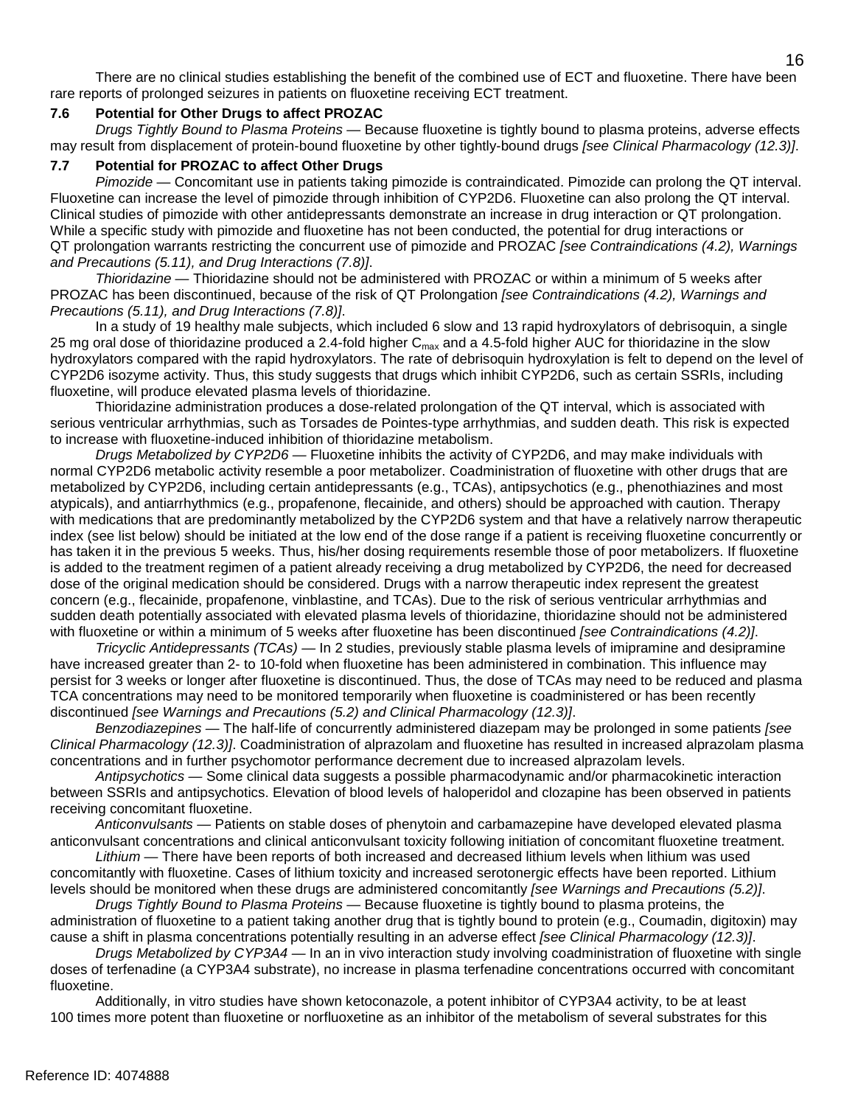There are no clinical studies establishing the benefit of the combined use of ECT and fluoxetine. There have been rare reports of prolonged seizures in patients on fluoxetine receiving ECT treatment.

#### **7.6 Potential for Other Drugs to affect PROZAC**

 *Drugs Tightly Bound to Plasma Proteins* — Because fluoxetine is tightly bound to plasma proteins, adverse effects may result from displacement of protein-bound fluoxetine by other tightly-bound drugs *[see Clinical Pharmacology (12.3)]*.

#### **7.7 Potential for PROZAC to affect Other Drugs**

 *Pimozide* — Concomitant use in patients taking pimozide is contraindicated. Pimozide can prolong the QT interval. Fluoxetine can increase the level of pimozide through inhibition of CYP2D6. Fluoxetine can also prolong the QT interval. Clinical studies of pimozide with other antidepressants demonstrate an increase in drug interaction or QT prolongation. While a specific study with pimozide and fluoxetine has not been conducted, the potential for drug interactions or QT prolongation warrants restricting the concurrent use of pimozide and PROZAC *[see Contraindications (4.2), Warnings and Precautions (5.11), and Drug Interactions (7.8)]*.

 *Thioridazine* — Thioridazine should not be administered with PROZAC or within a minimum of 5 weeks after PROZAC has been discontinued, because of the risk of QT Prolongation *[see Contraindications (4.2), Warnings and Precautions (5.11), and Drug Interactions (7.8)]*.

25 mg oral dose of thioridazine produced a 2.4-fold higher  ${\sf C}_{\sf max}$  and a 4.5-fold higher AUC for thioridazine in the slow CYP2D6 isozyme activity. Thus, this study suggests that drugs which inhibit CYP2D6, such as certain SSRIs, including In a study of 19 healthy male subjects, which included 6 slow and 13 rapid hydroxylators of debrisoquin, a single hydroxylators compared with the rapid hydroxylators. The rate of debrisoquin hydroxylation is felt to depend on the level of fluoxetine, will produce elevated plasma levels of thioridazine.

 serious ventricular arrhythmias, such as Torsades de Pointes-type arrhythmias, and sudden death. This risk is expected Thioridazine administration produces a dose-related prolongation of the QT interval, which is associated with to increase with fluoxetine-induced inhibition of thioridazine metabolism.

 dose of the original medication should be considered. Drugs with a narrow therapeutic index represent the greatest concern (e.g., flecainide, propafenone, vinblastine, and TCAs). Due to the risk of serious ventricular arrhythmias and *Drugs Metabolized by CYP2D6 —* Fluoxetine inhibits the activity of CYP2D6, and may make individuals with normal CYP2D6 metabolic activity resemble a poor metabolizer. Coadministration of fluoxetine with other drugs that are metabolized by CYP2D6, including certain antidepressants (e.g., TCAs), antipsychotics (e.g., phenothiazines and most atypicals), and antiarrhythmics (e.g., propafenone, flecainide, and others) should be approached with caution. Therapy with medications that are predominantly metabolized by the CYP2D6 system and that have a relatively narrow therapeutic index (see list below) should be initiated at the low end of the dose range if a patient is receiving fluoxetine concurrently or has taken it in the previous 5 weeks. Thus, his/her dosing requirements resemble those of poor metabolizers. If fluoxetine is added to the treatment regimen of a patient already receiving a drug metabolized by CYP2D6, the need for decreased sudden death potentially associated with elevated plasma levels of thioridazine, thioridazine should not be administered with fluoxetine or within a minimum of 5 weeks after fluoxetine has been discontinued *[see Contraindications (4.2)]*.

*Tricyclic Antidepressants (TCAs) —* In 2 studies, previously stable plasma levels of imipramine and desipramine have increased greater than 2- to 10-fold when fluoxetine has been administered in combination. This influence may persist for 3 weeks or longer after fluoxetine is discontinued. Thus, the dose of TCAs may need to be reduced and plasma TCA concentrations may need to be monitored temporarily when fluoxetine is coadministered or has been recently discontinued *[see Warnings and Precautions (5.2) and Clinical Pharmacology (12.3)]*.

 *Benzodiazepines —* The half-life of concurrently administered diazepam may be prolonged in some patients *[see Clinical Pharmacology (12.3)]*. Coadministration of alprazolam and fluoxetine has resulted in increased alprazolam plasma concentrations and in further psychomotor performance decrement due to increased alprazolam levels.

*Antipsychotics —* Some clinical data suggests a possible pharmacodynamic and/or pharmacokinetic interaction between SSRIs and antipsychotics. Elevation of blood levels of haloperidol and clozapine has been observed in patients receiving concomitant fluoxetine.

*Anticonvulsants —* Patients on stable doses of phenytoin and carbamazepine have developed elevated plasma anticonvulsant concentrations and clinical anticonvulsant toxicity following initiation of concomitant fluoxetine treatment.

*Lithium —* There have been reports of both increased and decreased lithium levels when lithium was used concomitantly with fluoxetine. Cases of lithium toxicity and increased serotonergic effects have been reported. Lithium levels should be monitored when these drugs are administered concomitantly *[see Warnings and Precautions (5.2)]*.

 administration of fluoxetine to a patient taking another drug that is tightly bound to protein (e.g., Coumadin, digitoxin) may *Drugs Tightly Bound to Plasma Proteins —* Because fluoxetine is tightly bound to plasma proteins, the cause a shift in plasma concentrations potentially resulting in an adverse effect *[see Clinical Pharmacology (12.3)]*.

*Drugs Metabolized by CYP3A4 —* In an in vivo interaction study involving coadministration of fluoxetine with single doses of terfenadine (a CYP3A4 substrate), no increase in plasma terfenadine concentrations occurred with concomitant fluoxetine.

 Additionally, in vitro studies have shown ketoconazole, a potent inhibitor of CYP3A4 activity, to be at least 100 times more potent than fluoxetine or norfluoxetine as an inhibitor of the metabolism of several substrates for this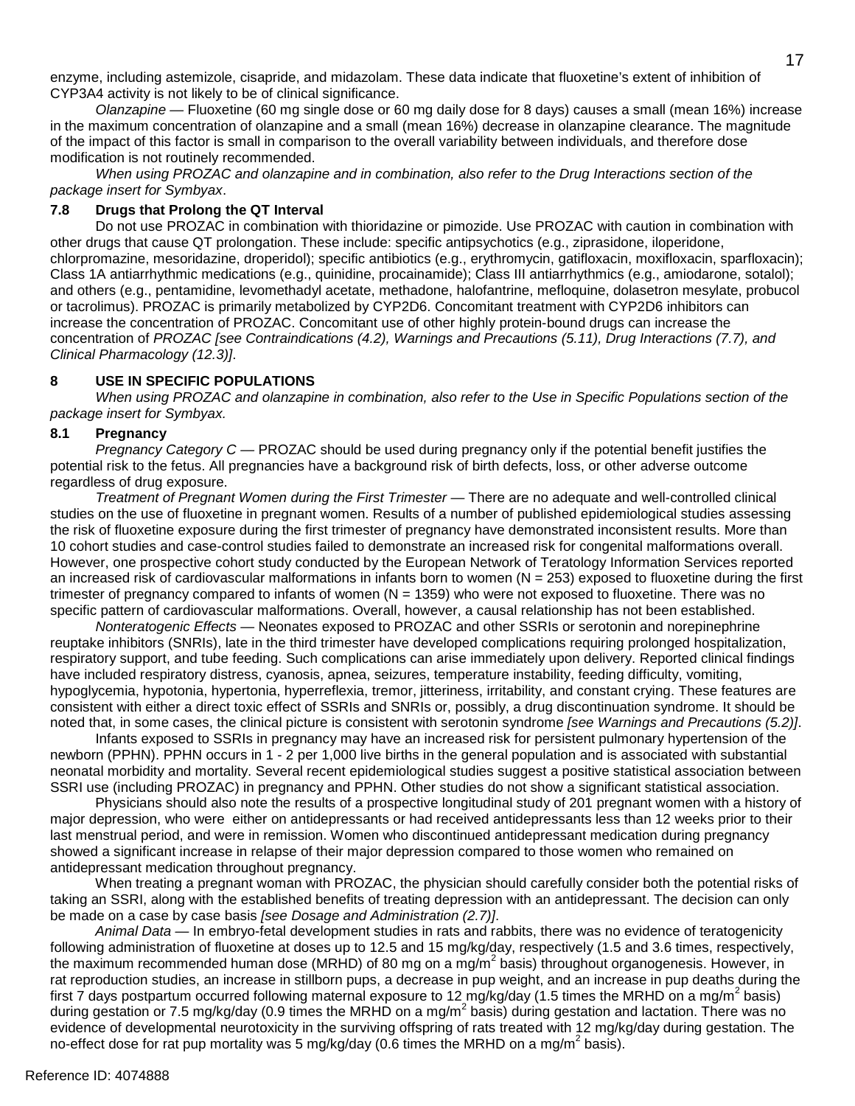CYP3A4 activity is not likely to be of clinical significance. enzyme, including astemizole, cisapride, and midazolam. These data indicate that fluoxetine's extent of inhibition of

 *Olanzapine —* Fluoxetine (60 mg single dose or 60 mg daily dose for 8 days) causes a small (mean 16%) increase in the maximum concentration of olanzapine and a small (mean 16%) decrease in olanzapine clearance. The magnitude of the impact of this factor is small in comparison to the overall variability between individuals, and therefore dose modification is not routinely recommended.

*When using PROZAC and olanzapine and in combination, also refer to the Drug Interactions section of the package insert for Symbyax*.

#### **7.8 Drugs that Prolong the QT Interval**

Do not use PROZAC in combination with thioridazine or pimozide. Use PROZAC with caution in combination with other drugs that cause QT prolongation. These include: specific antipsychotics (e.g., ziprasidone, iloperidone, chlorpromazine, mesoridazine, droperidol); specific antibiotics (e.g., erythromycin, gatifloxacin, moxifloxacin, sparfloxacin); Class 1A antiarrhythmic medications (e.g., quinidine, procainamide); Class III antiarrhythmics (e.g., amiodarone, sotalol); and others (e.g., pentamidine, levomethadyl acetate, methadone, halofantrine, mefloquine, dolasetron mesylate, probucol or tacrolimus). PROZAC is primarily metabolized by CYP2D6. Concomitant treatment with CYP2D6 inhibitors can increase the concentration of PROZAC. Concomitant use of other highly protein-bound drugs can increase the concentration of *PROZAC [see Contraindications (4.2), Warnings and Precautions (5.11), Drug Interactions (7.7), and Clinical Pharmacology (12.3)]*.

#### **8 USE IN SPECIFIC POPULATIONS**

*When using PROZAC and olanzapine in combination, also refer to the Use in Specific Populations section of the package insert for Symbyax.* 

#### **8.1 Pregnancy**

*Pregnancy Category C —* PROZAC should be used during pregnancy only if the potential benefit justifies the potential risk to the fetus. All pregnancies have a background risk of birth defects, loss, or other adverse outcome regardless of drug exposure.

 However, one prospective cohort study conducted by the European Network of Teratology Information Services reported trimester of pregnancy compared to infants of women (N = 1359) who were not exposed to fluoxetine. There was no specific pattern of cardiovascular malformations. Overall, however, a causal relationship has not been established. *Treatment of Pregnant Women during the First Trimester —* There are no adequate and well-controlled clinical studies on the use of fluoxetine in pregnant women. Results of a number of published epidemiological studies assessing the risk of fluoxetine exposure during the first trimester of pregnancy have demonstrated inconsistent results. More than 10 cohort studies and case-control studies failed to demonstrate an increased risk for congenital malformations overall. an increased risk of cardiovascular malformations in infants born to women  $(N = 253)$  exposed to fluoxetine during the first

 *Nonteratogenic Effects* — Neonates exposed to PROZAC and other SSRIs or serotonin and norepinephrine hypoglycemia, hypotonia, hypertonia, hyperreflexia, tremor, jitteriness, irritability, and constant crying. These features are consistent with either a direct toxic effect of SSRIs and SNRIs or, possibly, a drug discontinuation syndrome. It should be reuptake inhibitors (SNRIs), late in the third trimester have developed complications requiring prolonged hospitalization, respiratory support, and tube feeding. Such complications can arise immediately upon delivery. Reported clinical findings have included respiratory distress, cyanosis, apnea, seizures, temperature instability, feeding difficulty, vomiting, noted that, in some cases, the clinical picture is consistent with serotonin syndrome *[see Warnings and Precautions (5.2)]*.

Infants exposed to SSRIs in pregnancy may have an increased risk for persistent pulmonary hypertension of the newborn (PPHN). PPHN occurs in 1 - 2 per 1,000 live births in the general population and is associated with substantial neonatal morbidity and mortality. Several recent epidemiological studies suggest a positive statistical association between SSRI use (including PROZAC) in pregnancy and PPHN. Other studies do not show a significant statistical association.

 Physicians should also note the results of a prospective longitudinal study of 201 pregnant women with a history of major depression, who were either on antidepressants or had received antidepressants less than 12 weeks prior to their last menstrual period, and were in remission. Women who discontinued antidepressant medication during pregnancy showed a significant increase in relapse of their major depression compared to those women who remained on antidepressant medication throughout pregnancy.

 taking an SSRI, along with the established benefits of treating depression with an antidepressant. The decision can only When treating a pregnant woman with PROZAC, the physician should carefully consider both the potential risks of be made on a case by case basis *[see Dosage and Administration (2.7)]*.

 following administration of fluoxetine at doses up to 12.5 and 15 mg/kg/day, respectively (1.5 and 3.6 times, respectively, first 7 days postpartum occurred following maternal exposure to 12 mg/kg/day (1.5 times the MRHD on a mg/m<sup>2</sup> basis) no-effect dose for rat pup mortality was 5 mg/kg/day (0.6 times the MRHD on a mg/m<sup>2</sup> basis). *Animal Data —* In embryo-fetal development studies in rats and rabbits, there was no evidence of teratogenicity the maximum recommended human dose (MRHD) of 80 mg on a mg/m<sup>2</sup> basis) throughout organogenesis. However, in rat reproduction studies, an increase in stillborn pups, a decrease in pup weight, and an increase in pup deaths during the during gestation or 7.5 mg/kg/day (0.9 times the MRHD on a mg/m<sup>2</sup> basis) during gestation and lactation. There was no evidence of developmental neurotoxicity in the surviving offspring of rats treated with 12 mg/kg/day during gestation. The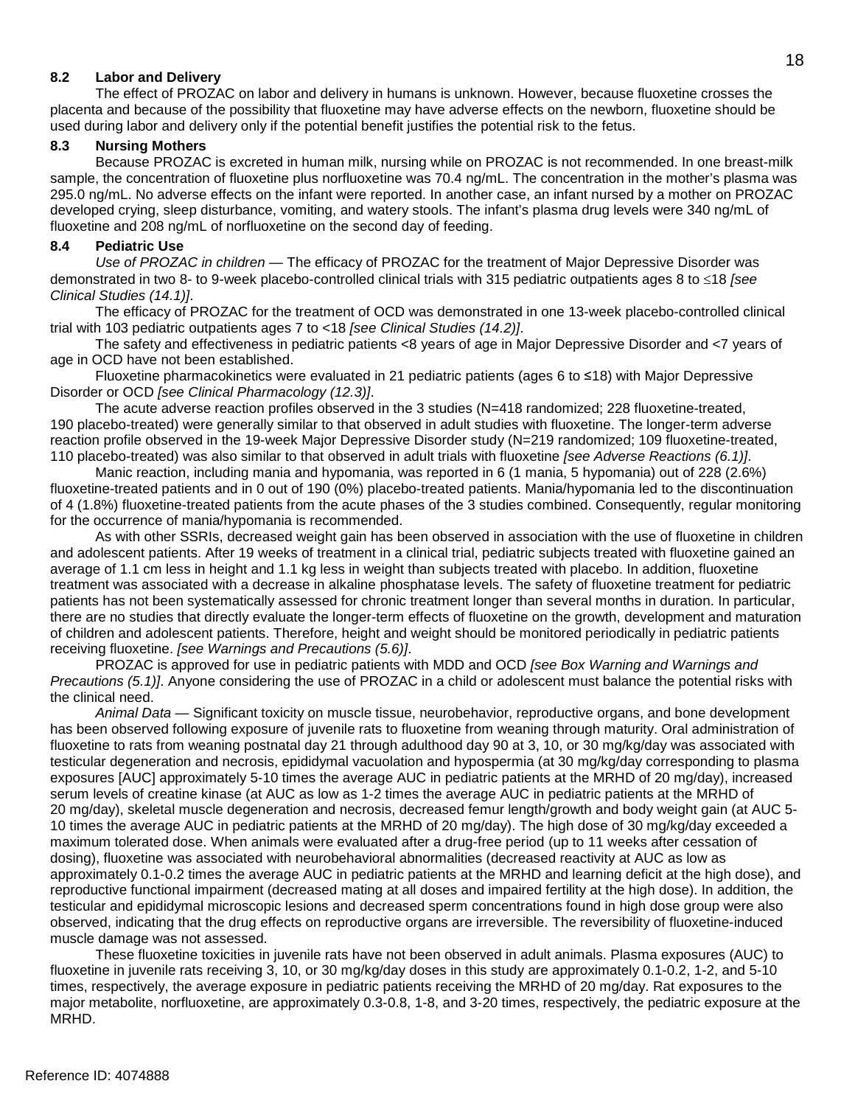#### **8.2 Labor and Delivery**

The effect of PROZAC on labor and delivery in humans is unknown. However, because fluoxetine crosses the placenta and because of the possibility that fluoxetine may have adverse effects on the newborn, fluoxetine should be used during labor and delivery only if the potential benefit justifies the potential risk to the fetus.

#### **8.3 Nursing Mothers**

Because PROZAC is excreted in human milk, nursing while on PROZAC is not recommended. In one breast-milk sample, the concentration of fluoxetine plus norfluoxetine was 70.4 ng/mL. The concentration in the mother's plasma was 295.0 ng/mL. No adverse effects on the infant were reported. In another case, an infant nursed by a mother on PROZAC developed crying, sleep disturbance, vomiting, and watery stools. The infant's plasma drug levels were 340 ng/mL of fluoxetine and 208 ng/mL of norfluoxetine on the second day of feeding.

#### **8.4 Pediatric Use**

 *Use of PROZAC in children* — The efficacy of PROZAC for the treatment of Major Depressive Disorder was demonstrated in two 8- to 9-week placebo-controlled clinical trials with 315 pediatric outpatients ages 8 to ≤18 *[see Clinical Studies (14.1)]*.

 trial with 103 pediatric outpatients ages 7 to <18 *[see Clinical Studies (14.2)]*. The efficacy of PROZAC for the treatment of OCD was demonstrated in one 13-week placebo-controlled clinical

The safety and effectiveness in pediatric patients <8 years of age in Major Depressive Disorder and <7 years of age in OCD have not been established.

 Fluoxetine pharmacokinetics were evaluated in 21 pediatric patients (ages 6 to ≤18) with Major Depressive Disorder or OCD *[see Clinical Pharmacology (12.3)]*.

The acute adverse reaction profiles observed in the 3 studies (N=418 randomized; 228 fluoxetine-treated, 190 placebo-treated) were generally similar to that observed in adult studies with fluoxetine. The longer-term adverse reaction profile observed in the 19-week Major Depressive Disorder study (N=219 randomized; 109 fluoxetine-treated, 110 placebo-treated) was also similar to that observed in adult trials with fluoxetine *[see Adverse Reactions (6.1)]*.

 Manic reaction, including mania and hypomania, was reported in 6 (1 mania, 5 hypomania) out of 228 (2.6%) fluoxetine-treated patients and in 0 out of 190 (0%) placebo-treated patients. Mania/hypomania led to the discontinuation of 4 (1.8%) fluoxetine-treated patients from the acute phases of the 3 studies combined. Consequently, regular monitoring for the occurrence of mania/hypomania is recommended.

 average of 1.1 cm less in height and 1.1 kg less in weight than subjects treated with placebo. In addition, fluoxetine As with other SSRIs, decreased weight gain has been observed in association with the use of fluoxetine in children and adolescent patients. After 19 weeks of treatment in a clinical trial, pediatric subjects treated with fluoxetine gained an treatment was associated with a decrease in alkaline phosphatase levels. The safety of fluoxetine treatment for pediatric patients has not been systematically assessed for chronic treatment longer than several months in duration. In particular, there are no studies that directly evaluate the longer-term effects of fluoxetine on the growth, development and maturation of children and adolescent patients. Therefore, height and weight should be monitored periodically in pediatric patients receiving fluoxetine. *[see Warnings and Precautions (5.6)]*.

PROZAC is approved for use in pediatric patients with MDD and OCD *[see Box Warning and Warnings and Precautions (5.1)]*. Anyone considering the use of PROZAC in a child or adolescent must balance the potential risks with the clinical need.

 fluoxetine to rats from weaning postnatal day 21 through adulthood day 90 at 3, 10, or 30 mg/kg/day was associated with testicular degeneration and necrosis, epididymal vacuolation and hypospermia (at 30 mg/kg/day corresponding to plasma serum levels of creatine kinase (at AUC as low as 1-2 times the average AUC in pediatric patients at the MRHD of 10 times the average AUC in pediatric patients at the MRHD of 20 mg/day). The high dose of 30 mg/kg/day exceeded a *Animal Data* — Significant toxicity on muscle tissue, neurobehavior, reproductive organs, and bone development has been observed following exposure of juvenile rats to fluoxetine from weaning through maturity. Oral administration of exposures [AUC] approximately 5-10 times the average AUC in pediatric patients at the MRHD of 20 mg/day), increased 20 mg/day), skeletal muscle degeneration and necrosis, decreased femur length/growth and body weight gain (at AUC 5 maximum tolerated dose. When animals were evaluated after a drug-free period (up to 11 weeks after cessation of dosing), fluoxetine was associated with neurobehavioral abnormalities (decreased reactivity at AUC as low as approximately 0.1-0.2 times the average AUC in pediatric patients at the MRHD and learning deficit at the high dose), and reproductive functional impairment (decreased mating at all doses and impaired fertility at the high dose). In addition, the testicular and epididymal microscopic lesions and decreased sperm concentrations found in high dose group were also observed, indicating that the drug effects on reproductive organs are irreversible. The reversibility of fluoxetine-induced muscle damage was not assessed.

 fluoxetine in juvenile rats receiving 3, 10, or 30 mg/kg/day doses in this study are approximately 0.1-0.2, 1-2, and 5-10 times, respectively, the average exposure in pediatric patients receiving the MRHD of 20 mg/day. Rat exposures to the These fluoxetine toxicities in juvenile rats have not been observed in adult animals. Plasma exposures (AUC) to major metabolite, norfluoxetine, are approximately 0.3-0.8, 1-8, and 3-20 times, respectively, the pediatric exposure at the MRHD.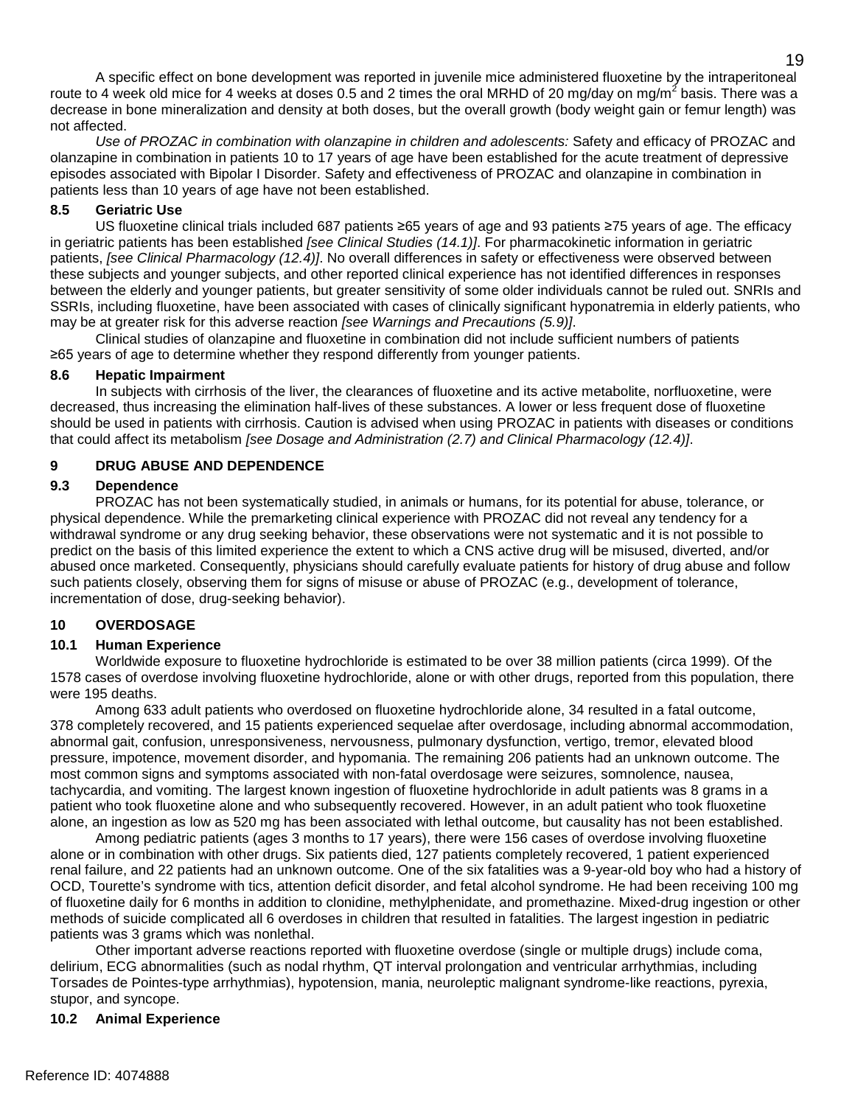A specific effect on bone development was reported in juvenile mice administered fluoxetine by the intraperitoneal route to 4 week old mice for 4 weeks at doses 0.5 and 2 times the oral MRHD of 20 mg/day on mg/m<sup>2</sup> basis. There was a decrease in bone mineralization and density at both doses, but the overall growth (body weight gain or femur length) was not affected.

*Use of PROZAC in combination with olanzapine in children and adolescents:* Safety and efficacy of PROZAC and olanzapine in combination in patients 10 to 17 years of age have been established for the acute treatment of depressive episodes associated with Bipolar I Disorder. Safety and effectiveness of PROZAC and olanzapine in combination in patients less than 10 years of age have not been established.

#### **8.5 Geriatric Use**

 between the elderly and younger patients, but greater sensitivity of some older individuals cannot be ruled out. SNRIs and SSRIs, including fluoxetine, have been associated with cases of clinically significant hyponatremia in elderly patients, who US fluoxetine clinical trials included 687 patients ≥65 years of age and 93 patients ≥75 years of age. The efficacy in geriatric patients has been established *[see Clinical Studies (14.1)]*. For pharmacokinetic information in geriatric patients, *[see Clinical Pharmacology (12.4)]*. No overall differences in safety or effectiveness were observed between these subjects and younger subjects, and other reported clinical experience has not identified differences in responses may be at greater risk for this adverse reaction *[see Warnings and Precautions (5.9)]*.

Clinical studies of olanzapine and fluoxetine in combination did not include sufficient numbers of patients ≥65 years of age to determine whether they respond differently from younger patients.

#### **8.6 Hepatic Impairment**

 decreased, thus increasing the elimination half-lives of these substances. A lower or less frequent dose of fluoxetine In subjects with cirrhosis of the liver, the clearances of fluoxetine and its active metabolite, norfluoxetine, were should be used in patients with cirrhosis. Caution is advised when using PROZAC in patients with diseases or conditions that could affect its metabolism *[see Dosage and Administration (2.7) and Clinical Pharmacology (12.4)]*.

#### **9 DRUG ABUSE AND DEPENDENCE**

#### **9.3 Dependence**

 withdrawal syndrome or any drug seeking behavior, these observations were not systematic and it is not possible to such patients closely, observing them for signs of misuse or abuse of PROZAC (e.g., development of tolerance, PROZAC has not been systematically studied, in animals or humans, for its potential for abuse, tolerance, or physical dependence. While the premarketing clinical experience with PROZAC did not reveal any tendency for a predict on the basis of this limited experience the extent to which a CNS active drug will be misused, diverted, and/or abused once marketed. Consequently, physicians should carefully evaluate patients for history of drug abuse and follow incrementation of dose, drug-seeking behavior).

#### **10 OVERDOSAGE**

#### **10.1 Human Experience**

 1578 cases of overdose involving fluoxetine hydrochloride, alone or with other drugs, reported from this population, there were 195 deaths. Worldwide exposure to fluoxetine hydrochloride is estimated to be over 38 million patients (circa 1999). Of the

 tachycardia, and vomiting. The largest known ingestion of fluoxetine hydrochloride in adult patients was 8 grams in a patient who took fluoxetine alone and who subsequently recovered. However, in an adult patient who took fluoxetine Among 633 adult patients who overdosed on fluoxetine hydrochloride alone, 34 resulted in a fatal outcome, 378 completely recovered, and 15 patients experienced sequelae after overdosage, including abnormal accommodation, abnormal gait, confusion, unresponsiveness, nervousness, pulmonary dysfunction, vertigo, tremor, elevated blood pressure, impotence, movement disorder, and hypomania. The remaining 206 patients had an unknown outcome. The most common signs and symptoms associated with non-fatal overdosage were seizures, somnolence, nausea, alone, an ingestion as low as 520 mg has been associated with lethal outcome, but causality has not been established.

 renal failure, and 22 patients had an unknown outcome. One of the six fatalities was a 9-year-old boy who had a history of Among pediatric patients (ages 3 months to 17 years), there were 156 cases of overdose involving fluoxetine alone or in combination with other drugs. Six patients died, 127 patients completely recovered, 1 patient experienced OCD, Tourette's syndrome with tics, attention deficit disorder, and fetal alcohol syndrome. He had been receiving 100 mg of fluoxetine daily for 6 months in addition to clonidine, methylphenidate, and promethazine. Mixed-drug ingestion or other methods of suicide complicated all 6 overdoses in children that resulted in fatalities. The largest ingestion in pediatric patients was 3 grams which was nonlethal.

 Torsades de Pointes-type arrhythmias), hypotension, mania, neuroleptic malignant syndrome-like reactions, pyrexia, Other important adverse reactions reported with fluoxetine overdose (single or multiple drugs) include coma, delirium, ECG abnormalities (such as nodal rhythm, QT interval prolongation and ventricular arrhythmias, including stupor, and syncope.

#### **10.2 Animal Experience**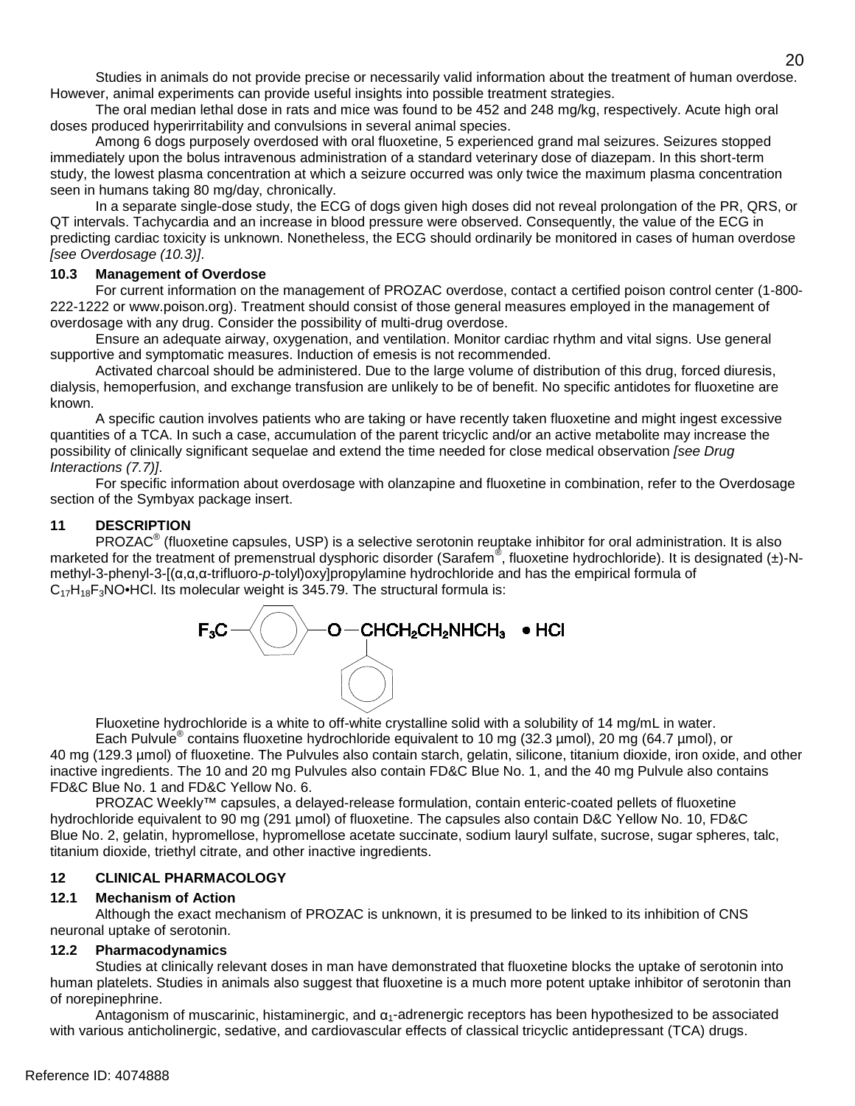Studies in animals do not provide precise or necessarily valid information about the treatment of human overdose. However, animal experiments can provide useful insights into possible treatment strategies.

 The oral median lethal dose in rats and mice was found to be 452 and 248 mg/kg, respectively. Acute high oral doses produced hyperirritability and convulsions in several animal species.

Among 6 dogs purposely overdosed with oral fluoxetine, 5 experienced grand mal seizures. Seizures stopped immediately upon the bolus intravenous administration of a standard veterinary dose of diazepam. In this short-term study, the lowest plasma concentration at which a seizure occurred was only twice the maximum plasma concentration seen in humans taking 80 mg/day, chronically.

In a separate single-dose study, the ECG of dogs given high doses did not reveal prolongation of the PR, QRS, or QT intervals. Tachycardia and an increase in blood pressure were observed. Consequently, the value of the ECG in predicting cardiac toxicity is unknown. Nonetheless, the ECG should ordinarily be monitored in cases of human overdose *[see Overdosage (10.3)]*.

#### **10.3 Management of Overdose**

For current information on the management of PROZAC overdose, contact a certified poison control center (1-800 222-1222 or www.poison.org). Treatment should consist of those general measures employed in the management of overdosage with any drug. Consider the possibility of multi-drug overdose.

Ensure an adequate airway, oxygenation, and ventilation. Monitor cardiac rhythm and vital signs. Use general supportive and symptomatic measures. Induction of emesis is not recommended.

Activated charcoal should be administered. Due to the large volume of distribution of this drug, forced diuresis, dialysis, hemoperfusion, and exchange transfusion are unlikely to be of benefit. No specific antidotes for fluoxetine are known.

 A specific caution involves patients who are taking or have recently taken fluoxetine and might ingest excessive quantities of a TCA. In such a case, accumulation of the parent tricyclic and/or an active metabolite may increase the possibility of clinically significant sequelae and extend the time needed for close medical observation *[see Drug Interactions (7.7)]*.

For specific information about overdosage with olanzapine and fluoxetine in combination, refer to the Overdosage section of the Symbyax package insert.

#### **11 DESCRIPTION**

 $C_{17}H_{18}F_3NO\bullet HCl.$  Its molecular weight is 345.79. The structural formula is: PROZAC® (fluoxetine capsules, USP) is a selective serotonin reuptake inhibitor for oral administration. It is also marketed for the treatment of premenstrual dysphoric disorder (Sarafem®, fluoxetine hydrochloride). It is designated (±)-Nmethyl-3-phenyl-3-[(α,α,α-trifluoro-*p*-tolyl)oxy]propylamine hydrochloride and has the empirical formula of



Fluoxetine hydrochloride is a white to off-white crystalline solid with a solubility of 14 mg/mL in water.

Each Pulvule<sup>®</sup> contains fluoxetine hydrochloride equivalent to 10 mg (32.3 µmol), 20 mg (64.7 µmol), or 40 mg (129.3 µmol) of fluoxetine. The Pulvules also contain starch, gelatin, silicone, titanium dioxide, iron oxide, and other inactive ingredients. The 10 and 20 mg Pulvules also contain FD&C Blue No. 1, and the 40 mg Pulvule also contains FD&C Blue No. 1 and FD&C Yellow No. 6.

 hydrochloride equivalent to 90 mg (291 µmol) of fluoxetine. The capsules also contain D&C Yellow No. 10, FD&C Blue No. 2, gelatin, hypromellose, hypromellose acetate succinate, sodium lauryl sulfate, sucrose, sugar spheres, talc, PROZAC Weekly™ capsules, a delayed-release formulation, contain enteric-coated pellets of fluoxetine titanium dioxide, triethyl citrate, and other inactive ingredients.

#### **12 CLINICAL PHARMACOLOGY**

#### **12.1 Mechanism of Action**

Although the exact mechanism of PROZAC is unknown, it is presumed to be linked to its inhibition of CNS neuronal uptake of serotonin.

#### **12.2 Pharmacodynamics**

Studies at clinically relevant doses in man have demonstrated that fluoxetine blocks the uptake of serotonin into human platelets. Studies in animals also suggest that fluoxetine is a much more potent uptake inhibitor of serotonin than of norepinephrine.

Antagonism of muscarinic, histaminergic, and  $\alpha_1$ -adrenergic receptors has been hypothesized to be associated with various anticholinergic, sedative, and cardiovascular effects of classical tricyclic antidepressant (TCA) drugs.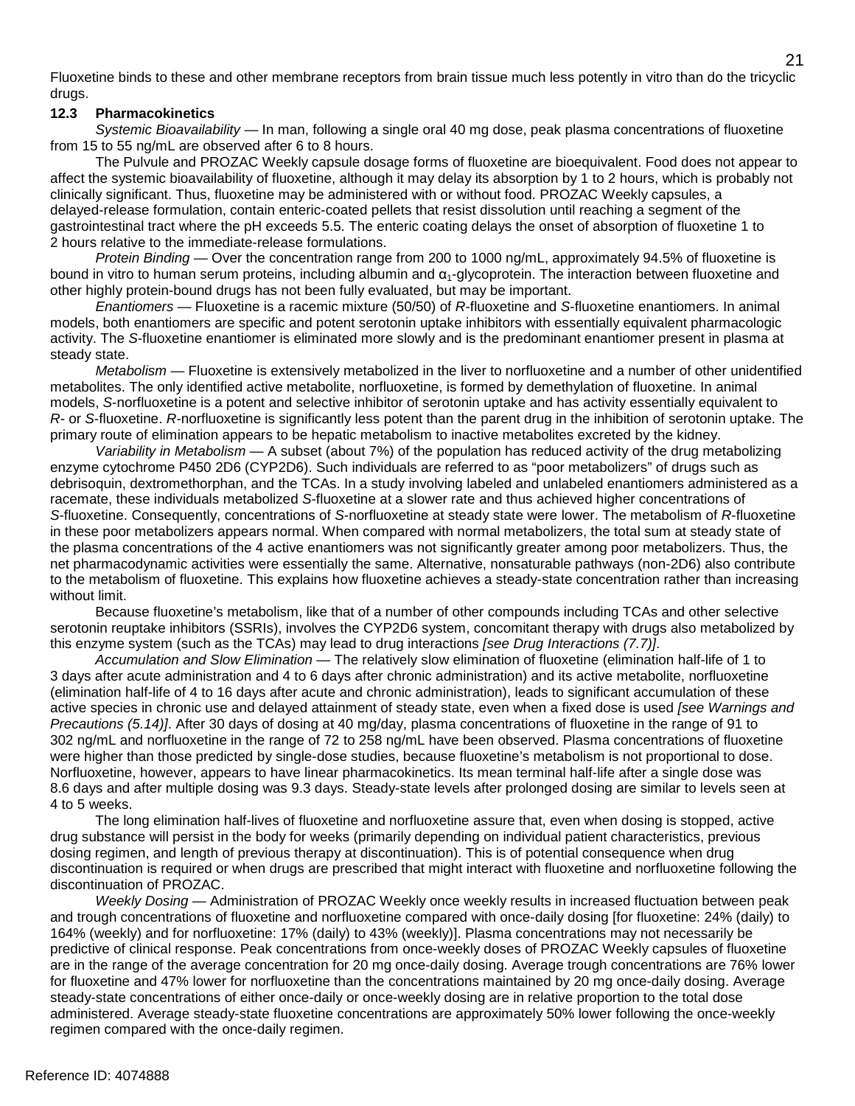Fluoxetine binds to these and other membrane receptors from brain tissue much less potently in vitro than do the tricyclic drugs.

#### **12.3 Pharmacokinetics**

 *Systemic Bioavailability* — In man, following a single oral 40 mg dose, peak plasma concentrations of fluoxetine from 15 to 55 ng/mL are observed after 6 to 8 hours.

 affect the systemic bioavailability of fluoxetine, although it may delay its absorption by 1 to 2 hours, which is probably not gastrointestinal tract where the pH exceeds 5.5. The enteric coating delays the onset of absorption of fluoxetine 1 to The Pulvule and PROZAC Weekly capsule dosage forms of fluoxetine are bioequivalent. Food does not appear to clinically significant. Thus, fluoxetine may be administered with or without food. PROZAC Weekly capsules, a delayed-release formulation, contain enteric-coated pellets that resist dissolution until reaching a segment of the 2 hours relative to the immediate-release formulations.

 *Protein Binding* — Over the concentration range from 200 to 1000 ng/mL, approximately 94.5% of fluoxetine is bound in vitro to human serum proteins, including albumin and  $\alpha_1$ -glycoprotein. The interaction between fluoxetine and other highly protein-bound drugs has not been fully evaluated, but may be important.

 *Enantiomers* — Fluoxetine is a racemic mixture (50/50) of *R*-fluoxetine and *S*-fluoxetine enantiomers. In animal models, both enantiomers are specific and potent serotonin uptake inhibitors with essentially equivalent pharmacologic activity. The *S*-fluoxetine enantiomer is eliminated more slowly and is the predominant enantiomer present in plasma at steady state.

 *Metabolism* — Fluoxetine is extensively metabolized in the liver to norfluoxetine and a number of other unidentified models, *S*-norfluoxetine is a potent and selective inhibitor of serotonin uptake and has activity essentially equivalent to *R*- or *S*-fluoxetine. *R*-norfluoxetine is significantly less potent than the parent drug in the inhibition of serotonin uptake. The metabolites. The only identified active metabolite, norfluoxetine, is formed by demethylation of fluoxetine. In animal primary route of elimination appears to be hepatic metabolism to inactive metabolites excreted by the kidney.

 *Variability in Metabolism* — A subset (about 7%) of the population has reduced activity of the drug metabolizing enzyme cytochrome P450 2D6 (CYP2D6). Such individuals are referred to as "poor metabolizers" of drugs such as debrisoquin, dextromethorphan, and the TCAs. In a study involving labeled and unlabeled enantiomers administered as a racemate, these individuals metabolized *S*-fluoxetine at a slower rate and thus achieved higher concentrations of *S*-fluoxetine. Consequently, concentrations of *S*-norfluoxetine at steady state were lower. The metabolism of *R*-fluoxetine in these poor metabolizers appears normal. When compared with normal metabolizers, the total sum at steady state of the plasma concentrations of the 4 active enantiomers was not significantly greater among poor metabolizers. Thus, the net pharmacodynamic activities were essentially the same. Alternative, nonsaturable pathways (non-2D6) also contribute to the metabolism of fluoxetine. This explains how fluoxetine achieves a steady-state concentration rather than increasing without limit.

Because fluoxetine's metabolism, like that of a number of other compounds including TCAs and other selective serotonin reuptake inhibitors (SSRIs), involves the CYP2D6 system, concomitant therapy with drugs also metabolized by this enzyme system (such as the TCAs) may lead to drug interactions *[see Drug Interactions (7.7)]*.

 *Accumulation and Slow Elimination* — The relatively slow elimination of fluoxetine (elimination half-life of 1 to 3 days after acute administration and 4 to 6 days after chronic administration) and its active metabolite, norfluoxetine (elimination half-life of 4 to 16 days after acute and chronic administration), leads to significant accumulation of these 302 ng/mL and norfluoxetine in the range of 72 to 258 ng/mL have been observed. Plasma concentrations of fluoxetine were higher than those predicted by single-dose studies, because fluoxetine's metabolism is not proportional to dose. 4 to 5 weeks. active species in chronic use and delayed attainment of steady state, even when a fixed dose is used *[see Warnings and Precautions (5.14)]*. After 30 days of dosing at 40 mg/day, plasma concentrations of fluoxetine in the range of 91 to Norfluoxetine, however, appears to have linear pharmacokinetics. Its mean terminal half-life after a single dose was 8.6 days and after multiple dosing was 9.3 days. Steady-state levels after prolonged dosing are similar to levels seen at

The long elimination half-lives of fluoxetine and norfluoxetine assure that, even when dosing is stopped, active drug substance will persist in the body for weeks (primarily depending on individual patient characteristics, previous dosing regimen, and length of previous therapy at discontinuation). This is of potential consequence when drug discontinuation is required or when drugs are prescribed that might interact with fluoxetine and norfluoxetine following the discontinuation of PROZAC.

 *Weekly Dosing* — Administration of PROZAC Weekly once weekly results in increased fluctuation between peak and trough concentrations of fluoxetine and norfluoxetine compared with once-daily dosing [for fluoxetine: 24% (daily) to 164% (weekly) and for norfluoxetine: 17% (daily) to 43% (weekly)]. Plasma concentrations may not necessarily be predictive of clinical response. Peak concentrations from once-weekly doses of PROZAC Weekly capsules of fluoxetine are in the range of the average concentration for 20 mg once-daily dosing. Average trough concentrations are 76% lower for fluoxetine and 47% lower for norfluoxetine than the concentrations maintained by 20 mg once-daily dosing. Average steady-state concentrations of either once-daily or once-weekly dosing are in relative proportion to the total dose administered. Average steady-state fluoxetine concentrations are approximately 50% lower following the once-weekly regimen compared with the once-daily regimen.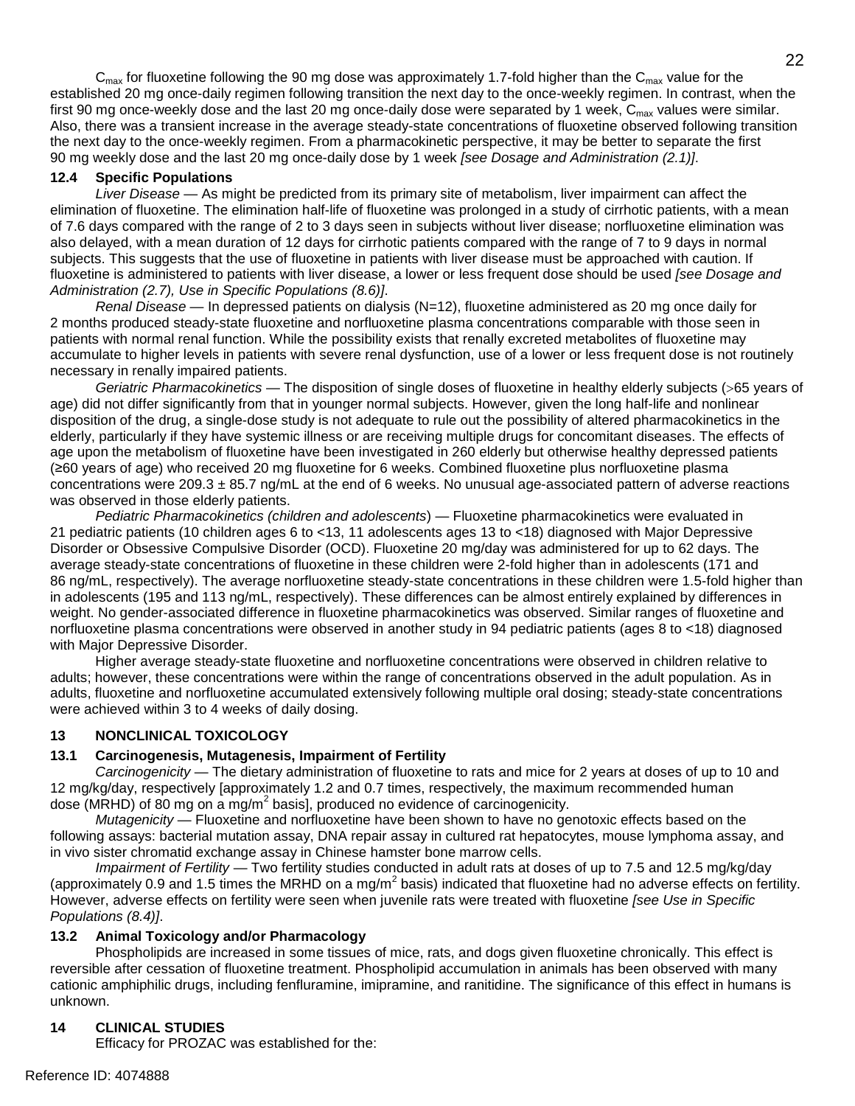first 90 mg once-weekly dose and the last 20 mg once-daily dose were separated by 1 week,  $\rm C_{max}$  values were similar. 90 mg weekly dose and the last 20 mg once-daily dose by 1 week *[see Dosage and Administration (2.1)]*.  $C_{\text{max}}$  for fluoxetine following the 90 mg dose was approximately 1.7-fold higher than the  $C_{\text{max}}$  value for the established 20 mg once-daily regimen following transition the next day to the once-weekly regimen. In contrast, when the Also, there was a transient increase in the average steady-state concentrations of fluoxetine observed following transition the next day to the once-weekly regimen. From a pharmacokinetic perspective, it may be better to separate the first

#### **12.4 Specific Populations**

 *Liver Disease* — As might be predicted from its primary site of metabolism, liver impairment can affect the elimination of fluoxetine. The elimination half-life of fluoxetine was prolonged in a study of cirrhotic patients, with a mean of 7.6 days compared with the range of 2 to 3 days seen in subjects without liver disease; norfluoxetine elimination was also delayed, with a mean duration of 12 days for cirrhotic patients compared with the range of 7 to 9 days in normal subjects. This suggests that the use of fluoxetine in patients with liver disease must be approached with caution. If fluoxetine is administered to patients with liver disease, a lower or less frequent dose should be used *[see Dosage and Administration (2.7), Use in Specific Populations (8.6)]*.

 *Renal Disease* — In depressed patients on dialysis (N=12), fluoxetine administered as 20 mg once daily for 2 months produced steady-state fluoxetine and norfluoxetine plasma concentrations comparable with those seen in patients with normal renal function. While the possibility exists that renally excreted metabolites of fluoxetine may accumulate to higher levels in patients with severe renal dysfunction, use of a lower or less frequent dose is not routinely necessary in renally impaired patients.

 *Geriatric Pharmacokinetics* — The disposition of single doses of fluoxetine in healthy elderly subjects (>65 years of concentrations were 209.3  $\pm$  85.7 ng/mL at the end of 6 weeks. No unusual age-associated pattern of adverse reactions age) did not differ significantly from that in younger normal subjects. However, given the long half-life and nonlinear disposition of the drug, a single-dose study is not adequate to rule out the possibility of altered pharmacokinetics in the elderly, particularly if they have systemic illness or are receiving multiple drugs for concomitant diseases. The effects of age upon the metabolism of fluoxetine have been investigated in 260 elderly but otherwise healthy depressed patients (≥60 years of age) who received 20 mg fluoxetine for 6 weeks. Combined fluoxetine plus norfluoxetine plasma was observed in those elderly patients.

 *Pediatric Pharmacokinetics (children and adolescents*) — Fluoxetine pharmacokinetics were evaluated in in adolescents (195 and 113 ng/mL, respectively). These differences can be almost entirely explained by differences in norfluoxetine plasma concentrations were observed in another study in 94 pediatric patients (ages 8 to <18) diagnosed 21 pediatric patients (10 children ages 6 to <13, 11 adolescents ages 13 to <18) diagnosed with Major Depressive Disorder or Obsessive Compulsive Disorder (OCD). Fluoxetine 20 mg/day was administered for up to 62 days. The average steady-state concentrations of fluoxetine in these children were 2-fold higher than in adolescents (171 and 86 ng/mL, respectively). The average norfluoxetine steady-state concentrations in these children were 1.5-fold higher than weight. No gender-associated difference in fluoxetine pharmacokinetics was observed. Similar ranges of fluoxetine and with Major Depressive Disorder.

 adults; however, these concentrations were within the range of concentrations observed in the adult population. As in were achieved within 3 to 4 weeks of daily dosing. Higher average steady-state fluoxetine and norfluoxetine concentrations were observed in children relative to adults, fluoxetine and norfluoxetine accumulated extensively following multiple oral dosing; steady-state concentrations

#### **13 NONCLINICAL TOXICOLOGY**

#### **13.1 Carcinogenesis, Mutagenesis, Impairment of Fertility**

 *Carcinogenicity* — The dietary administration of fluoxetine to rats and mice for 2 years at doses of up to 10 and 12 mg/kg/day, respectively [approximately 1.2 and 0.7 times, respectively, the maximum recommended human dose (MRHD) of 80 mg on a mg/m<sup>2</sup> basis], produced no evidence of carcinogenicity.

 *Mutagenicity* — Fluoxetine and norfluoxetine have been shown to have no genotoxic effects based on the following assays: bacterial mutation assay, DNA repair assay in cultured rat hepatocytes, mouse lymphoma assay, and in vivo sister chromatid exchange assay in Chinese hamster bone marrow cells.

 *Impairment of Fertility* — Two fertility studies conducted in adult rats at doses of up to 7.5 and 12.5 mg/kg/day (approximately 0.9 and 1.5 times the MRHD on a mg/m<sup>2</sup> basis) indicated that fluoxetine had no adverse effects on fertility. However, adverse effects on fertility were seen when juvenile rats were treated with fluoxetine *[see Use in Specific Populations (8.4)]*.

#### **13.2 Animal Toxicology and/or Pharmacology**

Phospholipids are increased in some tissues of mice, rats, and dogs given fluoxetine chronically. This effect is reversible after cessation of fluoxetine treatment. Phospholipid accumulation in animals has been observed with many cationic amphiphilic drugs, including fenfluramine, imipramine, and ranitidine. The significance of this effect in humans is unknown.

#### **14 CLINICAL STUDIES**

Efficacy for PROZAC was established for the: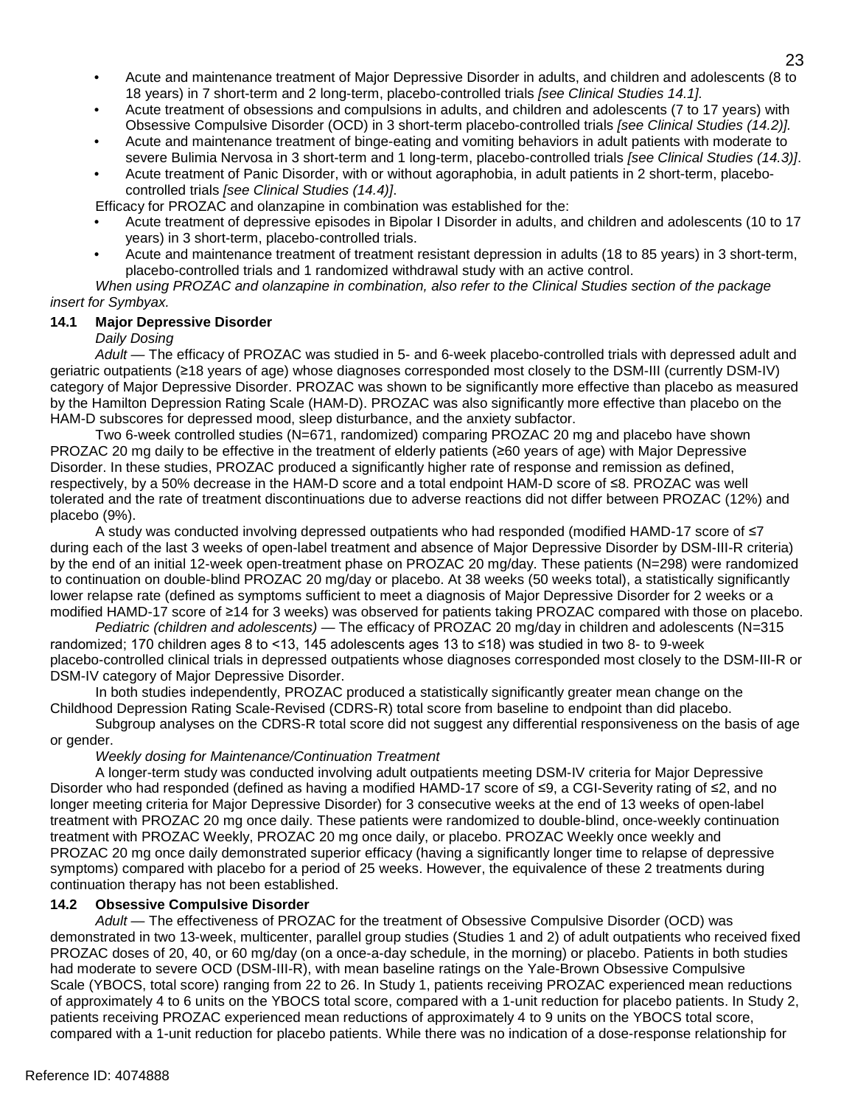- Acute and maintenance treatment of Major Depressive Disorder in adults, and children and adolescents (8 to 18 years) in 7 short-term and 2 long-term, placebo-controlled trials *[see Clinical Studies 14.1].*
- Acute treatment of obsessions and compulsions in adults, and children and adolescents (7 to 17 years) with Obsessive Compulsive Disorder (OCD) in 3 short-term placebo-controlled trials *[see Clinical Studies (14.2)].*
- Acute and maintenance treatment of binge-eating and vomiting behaviors in adult patients with moderate to severe Bulimia Nervosa in 3 short-term and 1 long-term, placebo-controlled trials *[see Clinical Studies (14.3)]*.
- • Acute treatment of Panic Disorder, with or without agoraphobia, in adult patients in 2 short-term, placebocontrolled trials *[see Clinical Studies (14.4)]*.

Efficacy for PROZAC and olanzapine in combination was established for the:

- Acute treatment of depressive episodes in Bipolar I Disorder in adults, and children and adolescents (10 to 17 years) in 3 short-term, placebo-controlled trials.
- placebo-controlled trials and 1 randomized withdrawal study with an active control. Acute and maintenance treatment of treatment resistant depression in adults (18 to 85 years) in 3 short-term,

*When using PROZAC and olanzapine in combination, also refer to the Clinical Studies section of the package insert for Symbyax.* 

#### **14.1 Major Depressive Disorder**

#### *Daily Dosing*

 category of Major Depressive Disorder. PROZAC was shown to be significantly more effective than placebo as measured by the Hamilton Depression Rating Scale (HAM-D). PROZAC was also significantly more effective than placebo on the *Adult —* The efficacy of PROZAC was studied in 5- and 6-week placebo-controlled trials with depressed adult and geriatric outpatients (≥18 years of age) whose diagnoses corresponded most closely to the DSM-III (currently DSM-IV) HAM-D subscores for depressed mood, sleep disturbance, and the anxiety subfactor.

 Two 6-week controlled studies (N=671, randomized) comparing PROZAC 20 mg and placebo have shown PROZAC 20 mg daily to be effective in the treatment of elderly patients (≥60 years of age) with Major Depressive Disorder. In these studies, PROZAC produced a significantly higher rate of response and remission as defined, placebo (9%). respectively, by a 50% decrease in the HAM-D score and a total endpoint HAM-D score of ≤8. PROZAC was well tolerated and the rate of treatment discontinuations due to adverse reactions did not differ between PROZAC (12%) and

 during each of the last 3 weeks of open-label treatment and absence of Major Depressive Disorder by DSM-III-R criteria) by the end of an initial 12-week open-treatment phase on PROZAC 20 mg/day. These patients (N=298) were randomized to continuation on double-blind PROZAC 20 mg/day or placebo. At 38 weeks (50 weeks total), a statistically significantly modified HAMD-17 score of ≥14 for 3 weeks) was observed for patients taking PROZAC compared with those on placebo. A study was conducted involving depressed outpatients who had responded (modified HAMD-17 score of ≤7 lower relapse rate (defined as symptoms sufficient to meet a diagnosis of Major Depressive Disorder for 2 weeks or a

 *Pediatric (children and adolescents) —* The efficacy of PROZAC 20 mg/day in children and adolescents (N=315 randomized; 170 children ages 8 to <13, 145 adolescents ages 13 to ≤18) was studied in two 8- to 9-week DSM-IV category of Major Depressive Disorder. placebo-controlled clinical trials in depressed outpatients whose diagnoses corresponded most closely to the DSM-III-R or

In both studies independently, PROZAC produced a statistically significantly greater mean change on the Childhood Depression Rating Scale-Revised (CDRS-R) total score from baseline to endpoint than did placebo.

Subgroup analyses on the CDRS-R total score did not suggest any differential responsiveness on the basis of age or gender.

### *Weekly dosing for Maintenance/Continuation Treatment*

 Disorder who had responded (defined as having a modified HAMD-17 score of ≤9, a CGI-Severity rating of ≤2, and no treatment with PROZAC 20 mg once daily. These patients were randomized to double-blind, once-weekly continuation treatment with PROZAC Weekly, PROZAC 20 mg once daily, or placebo. PROZAC Weekly once weekly and PROZAC 20 mg once daily demonstrated superior efficacy (having a significantly longer time to relapse of depressive A longer-term study was conducted involving adult outpatients meeting DSM-IV criteria for Major Depressive longer meeting criteria for Major Depressive Disorder) for 3 consecutive weeks at the end of 13 weeks of open-label symptoms) compared with placebo for a period of 25 weeks. However, the equivalence of these 2 treatments during continuation therapy has not been established.

#### **14.2 Obsessive Compulsive Disorder**

 *Adult* — The effectiveness of PROZAC for the treatment of Obsessive Compulsive Disorder (OCD) was demonstrated in two 13-week, multicenter, parallel group studies (Studies 1 and 2) of adult outpatients who received fixed Scale (YBOCS, total score) ranging from 22 to 26. In Study 1, patients receiving PROZAC experienced mean reductions of approximately 4 to 6 units on the YBOCS total score, compared with a 1-unit reduction for placebo patients. In Study 2, patients receiving PROZAC experienced mean reductions of approximately 4 to 9 units on the YBOCS total score, PROZAC doses of 20, 40, or 60 mg/day (on a once-a-day schedule, in the morning) or placebo. Patients in both studies had moderate to severe OCD (DSM-III-R), with mean baseline ratings on the Yale-Brown Obsessive Compulsive compared with a 1-unit reduction for placebo patients. While there was no indication of a dose-response relationship for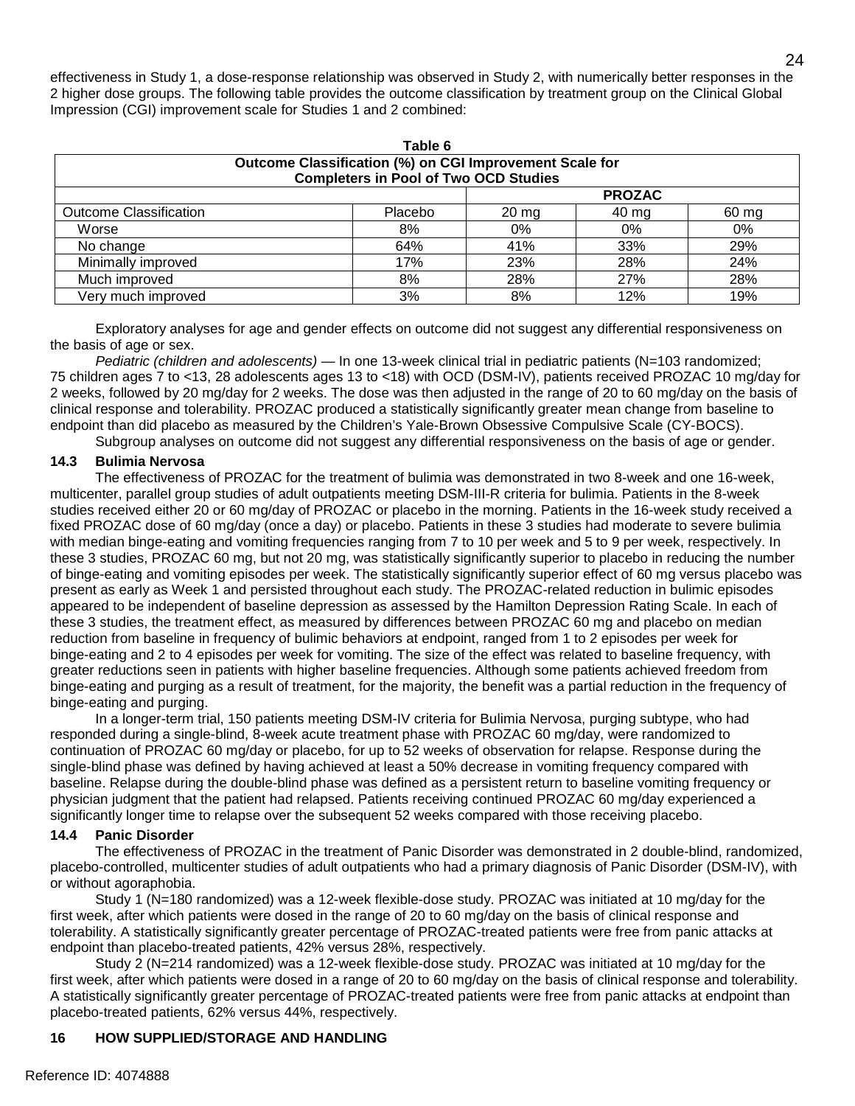Impression (CGI) improvement scale for Studies 1 and 2 combined: effectiveness in Study 1, a dose-response relationship was observed in Study 2, with numerically better responses in the 2 higher dose groups. The following table provides the outcome classification by treatment group on the Clinical Global

| Table 6                                                 |         |                    |               |       |  |
|---------------------------------------------------------|---------|--------------------|---------------|-------|--|
| Outcome Classification (%) on CGI Improvement Scale for |         |                    |               |       |  |
| <b>Completers in Pool of Two OCD Studies</b>            |         |                    |               |       |  |
|                                                         |         |                    | <b>PROZAC</b> |       |  |
| <b>Outcome Classification</b>                           | Placebo | $20 \,\mathrm{mg}$ | 40 mg         | 60 mg |  |
| Worse                                                   | 8%      | 0%                 | $0\%$         | 0%    |  |
| No change                                               | 64%     | 41%                | 33%           | 29%   |  |
| Minimally improved                                      | 17%     | 23%                | 28%           | 24%   |  |
| Much improved                                           | 8%      | 28%                | 27%           | 28%   |  |
| Very much improved                                      | 3%      | 8%                 | 12%           | 19%   |  |

Exploratory analyses for age and gender effects on outcome did not suggest any differential responsiveness on the basis of age or sex.

 *Pediatric (children and adolescents)* — In one 13-week clinical trial in pediatric patients (N=103 randomized; 75 children ages 7 to <13, 28 adolescents ages 13 to <18) with OCD (DSM-IV), patients received PROZAC 10 mg/day for 2 weeks, followed by 20 mg/day for 2 weeks. The dose was then adjusted in the range of 20 to 60 mg/day on the basis of clinical response and tolerability. PROZAC produced a statistically significantly greater mean change from baseline to endpoint than did placebo as measured by the Children's Yale-Brown Obsessive Compulsive Scale (CY-BOCS).

Subgroup analyses on outcome did not suggest any differential responsiveness on the basis of age or gender.

#### **14.3 Bulimia Nervosa**

 studies received either 20 or 60 mg/day of PROZAC or placebo in the morning. Patients in the 16-week study received a fixed PROZAC dose of 60 mg/day (once a day) or placebo. Patients in these 3 studies had moderate to severe bulimia with median binge-eating and vomiting frequencies ranging from 7 to 10 per week and 5 to 9 per week, respectively. In of binge-eating and vomiting episodes per week. The statistically significantly superior effect of 60 mg versus placebo was present as early as Week 1 and persisted throughout each study. The PROZAC-related reduction in bulimic episodes reduction from baseline in frequency of bulimic behaviors at endpoint, ranged from 1 to 2 episodes per week for binge-eating and 2 to 4 episodes per week for vomiting. The size of the effect was related to baseline frequency, with greater reductions seen in patients with higher baseline frequencies. Although some patients achieved freedom from binge-eating and purging as a result of treatment, for the majority, the benefit was a partial reduction in the frequency of The effectiveness of PROZAC for the treatment of bulimia was demonstrated in two 8-week and one 16-week, multicenter, parallel group studies of adult outpatients meeting DSM-III-R criteria for bulimia. Patients in the 8-week these 3 studies, PROZAC 60 mg, but not 20 mg, was statistically significantly superior to placebo in reducing the number appeared to be independent of baseline depression as assessed by the Hamilton Depression Rating Scale. In each of these 3 studies, the treatment effect, as measured by differences between PROZAC 60 mg and placebo on median binge-eating and purging.

 responded during a single-blind, 8-week acute treatment phase with PROZAC 60 mg/day, were randomized to single-blind phase was defined by having achieved at least a 50% decrease in vomiting frequency compared with baseline. Relapse during the double-blind phase was defined as a persistent return to baseline vomiting frequency or physician judgment that the patient had relapsed. Patients receiving continued PROZAC 60 mg/day experienced a In a longer-term trial, 150 patients meeting DSM-IV criteria for Bulimia Nervosa, purging subtype, who had continuation of PROZAC 60 mg/day or placebo, for up to 52 weeks of observation for relapse. Response during the significantly longer time to relapse over the subsequent 52 weeks compared with those receiving placebo.

#### **14.4 Panic Disorder**

 The effectiveness of PROZAC in the treatment of Panic Disorder was demonstrated in 2 double-blind, randomized, placebo-controlled, multicenter studies of adult outpatients who had a primary diagnosis of Panic Disorder (DSM-IV), with or without agoraphobia.

 Study 1 (N=180 randomized) was a 12-week flexible-dose study. PROZAC was initiated at 10 mg/day for the first week, after which patients were dosed in the range of 20 to 60 mg/day on the basis of clinical response and endpoint than placebo-treated patients, 42% versus 28%, respectively. tolerability. A statistically significantly greater percentage of PROZAC-treated patients were free from panic attacks at

 Study 2 (N=214 randomized) was a 12-week flexible-dose study. PROZAC was initiated at 10 mg/day for the first week, after which patients were dosed in a range of 20 to 60 mg/day on the basis of clinical response and tolerability. placebo-treated patients, 62% versus 44%, respectively. A statistically significantly greater percentage of PROZAC-treated patients were free from panic attacks at endpoint than

#### **16 HOW SUPPLIED/STORAGE AND HANDLING**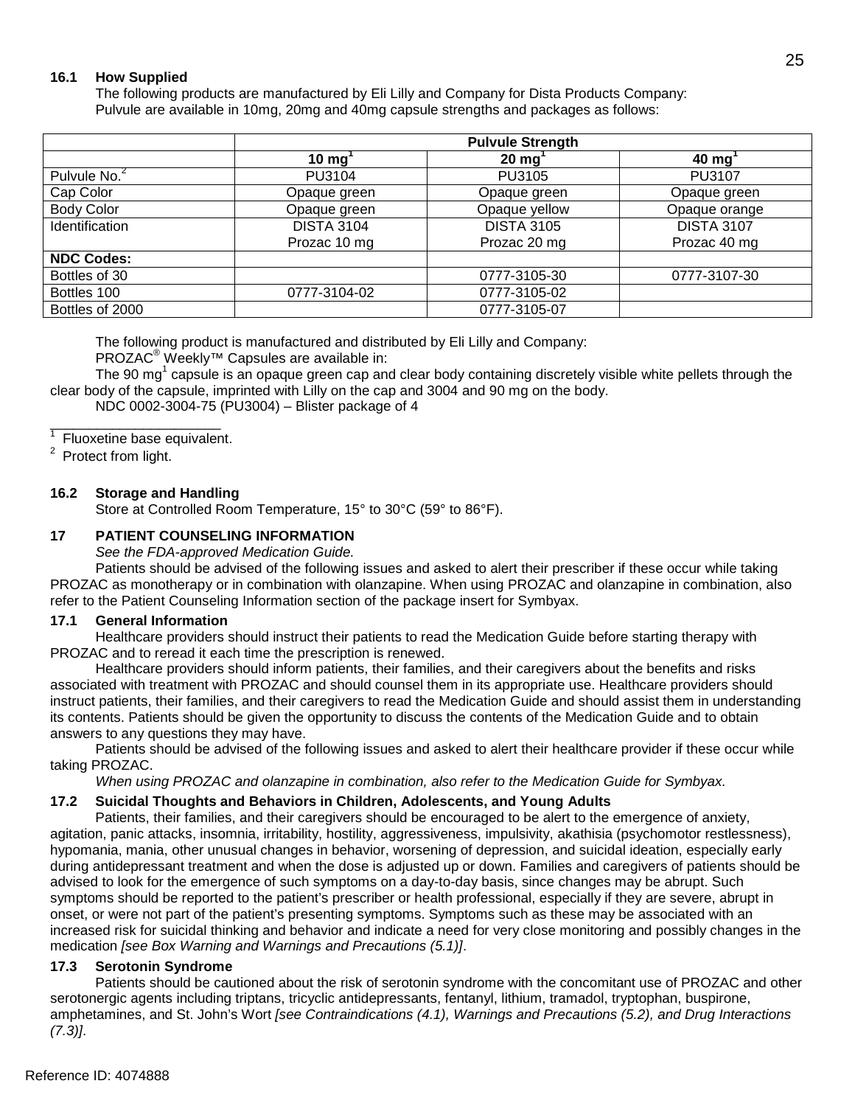#### **16.1 How Supplied**

 The following products are manufactured by Eli Lilly and Company for Dista Products Company: Pulvule are available in 10mg, 20mg and 40mg capsule strengths and packages as follows:

|                          | <b>Pulvule Strength</b> |                   |                   |  |  |
|--------------------------|-------------------------|-------------------|-------------------|--|--|
|                          | 10 $mg1$                | $20 \text{ mg}^1$ | $40 \text{ mg}$   |  |  |
| Pulvule No. <sup>2</sup> | PU3104                  | PU3105            | PU3107            |  |  |
| Cap Color                | Opaque green            | Opaque green      | Opaque green      |  |  |
| <b>Body Color</b>        | Opaque green            | Opaque yellow     | Opaque orange     |  |  |
| Identification           | <b>DISTA 3104</b>       | <b>DISTA 3105</b> | <b>DISTA 3107</b> |  |  |
|                          | Prozac 10 mg            | Prozac 20 mg      | Prozac 40 mg      |  |  |
| <b>NDC Codes:</b>        |                         |                   |                   |  |  |
| Bottles of 30            |                         | 0777-3105-30      | 0777-3107-30      |  |  |
| Bottles 100              | 0777-3104-02            | 0777-3105-02      |                   |  |  |
| Bottles of 2000          |                         | 0777-3105-07      |                   |  |  |

The following product is manufactured and distributed by Eli Lilly and Company:

#### PROZAC® Weekly™ Capsules are available in:

 clear body of the capsule, imprinted with Lilly on the cap and 3004 and 90 mg on the body. The 90 mg<sup>1</sup> capsule is an opaque green cap and clear body containing discretely visible white pellets through the

NDC 0002-3004-75 (PU3004) – Blister package of 4

\_\_\_\_\_\_\_\_\_\_\_\_\_\_\_\_\_\_\_\_\_\_ Fluoxetine base equivalent.

Protect from light.

#### **16.2 Storage and Handling**

Store at Controlled Room Temperature, 15° to 30°C (59° to 86°F).

## **17 PATIENT COUNSELING INFORMATION**

*See the FDA-approved Medication Guide.* 

Patients should be advised of the following issues and asked to alert their prescriber if these occur while taking PROZAC as monotherapy or in combination with olanzapine. When using PROZAC and olanzapine in combination, also refer to the Patient Counseling Information section of the package insert for Symbyax.

#### **17.1 General Information**

Healthcare providers should instruct their patients to read the Medication Guide before starting therapy with PROZAC and to reread it each time the prescription is renewed.

Healthcare providers should inform patients, their families, and their caregivers about the benefits and risks associated with treatment with PROZAC and should counsel them in its appropriate use. Healthcare providers should instruct patients, their families, and their caregivers to read the Medication Guide and should assist them in understanding its contents. Patients should be given the opportunity to discuss the contents of the Medication Guide and to obtain answers to any questions they may have.

Patients should be advised of the following issues and asked to alert their healthcare provider if these occur while taking PROZAC.

*When using PROZAC and olanzapine in combination, also refer to the Medication Guide for Symbyax.* 

#### **17.2 Suicidal Thoughts and Behaviors in Children, Adolescents, and Young Adults**

 agitation, panic attacks, insomnia, irritability, hostility, aggressiveness, impulsivity, akathisia (psychomotor restlessness), hypomania, mania, other unusual changes in behavior, worsening of depression, and suicidal ideation, especially early during antidepressant treatment and when the dose is adjusted up or down. Families and caregivers of patients should be Patients, their families, and their caregivers should be encouraged to be alert to the emergence of anxiety, advised to look for the emergence of such symptoms on a day-to-day basis, since changes may be abrupt. Such symptoms should be reported to the patient's prescriber or health professional, especially if they are severe, abrupt in onset, or were not part of the patient's presenting symptoms. Symptoms such as these may be associated with an increased risk for suicidal thinking and behavior and indicate a need for very close monitoring and possibly changes in the medication *[see Box Warning and Warnings and Precautions (5.1)]*.

#### **17.3 Serotonin Syndrome**

Patients should be cautioned about the risk of serotonin syndrome with the concomitant use of PROZAC and other serotonergic agents including triptans, tricyclic antidepressants, fentanyl, lithium, tramadol, tryptophan, buspirone, amphetamines, and St. John's Wort *[see Contraindications (4.1), Warnings and Precautions (5.2), and Drug Interactions (7.3)]*.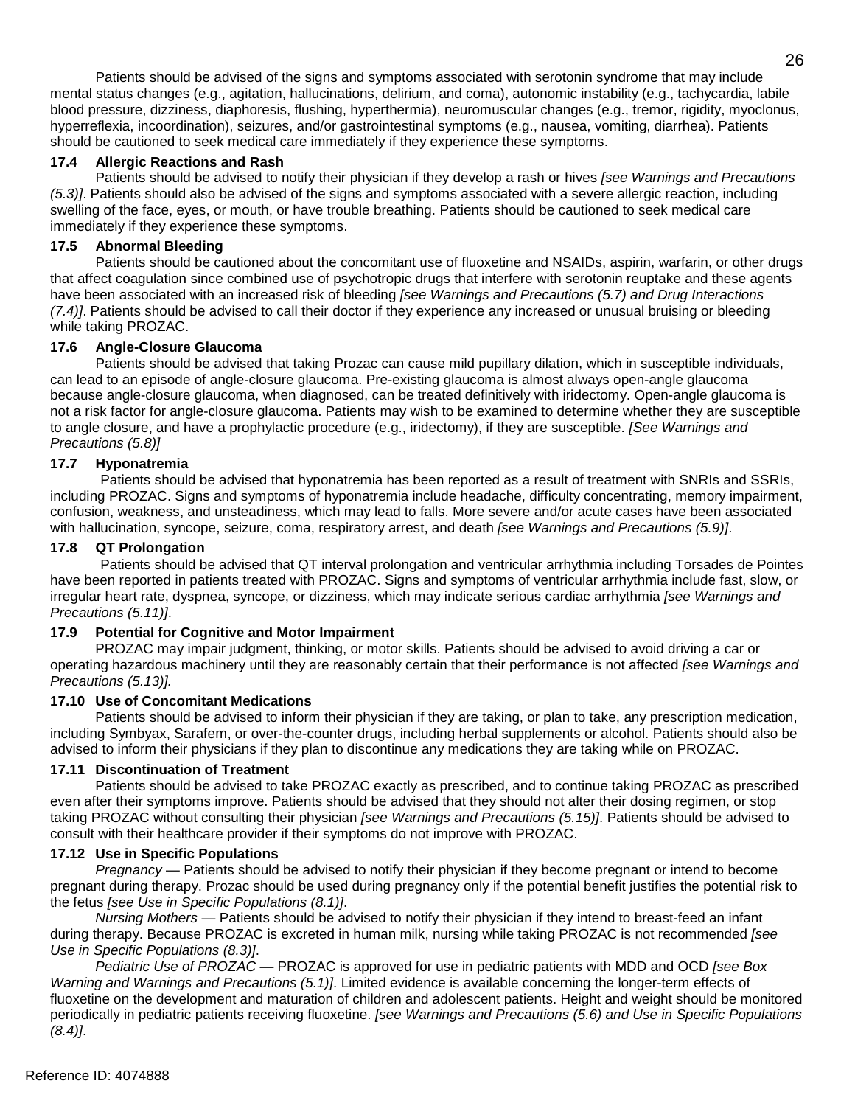Patients should be advised of the signs and symptoms associated with serotonin syndrome that may include hyperreflexia, incoordination), seizures, and/or gastrointestinal symptoms (e.g., nausea, vomiting, diarrhea). Patients mental status changes (e.g., agitation, hallucinations, delirium, and coma), autonomic instability (e.g., tachycardia, labile blood pressure, dizziness, diaphoresis, flushing, hyperthermia), neuromuscular changes (e.g., tremor, rigidity, myoclonus, should be cautioned to seek medical care immediately if they experience these symptoms.

#### **17.4 Allergic Reactions and Rash**

 Patients should be advised to notify their physician if they develop a rash or hives *[see Warnings and Precautions (5.3)]*. Patients should also be advised of the signs and symptoms associated with a severe allergic reaction, including swelling of the face, eyes, or mouth, or have trouble breathing. Patients should be cautioned to seek medical care immediately if they experience these symptoms.

#### **17.5 Abnormal Bleeding**

 *(7.4)]*. Patients should be advised to call their doctor if they experience any increased or unusual bruising or bleeding Patients should be cautioned about the concomitant use of fluoxetine and NSAIDs, aspirin, warfarin, or other drugs that affect coagulation since combined use of psychotropic drugs that interfere with serotonin reuptake and these agents have been associated with an increased risk of bleeding *[see Warnings and Precautions (5.7) and Drug Interactions*  while taking PROZAC.

#### **17.6 Angle-Closure Glaucoma**

 Patients should be advised that taking Prozac can cause mild pupillary dilation, which in susceptible individuals, not a risk factor for angle-closure glaucoma. Patients may wish to be examined to determine whether they are susceptible can lead to an episode of angle-closure glaucoma. Pre-existing glaucoma is almost always open-angle glaucoma because angle-closure glaucoma, when diagnosed, can be treated definitively with iridectomy. Open-angle glaucoma is to angle closure, and have a prophylactic procedure (e.g., iridectomy), if they are susceptible. *[See Warnings and Precautions (5.8)]* 

#### **17.7 Hyponatremia**

 confusion, weakness, and unsteadiness, which may lead to falls. More severe and/or acute cases have been associated Patients should be advised that hyponatremia has been reported as a result of treatment with SNRIs and SSRIs, including PROZAC. Signs and symptoms of hyponatremia include headache, difficulty concentrating, memory impairment, with hallucination, syncope, seizure, coma, respiratory arrest, and death *[see Warnings and Precautions (5.9)]*.

#### **17.8 QT Prolongation**

 Patients should be advised that QT interval prolongation and ventricular arrhythmia including Torsades de Pointes have been reported in patients treated with PROZAC. Signs and symptoms of ventricular arrhythmia include fast, slow, or irregular heart rate, dyspnea, syncope, or dizziness, which may indicate serious cardiac arrhythmia *[see Warnings and Precautions (5.11)]*.

#### **17.9 Potential for Cognitive and Motor Impairment**

PROZAC may impair judgment, thinking, or motor skills. Patients should be advised to avoid driving a car or operating hazardous machinery until they are reasonably certain that their performance is not affected *[see Warnings and Precautions (5.13)].* 

#### **17.10 Use of Concomitant Medications**

Patients should be advised to inform their physician if they are taking, or plan to take, any prescription medication, including Symbyax, Sarafem, or over-the-counter drugs, including herbal supplements or alcohol. Patients should also be advised to inform their physicians if they plan to discontinue any medications they are taking while on PROZAC.

#### **17.11 Discontinuation of Treatment**

Patients should be advised to take PROZAC exactly as prescribed, and to continue taking PROZAC as prescribed even after their symptoms improve. Patients should be advised that they should not alter their dosing regimen, or stop taking PROZAC without consulting their physician *[see Warnings and Precautions (5.15)]*. Patients should be advised to consult with their healthcare provider if their symptoms do not improve with PROZAC.

#### **17.12 Use in Specific Populations**

 *Pregnancy* — Patients should be advised to notify their physician if they become pregnant or intend to become pregnant during therapy. Prozac should be used during pregnancy only if the potential benefit justifies the potential risk to the fetus *[see Use in Specific Populations (8.1)]*.

*Nursing Mothers* — Patients should be advised to notify their physician if they intend to breast-feed an infant during therapy. Because PROZAC is excreted in human milk, nursing while taking PROZAC is not recommended *[see Use in Specific Populations (8.3)]*.

 periodically in pediatric patients receiving fluoxetine. *[see Warnings and Precautions (5.6) and Use in Specific Populations Pediatric Use of PROZAC* — PROZAC is approved for use in pediatric patients with MDD and OCD *[see Box Warning and Warnings and Precautions (5.1)]*. Limited evidence is available concerning the longer-term effects of fluoxetine on the development and maturation of children and adolescent patients. Height and weight should be monitored *(8.4)]*.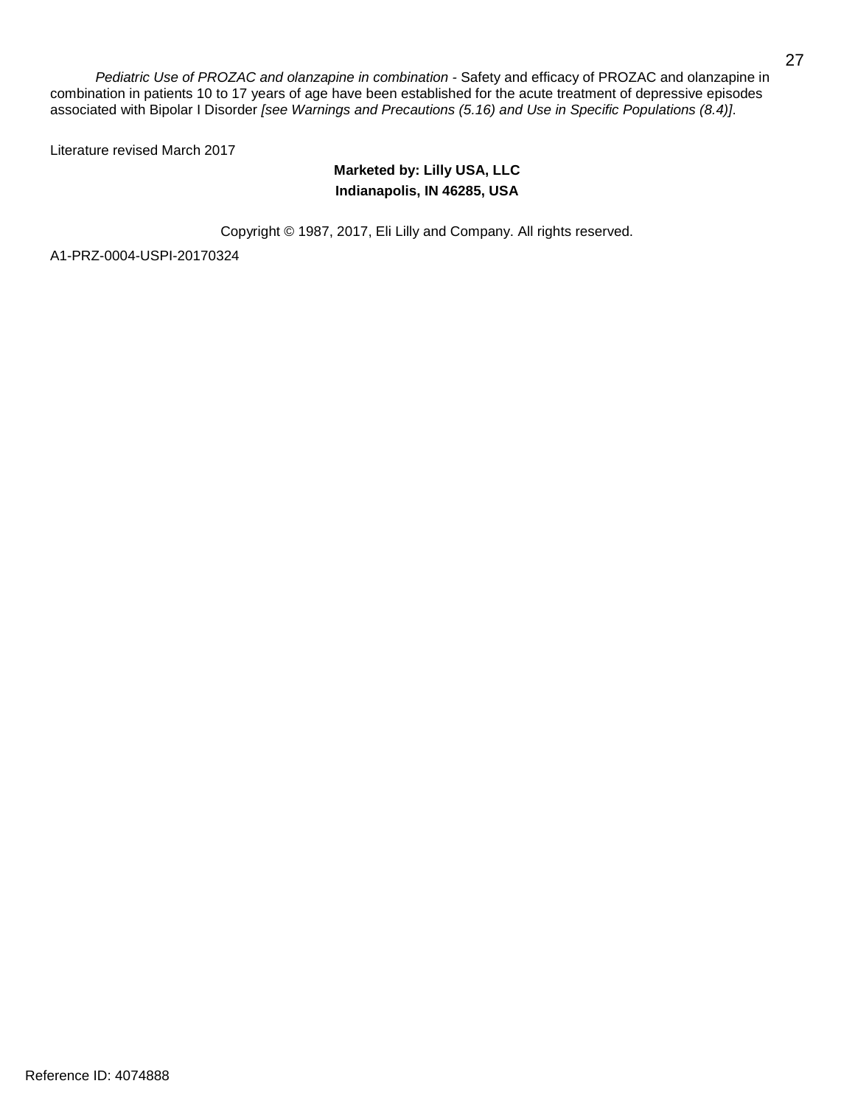*Pediatric Use of PROZAC and olanzapine in combination -* Safety and efficacy of PROZAC and olanzapine in combination in patients 10 to 17 years of age have been established for the acute treatment of depressive episodes associated with Bipolar I Disorder *[see Warnings and Precautions (5.16) and Use in Specific Populations (8.4)]*.

Literature revised March 2017

# **Marketed by: Lilly USA, LLC Indianapolis, IN 46285, USA**

Copyright © 1987, 2017, Eli Lilly and Company. All rights reserved.

A1-PRZ-0004-USPI-20170324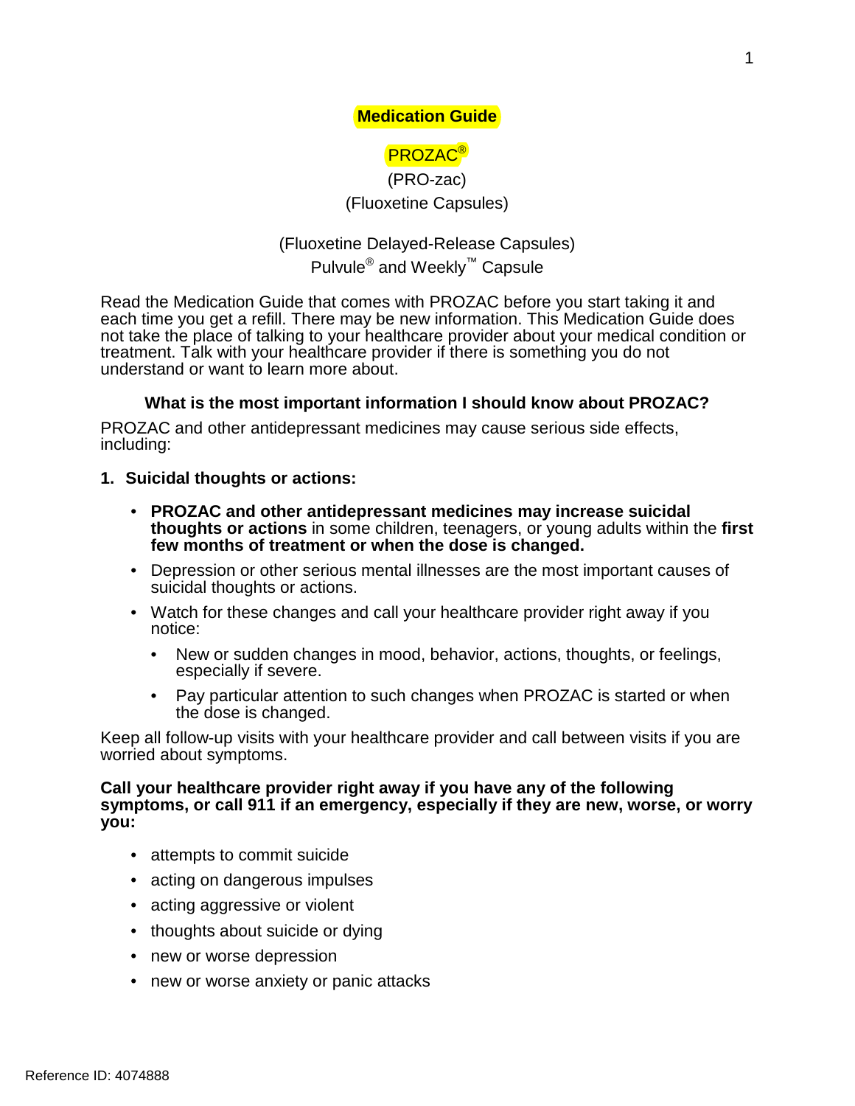**Medication Guide** 

# PROZAC®

 (Fluoxetine Capsules) (PRO-zac)

Pulvule<sup>®</sup> and Weekly<sup>™</sup> Capsule (Fluoxetine Delayed-Release Capsules)

 each time you get a refill. There may be new information. This Medication Guide does Read the Medication Guide that comes with PROZAC before you start taking it and not take the place of talking to your healthcare provider about your medical condition or treatment. Talk with your healthcare provider if there is something you do not understand or want to learn more about.

# **What is the most important information I should know about PROZAC?**

PROZAC and other antidepressant medicines may cause serious side effects, including:

- **1. Suicidal thoughts or actions:** 
	- • **PROZAC and other antidepressant medicines may increase suicidal thoughts or actions** in some children, teenagers, or young adults within the **first few months of treatment or when the dose is changed.**
	- Depression or other serious mental illnesses are the most important causes of suicidal thoughts or actions.
	- Watch for these changes and call your healthcare provider right away if you notice:
		- New or sudden changes in mood, behavior, actions, thoughts, or feelings, especially if severe.
		- Pay particular attention to such changes when PROZAC is started or when the dose is changed.

Keep all follow-up visits with your healthcare provider and call between visits if you are worried about symptoms.

 **symptoms, or call 911 if an emergency, especially if they are new, worse, or worry Call your healthcare provider right away if you have any of the following you:** 

- attempts to commit suicide
- acting on dangerous impulses
- acting aggressive or violent
- thoughts about suicide or dying
- new or worse depression
- new or worse anxiety or panic attacks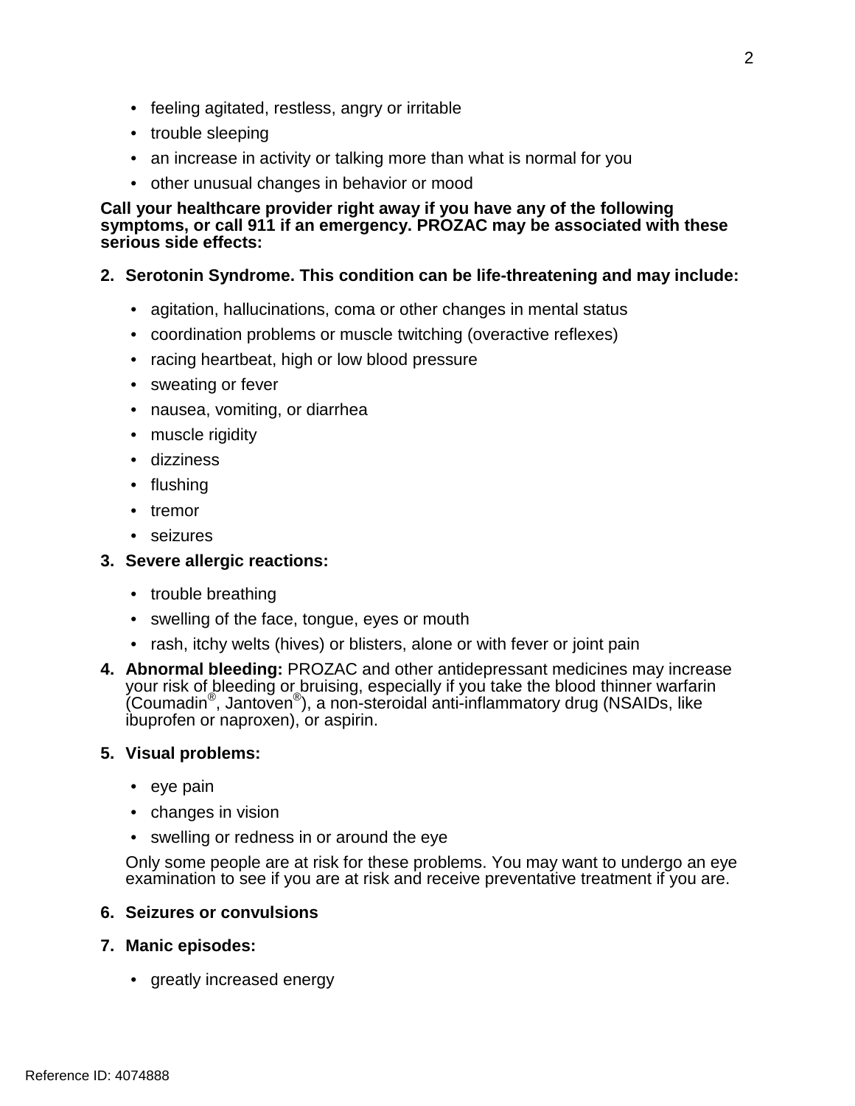- feeling agitated, restless, angry or irritable
- trouble sleeping
- an increase in activity or talking more than what is normal for you
- other unusual changes in behavior or mood

**Call your healthcare provider right away if you have any of the following symptoms, or call 911 if an emergency. PROZAC may be associated with these serious side effects:** 

# **2. Serotonin Syndrome. This condition can be life-threatening and may include:**

- agitation, hallucinations, coma or other changes in mental status
- coordination problems or muscle twitching (overactive reflexes)
- racing heartbeat, high or low blood pressure
- sweating or fever
- nausea, vomiting, or diarrhea
- muscle rigidity
- dizziness
- flushing
- tremor
- seizures

# **3. Severe allergic reactions:**

- trouble breathing
- swelling of the face, tongue, eyes or mouth
- rash, itchy welts (hives) or blisters, alone or with fever or joint pain
- **4. Abnormal bleeding:** PROZAC and other antidepressant medicines may increase your risk of bleeding or bruising, especially if you take the blood thinner warfarin (Coumadin®, Jantoven®), a non-steroidal anti-inflammatory drug (NSAIDs, like ibuprofen or naproxen), or aspirin.

# **5. Visual problems:**

- eye pain
- changes in vision
- swelling or redness in or around the eye

 Only some people are at risk for these problems. You may want to undergo an eye examination to see if you are at risk and receive preventative treatment if you are.

# **6. Seizures or convulsions**

- **7. Manic episodes:** 
	- greatly increased energy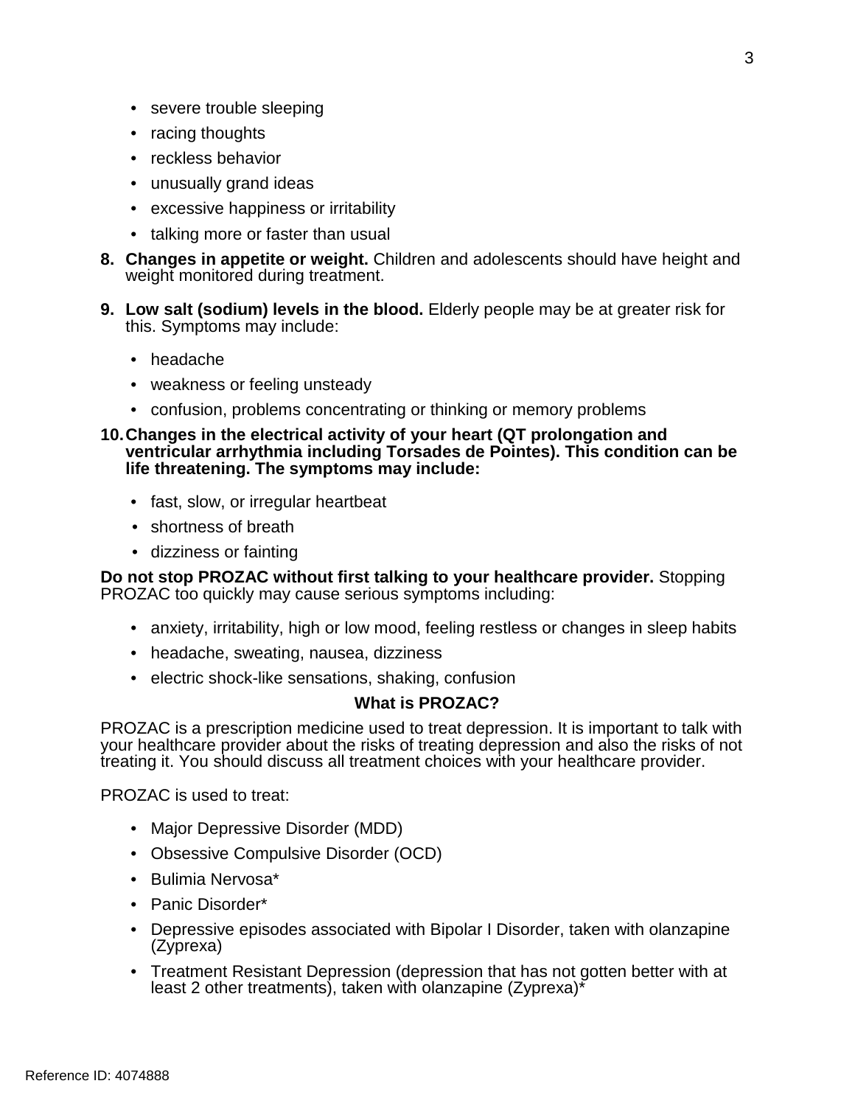- severe trouble sleeping
- racing thoughts
- reckless behavior
- unusually grand ideas
- excessive happiness or irritability
- talking more or faster than usual
- **8. Changes in appetite or weight.** Children and adolescents should have height and weight monitored during treatment.
- **9. Low salt (sodium) levels in the blood.** Elderly people may be at greater risk for this. Symptoms may include:
	- • headache
	- weakness or feeling unsteady
	- confusion, problems concentrating or thinking or memory problems
- **10. Changes in the electrical activity of your heart (QT prolongation and ventricular arrhythmia including Torsades de Pointes). This condition can be life threatening. The symptoms may include:** 
	- fast, slow, or irregular heartbeat
	- shortness of breath
	- dizziness or fainting

**Do not stop PROZAC without first talking to your healthcare provider.** Stopping PROZAC too quickly may cause serious symptoms including:

- anxiety, irritability, high or low mood, feeling restless or changes in sleep habits
- headache, sweating, nausea, dizziness
- electric shock-like sensations, shaking, confusion

## **What is PROZAC?**

PROZAC is a prescription medicine used to treat depression. It is important to talk with your healthcare provider about the risks of treating depression and also the risks of not treating it. You should discuss all treatment choices with your healthcare provider.

PROZAC is used to treat:

- Major Depressive Disorder (MDD)
- • Obsessive Compulsive Disorder (OCD)
- • Bulimia Nervosa\*
- • Panic Disorder\*
- Depressive episodes associated with Bipolar I Disorder, taken with olanzapine (Zyprexa)
- • Treatment Resistant Depression (depression that has not gotten better with at least 2 other treatments), taken with olanzapine (Zyprexa)<sup>\*</sup>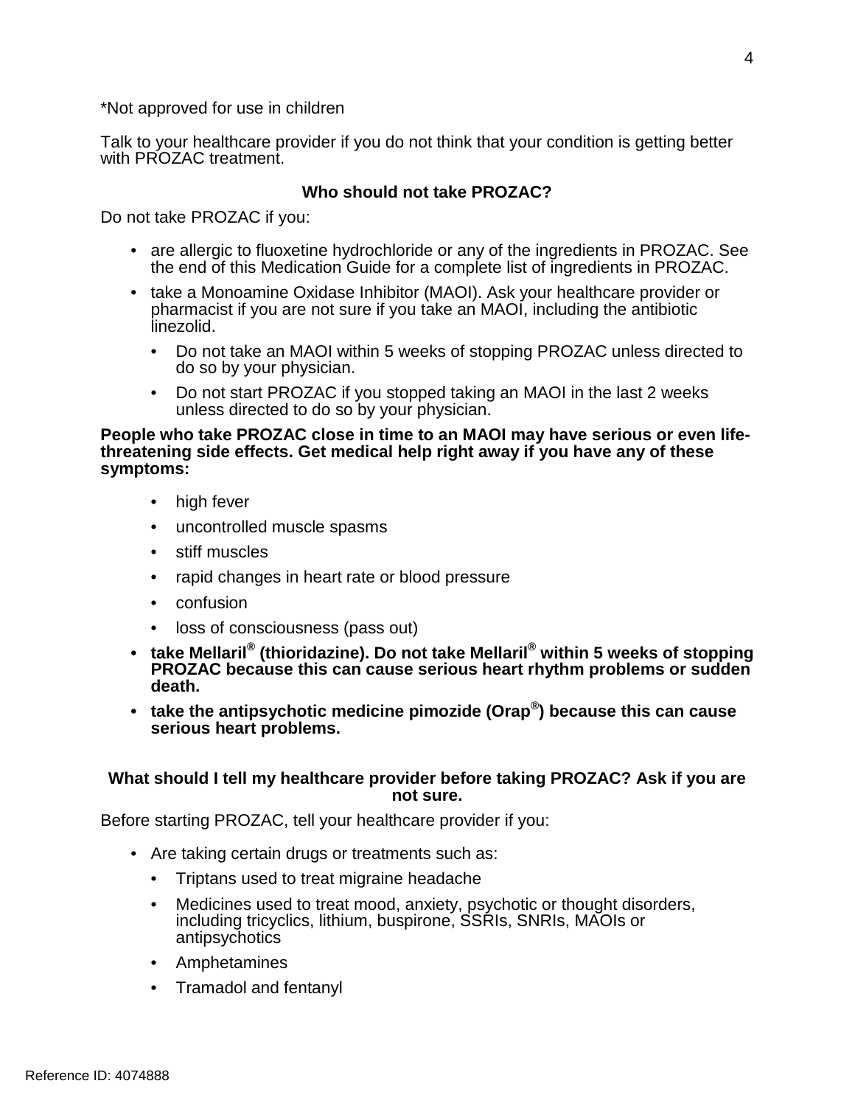\*Not approved for use in children

Talk to your healthcare provider if you do not think that your condition is getting better with PROZAC treatment.

# **Who should not take PROZAC?**

Do not take PROZAC if you:

- are allergic to fluoxetine hydrochloride or any of the ingredients in PROZAC. See the end of this Medication Guide for a complete list of ingredients in PROZAC.
- • take a Monoamine Oxidase Inhibitor (MAOI). Ask your healthcare provider or pharmacist if you are not sure if you take an MAOI, including the antibiotic linezolid.
	- Do not take an MAOI within 5 weeks of stopping PROZAC unless directed to do so by your physician.
	- Do not start PROZAC if you stopped taking an MAOI in the last 2 weeks unless directed to do so by your physician.

# **People who take PROZAC close in time to an MAOI may have serious or even life- threatening side effects. Get medical help right away if you have any of these symptoms:**

- high fever
- uncontrolled muscle spasms
- stiff muscles
- rapid changes in heart rate or blood pressure
- confusion
- loss of consciousness (pass out)
- **• take Mellaril® (thioridazine). Do not take Mellaril® within 5 weeks of stopping PROZAC because this can cause serious heart rhythm problems or sudden death.**
- **• take the antipsychotic medicine pimozide (Orap®) because this can cause serious heart problems.**

# **What should I tell my healthcare provider before taking PROZAC? Ask if you are not sure.**

Before starting PROZAC, tell your healthcare provider if you:

- Are taking certain drugs or treatments such as:
	- Triptans used to treat migraine headache
	- including tricyclics, lithium, buspirone, SSRIs, SNRIs, MAOIs or • Medicines used to treat mood, anxiety, psychotic or thought disorders, antipsychotics
	- • Amphetamines
	- Tramadol and fentanyl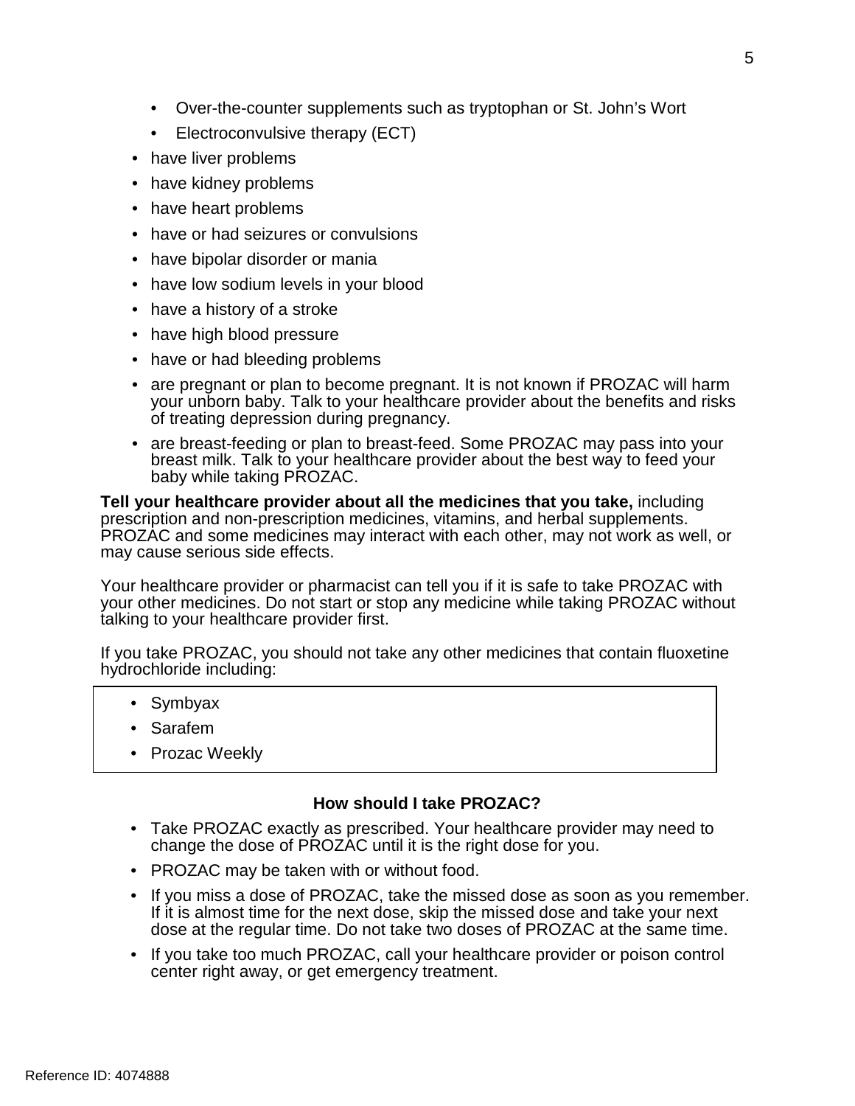- Over-the-counter supplements such as tryptophan or St. John's Wort
- Electroconvulsive therapy (ECT)
- have liver problems
- have kidney problems
- have heart problems
- have or had seizures or convulsions
- have bipolar disorder or mania
- have low sodium levels in your blood
- have a history of a stroke
- have high blood pressure
- have or had bleeding problems
- are pregnant or plan to become pregnant. It is not known if PROZAC will harm your unborn baby. Talk to your healthcare provider about the benefits and risks of treating depression during pregnancy.
- breast milk. Talk to your healthcare provider about the best way to feed your • are breast-feeding or plan to breast-feed. Some PROZAC may pass into your baby while taking PROZAC.

 **Tell your healthcare provider about all the medicines that you take,** including prescription and non-prescription medicines, vitamins, and herbal supplements. PROZAC and some medicines may interact with each other, may not work as well, or may cause serious side effects.

 your other medicines. Do not start or stop any medicine while taking PROZAC without Your healthcare provider or pharmacist can tell you if it is safe to take PROZAC with talking to your healthcare provider first.

If you take PROZAC, you should not take any other medicines that contain fluoxetine hydrochloride including:

- • Symbyax
- Sarafem
- Prozac Weekly

# **How should I take PROZAC?**

- Take PROZAC exactly as prescribed. Your healthcare provider may need to change the dose of PROZAC until it is the right dose for you.
- PROZAC may be taken with or without food.
- If you miss a dose of PROZAC, take the missed dose as soon as you remember. If it is almost time for the next dose, skip the missed dose and take your next dose at the regular time. Do not take two doses of PROZAC at the same time.
- If you take too much PROZAC, call your healthcare provider or poison control center right away, or get emergency treatment.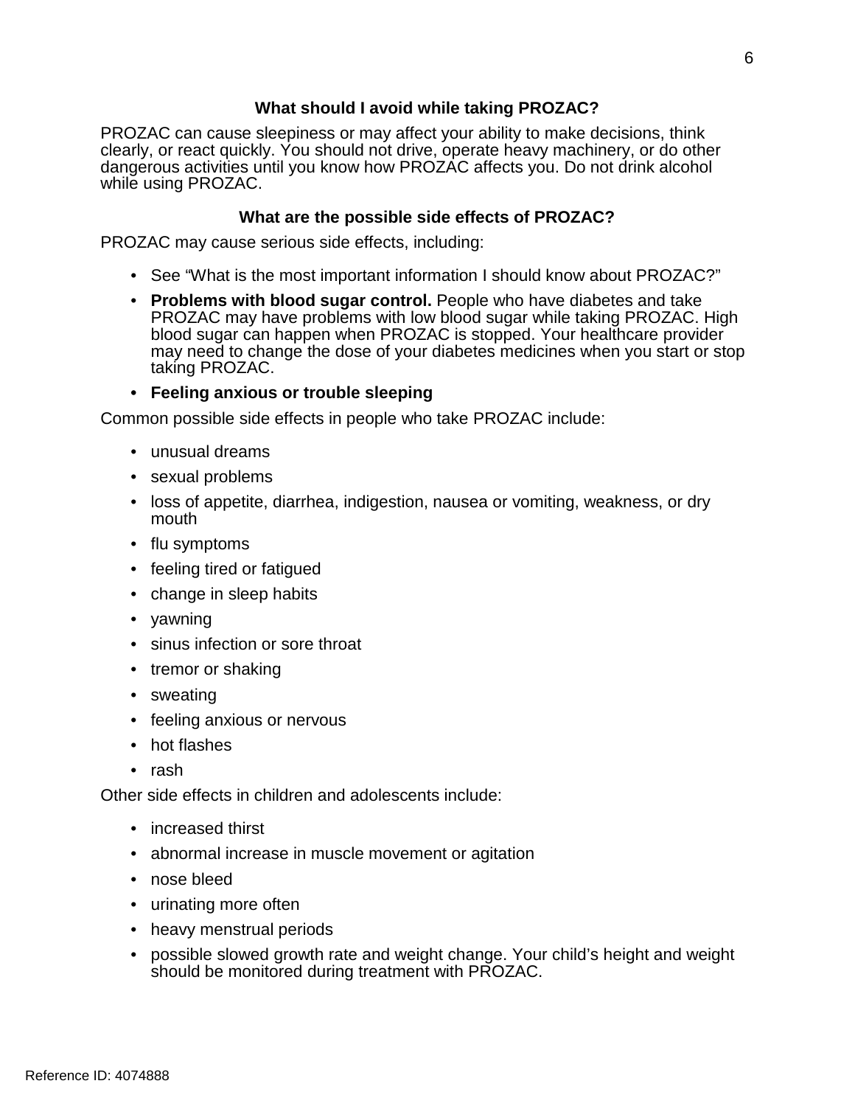# **What should I avoid while taking PROZAC?**

 dangerous activities until you know how PROZAC affects you. Do not drink alcohol PROZAC can cause sleepiness or may affect your ability to make decisions, think clearly, or react quickly. You should not drive, operate heavy machinery, or do other while using PROZAC.

# **What are the possible side effects of PROZAC?**

PROZAC may cause serious side effects, including:

- See "What is the most important information I should know about PROZAC?"
- • **Problems with blood sugar control.** People who have diabetes and take PROZAC may have problems with low blood sugar while taking PROZAC. High blood sugar can happen when PROZAC is stopped. Your healthcare provider may need to change the dose of your diabetes medicines when you start or stop taking PROZAC.

# **• Feeling anxious or trouble sleeping**

Common possible side effects in people who take PROZAC include:

- unusual dreams
- sexual problems
- loss of appetite, diarrhea, indigestion, nausea or vomiting, weakness, or dry mouth
- flu symptoms
- feeling tired or fatigued
- change in sleep habits
- • yawning
- sinus infection or sore throat
- tremor or shaking
- sweating
- feeling anxious or nervous
- hot flashes
- rash

Other side effects in children and adolescents include:

- increased thirst
- abnormal increase in muscle movement or agitation
- nose bleed
- urinating more often
- heavy menstrual periods
- • possible slowed growth rate and weight change. Your child's height and weight should be monitored during treatment with PROZAC.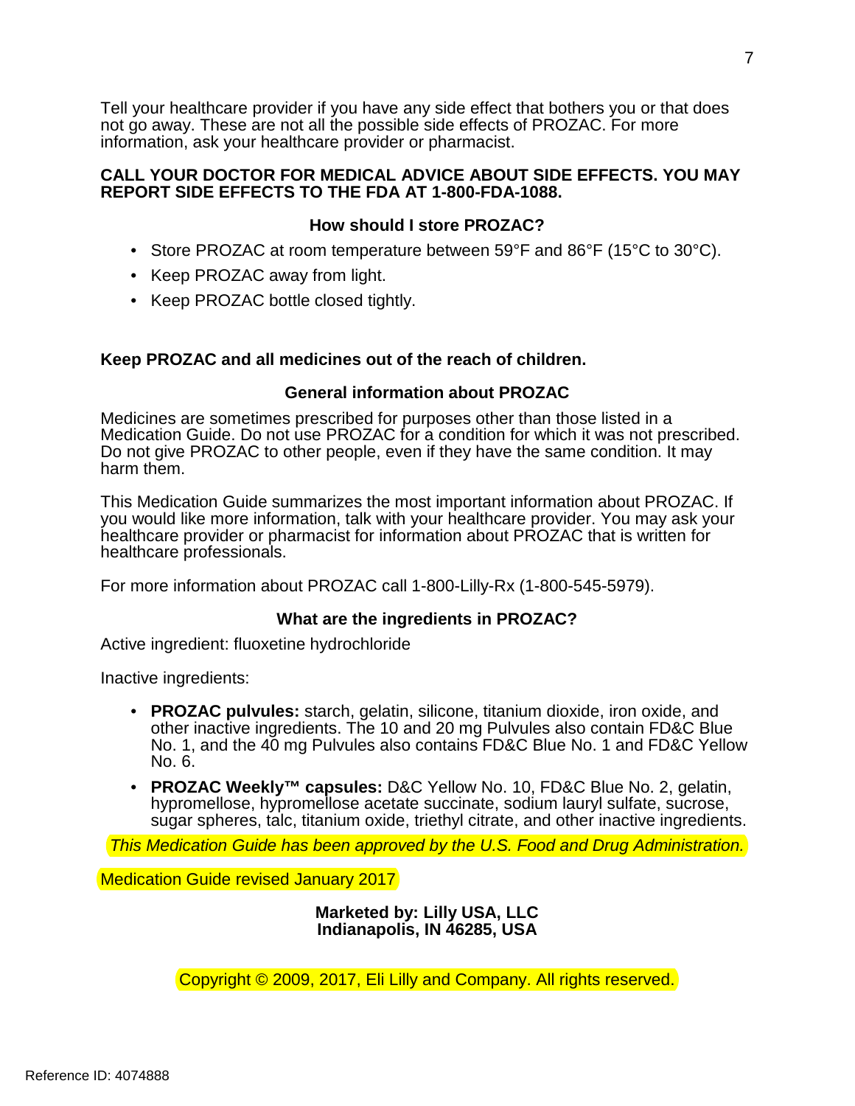Tell your healthcare provider if you have any side effect that bothers you or that does not go away. These are not all the possible side effects of PROZAC. For more information, ask your healthcare provider or pharmacist.

# **CALL YOUR DOCTOR FOR MEDICAL ADVICE ABOUT SIDE EFFECTS. YOU MAY REPORT SIDE EFFECTS TO THE FDA AT 1-800-FDA-1088.**

# **How should I store PROZAC?**

- Store PROZAC at room temperature between 59°F and 86°F (15°C to 30°C).
- Keep PROZAC away from light.
- Keep PROZAC bottle closed tightly.

# **Keep PROZAC and all medicines out of the reach of children.**

# **General information about PROZAC**

 Medicines are sometimes prescribed for purposes other than those listed in a Medication Guide. Do not use PROZAC for a condition for which it was not prescribed. Do not give PROZAC to other people, even if they have the same condition. It may harm them.

This Medication Guide summarizes the most important information about PROZAC. If you would like more information, talk with your healthcare provider. You may ask your healthcare provider or pharmacist for information about PROZAC that is written for healthcare professionals.

For more information about PROZAC call 1-800-Lilly-Rx (1-800-545-5979).

# **What are the ingredients in PROZAC?**

Active ingredient: fluoxetine hydrochloride

Inactive ingredients:

- • **PROZAC pulvules:** starch, gelatin, silicone, titanium dioxide, iron oxide, and other inactive ingredients. The 10 and 20 mg Pulvules also contain FD&C Blue No. 1, and the 40 mg Pulvules also contains FD&C Blue No. 1 and FD&C Yellow No. 6.
- • **PROZAC Weekly™ capsules:** D&C Yellow No. 10, FD&C Blue No. 2, gelatin, hypromellose, hypromellose acetate succinate, sodium lauryl sulfate, sucrose, sugar spheres, talc, titanium oxide, triethyl citrate, and other inactive ingredients.

*This Medication Guide has been approved by the U.S. Food and Drug Administration.* 

**Medication Guide revised January 2017** 

**Marketed by: Lilly USA, LLC Indianapolis, IN 46285, USA** 

Copyright © 2009, 2017, Eli Lilly and Company. All rights reserved.